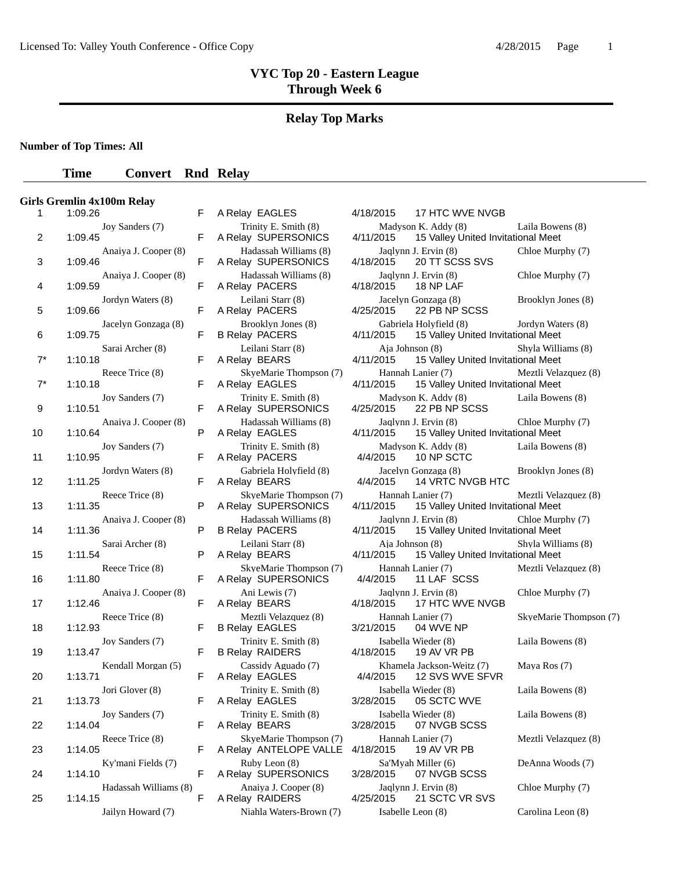## **Relay Top Marks**

**Number of Top Times: All**

### **Time Convert Rnd Relay**

#### **Girls Gremlin 4x100m Relay**

| Т.    | 1.∪9.Z0                          | r. | A REISY EAGLES                                   | 4/18/2015<br><b>T/ HILWVENVGB</b>                              |
|-------|----------------------------------|----|--------------------------------------------------|----------------------------------------------------------------|
| 2     | Joy Sanders (7)<br>1:09.45       | F  | Trinity E. Smith (8)<br>A Relay SUPERSONICS      | Madyson K. Addy (8)<br>15 Valley United Invita<br>4/11/2015    |
| 3     | Anaiya J. Cooper (8)<br>1:09.46  | F  | Hadassah Williams (8)<br>A Relay SUPERSONICS     | Jaqlynn J. Ervin (8)<br>20 TT SCSS SVS<br>4/18/2015            |
| 4     | Anaiya J. Cooper (8)<br>1:09.59  | F  | Hadassah Williams (8)<br>A Relay PACERS          | Jaqlynn J. Ervin (8)<br>4/18/2015<br>18 NP LAF                 |
| 5     | Jordyn Waters (8)<br>1:09.66     | F  | Leilani Starr (8)<br>A Relay PACERS              | Jacelyn Gonzaga (8)<br>4/25/2015<br>22 PB NP SCSS              |
| 6     | Jacelyn Gonzaga (8)<br>1:09.75   | F  | Brooklyn Jones (8)<br><b>B Relay PACERS</b>      | Gabriela Holyfield (8)<br>4/11/2015<br>15 Valley United Invita |
| $7^*$ | Sarai Archer (8)<br>1:10.18      | F  | Leilani Starr (8)<br>A Relay BEARS               | Aja Johnson (8)<br>15 Valley United Invita<br>4/11/2015        |
| $7^*$ | Reece Trice (8)<br>1:10.18       | F  | SkveMarie Thompson (7)<br>A Relay EAGLES         | Hannah Lanier (7)<br>15 Valley United Invita<br>4/11/2015      |
| 9     | Joy Sanders (7)<br>1:10.51       | F  | Trinity E. Smith (8)<br>A Relay SUPERSONICS      | Madyson K. Addy (8)<br>4/25/2015<br>22 PB NP SCSS              |
| 10    | Anaiya J. Cooper (8)<br>1:10.64  | P  | Hadassah Williams (8)<br>A Relay EAGLES          | Jaqlynn J. Ervin (8)<br>4/11/2015<br>15 Valley United Invita   |
| 11    | Joy Sanders (7)<br>1:10.95       | F  | Trinity E. Smith (8)<br>A Relay PACERS           | Madyson K. Addy (8)<br>4/4/2015<br>10 NP SCTC                  |
| 12    | Jordyn Waters (8)<br>1:11.25     | F  | Gabriela Holyfield (8)<br>A Relay BEARS          | Jacelyn Gonzaga (8)<br>4/4/2015<br>14 VRTC NVGB HTC            |
| 13    | Reece Trice (8)<br>1:11.35       | P  | SkyeMarie Thompson (7)<br>A Relay SUPERSONICS    | Hannah Lanier (7)<br>4/11/2015<br>15 Valley United Invita      |
| 14    | Anaiya J. Cooper (8)<br>1:11.36  | P  | Hadassah Williams (8)<br><b>B Relay PACERS</b>   | Jaqlynn J. Ervin (8)<br>4/11/2015<br>15 Valley United Invita   |
| 15    | Sarai Archer (8)<br>1:11.54      | P  | Leilani Starr (8)<br>A Relay BEARS               | Aja Johnson (8)<br>4/11/2015<br>15 Valley United Invita        |
| 16    | Reece Trice (8)<br>1:11.80       | F  | SkyeMarie Thompson (7)<br>A Relay SUPERSONICS    | Hannah Lanier (7)<br>11 LAF SCSS<br>4/4/2015                   |
| 17    | Anaiya J. Cooper (8)<br>1:12.46  | F  | Ani Lewis (7)<br>A Relay BEARS                   | Jaqlynn J. Ervin (8)<br>17 HTC WVE NVGB<br>4/18/2015           |
| 18    | Reece Trice (8)<br>1:12.93       | F  | Meztli Velazquez (8)<br><b>B Relay EAGLES</b>    | Hannah Lanier (7)<br>3/21/2015<br>04 WVE NP                    |
| 19    | Joy Sanders (7)<br>1:13.47       | F  | Trinity E. Smith (8)<br><b>B Relay RAIDERS</b>   | Isabella Wieder (8)<br>4/18/2015<br>19 AV VR PB                |
| 20    | Kendall Morgan (5)<br>1:13.71    | F  | Cassidy Aguado (7)<br>A Relay EAGLES             | Khamela Jackson-Weitz (7)<br>4/4/2015<br>12 SVS WVE SFVR       |
| 21    | Jori Glover (8)<br>1:13.73       | F  | Trinity E. Smith (8)<br>A Relay EAGLES           | Isabella Wieder (8)<br>3/28/2015<br>05 SCTC WVE                |
| 22    | Joy Sanders (7)<br>1:14.04       | F  | Trinity E. Smith (8)<br>A Relay BEARS            | Isabella Wieder (8)<br>3/28/2015<br>07 NVGB SCSS               |
| 23    | Reece Trice (8)<br>1:14.05       | F  | SkyeMarie Thompson (7)<br>A Relay ANTELOPE VALLE | Hannah Lanier (7)<br>4/18/2015<br>19 AV VR PB                  |
| 24    | Ky'mani Fields (7)<br>1:14.10    | F  | Ruby Leon (8)<br>A Relay SUPERSONICS             | Sa'Myah Miller (6)<br>3/28/2015<br>07 NVGB SCSS                |
| 25    | Hadassah Williams (8)<br>1:14.15 | F  | Anaiya J. Cooper (8)<br>A Relay RAIDERS          | Jaqlynn J. Ervin (8)<br>4/25/2015<br>21 SCTC VR SVS            |
|       |                                  |    | $\mathbf{r}$<br>371.11<br><b>TTT</b>             | $T = 1 - 11 - T$<br>$\sim$                                     |

|                       | F | A Relay EAGLES                                   |
|-----------------------|---|--------------------------------------------------|
| Joy Sanders (7)       | F | Trinity E. Smith (8)<br>A Relay SUPERSONICS      |
| Anaiya J. Cooper (8)  | F | Hadassah Williams (8)<br>A Relay SUPERSONICS     |
| Anaiya J. Cooper (8)  | F | Hadassah Williams (8)<br>A Relay PACERS          |
| Jordyn Waters (8)     | F | Leilani Starr (8)<br>A Relay PACERS              |
| Jacelyn Gonzaga (8)   | F | Brooklyn Jones (8)<br><b>B Relay PACERS</b>      |
| Sarai Archer (8)      | F | Leilani Starr (8)<br>A Relay BEARS               |
| Reece Trice (8)       | F | SkyeMarie Thompson (7)<br>A Relay EAGLES         |
| Joy Sanders (7)       | F | Trinity E. Smith (8)<br>A Relay SUPERSONICS      |
| Anaiya J. Cooper (8)  | P | Hadassah Williams (8)<br>A Relay EAGLES          |
| Joy Sanders (7)       | F | Trinity E. Smith (8)<br>A Relay PACERS           |
| Jordyn Waters (8)     | F | Gabriela Holyfield (8)<br>A Relay BEARS          |
| Reece Trice (8)       | P | SkyeMarie Thompson (7)<br>A Relay SUPERSONICS    |
| Anaiya J. Cooper (8)  | P | Hadassah Williams (8)<br><b>B Relay PACERS</b>   |
| Sarai Archer (8)      | P | Leilani Starr (8)<br>A Relay BEARS               |
| Reece Trice (8)       | F | SkyeMarie Thompson (7)<br>A Relay SUPERSONICS    |
| Anaiya J. Cooper (8)  | F | Ani Lewis (7)<br>A Relay BEARS                   |
| Reece Trice (8)       | F | Meztli Velazquez (8)<br><b>B Relay EAGLES</b>    |
| Joy Sanders (7)       | F | Trinity E. Smith (8)<br><b>B Relay RAIDERS</b>   |
| Kendall Morgan (5)    | F | Cassidy Aguado (7)<br>A Relay EAGLES             |
| Jori Glover (8)       | F | Trinity E. Smith (8)<br>A Relay EAGLES           |
| Joy Sanders (7)       | F | Trinity E. Smith (8)<br>A Relay BEARS            |
| Reece Trice (8)       | F | SkyeMarie Thompson (7)<br>A Relay ANTELOPE VALLE |
| Ky'mani Fields (7)    | F | Ruby Leon (8)<br>A Relay SUPERSONICS             |
| Hadassah Williams (8) | F | Anaiya J. Cooper (8)<br>A Relay RAIDERS          |
| Jailyn Howard (7)     |   | Niahla Waters-Brown (7)                          |

| $\mathbf{1}$ | 1:09.26                          | F | A Relay EAGLES                                   | 4/18/2015<br>17 HTC WVE NVGB                                                                   |
|--------------|----------------------------------|---|--------------------------------------------------|------------------------------------------------------------------------------------------------|
| 2            | Joy Sanders (7)<br>1:09.45       | F | Trinity E. Smith (8)<br>A Relay SUPERSONICS      | Madyson K. Addy (8)<br>Laila Bowens (8)<br>15 Valley United Invitational Meet<br>4/11/2015     |
| 3            | Anaiva J. Cooper (8)<br>1:09.46  | F | Hadassah Williams (8)<br>A Relay SUPERSONICS     | Jaqlynn J. Ervin (8)<br>Chloe Murphy (7)<br>20 TT SCSS SVS<br>4/18/2015                        |
| 4            | Anaiya J. Cooper (8)<br>1:09.59  | F | Hadassah Williams (8)<br>A Relay PACERS          | Jaqlynn J. Ervin (8)<br>Chloe Murphy (7)<br>4/18/2015<br>18 NP LAF                             |
| 5            | Jordyn Waters (8)<br>1:09.66     | F | Leilani Starr (8)<br>A Relay PACERS              | Jacelyn Gonzaga (8)<br>Brooklyn Jones (8)<br>4/25/2015<br>22 PB NP SCSS                        |
| 6            | Jacelyn Gonzaga (8)<br>1:09.75   | F | Brooklyn Jones (8)<br><b>B Relay PACERS</b>      | Gabriela Holyfield (8)<br>Jordyn Waters (8)<br>4/11/2015<br>15 Valley United Invitational Meet |
| $7^*$        | Sarai Archer (8)<br>1:10.18      | F | Leilani Starr (8)<br>A Relay BEARS               | Aia Johnson (8)<br>Shyla Williams (8)<br>4/11/2015<br>15 Valley United Invitational Meet       |
| $7^*$        | Reece Trice (8)<br>1:10.18       | F | SkyeMarie Thompson (7)<br>A Relay EAGLES         | Hannah Lanier (7)<br>Meztli Velazquez (8)<br>4/11/2015<br>15 Valley United Invitational Meet   |
| 9            | Joy Sanders (7)<br>1:10.51       | F | Trinity E. Smith (8)<br>A Relay SUPERSONICS      | Madyson K. Addy (8)<br>Laila Bowens (8)<br>22 PB NP SCSS<br>4/25/2015                          |
| 10           | Anaiya J. Cooper (8)<br>1:10.64  | P | Hadassah Williams (8)<br>A Relay EAGLES          | Jaqlynn J. Ervin (8)<br>Chloe Murphy (7)<br>15 Valley United Invitational Meet<br>4/11/2015    |
| 11           | Joy Sanders (7)<br>1:10.95       | F | Trinity E. Smith (8)<br>A Relay PACERS           | Madyson K. Addy (8)<br>Laila Bowens (8)<br>4/4/2015<br>10 NP SCTC                              |
| 12           | Jordyn Waters (8)<br>1:11.25     | F | Gabriela Holyfield (8)<br>A Relay BEARS          | Jacelyn Gonzaga (8)<br>Brooklyn Jones (8)<br>4/4/2015<br>14 VRTC NVGB HTC                      |
| 13           | Reece Trice (8)<br>1:11.35       | P | SkyeMarie Thompson (7)<br>A Relay SUPERSONICS    | Hannah Lanier (7)<br>Meztli Velazquez (8)<br>4/11/2015<br>15 Valley United Invitational Meet   |
| 14           | Anaiya J. Cooper (8)<br>1:11.36  | P | Hadassah Williams (8)<br><b>B Relay PACERS</b>   | Jaqlynn J. Ervin (8)<br>Chloe Murphy (7)<br>4/11/2015<br>15 Valley United Invitational Meet    |
| 15           | Sarai Archer (8)<br>1:11.54      | P | Leilani Starr (8)<br>A Relay BEARS               | Aja Johnson (8)<br>Shyla Williams (8)<br>4/11/2015<br>15 Valley United Invitational Meet       |
| 16           | Reece Trice (8)<br>1:11.80       | F | SkyeMarie Thompson (7)<br>A Relay SUPERSONICS    | Hannah Lanier (7)<br>Meztli Velazquez (8)<br>4/4/2015<br>11 LAF SCSS                           |
| 17           | Anaiya J. Cooper (8)<br>1:12.46  | F | Ani Lewis (7)<br>A Relay BEARS                   | Jaqlynn J. Ervin (8)<br>Chloe Murphy (7)<br>17 HTC WVE NVGB<br>4/18/2015                       |
| 18           | Reece Trice (8)<br>1:12.93       | F | Meztli Velazquez (8)<br><b>B Relay EAGLES</b>    | Hannah Lanier (7)<br>SkyeMarie Thompson (7)<br>3/21/2015<br>04 WVE NP                          |
| 19           | Joy Sanders (7)<br>1:13.47       | F | Trinity E. Smith (8)<br><b>B Relay RAIDERS</b>   | Isabella Wieder (8)<br>Laila Bowens (8)<br>4/18/2015<br>19 AV VR PB                            |
| 20           | Kendall Morgan (5)<br>1:13.71    | F | Cassidy Aguado (7)<br>A Relay EAGLES             | Khamela Jackson-Weitz (7)<br>Maya Ros (7)<br>4/4/2015<br>12 SVS WVE SFVR                       |
| 21           | Jori Glover (8)<br>1:13.73       | F | Trinity E. Smith (8)<br>A Relay EAGLES           | Isabella Wieder (8)<br>Laila Bowens (8)<br>3/28/2015<br>05 SCTC WVE                            |
| 22           | Joy Sanders (7)<br>1:14.04       | F | Trinity E. Smith (8)<br>A Relay BEARS            | Isabella Wieder (8)<br>Laila Bowens (8)<br>3/28/2015<br>07 NVGB SCSS                           |
| 23           | Reece Trice (8)<br>1:14.05       | F | SkyeMarie Thompson (7)<br>A Relay ANTELOPE VALLE | Meztli Velazquez (8)<br>Hannah Lanier (7)<br>4/18/2015<br>19 AV VR PB                          |
| 24           | Ky'mani Fields (7)<br>1:14.10    | F | Ruby Leon (8)<br>A Relay SUPERSONICS             | DeAnna Woods (7)<br>Sa'Myah Miller (6)<br>07 NVGB SCSS<br>3/28/2015                            |
| 25           | Hadassah Williams (8)<br>1:14.15 | F | Anaiya J. Cooper (8)<br>A Relay RAIDERS          | Jaqlynn J. Ervin (8)<br>Chloe Murphy (7)<br>21 SCTC VR SVS<br>4/25/2015                        |
|              | Jailyn Howard (7)                |   | Niahla Waters-Brown (7)                          | Carolina Leon (8)<br>Isabelle Leon (8)                                                         |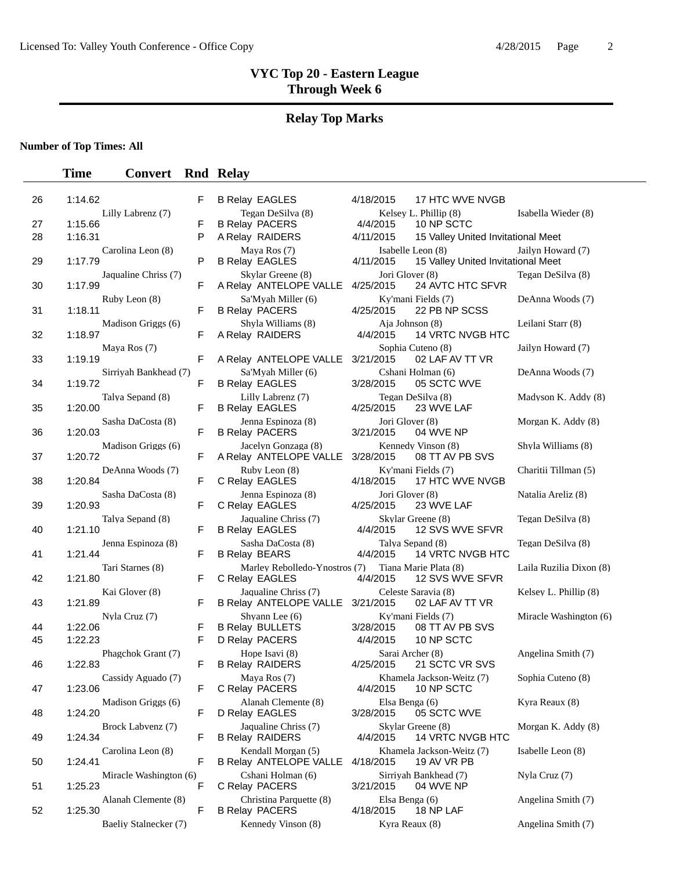# **Relay Top Marks**

**Number of Top Times: All**

| 26 | 1:14.62                           | F      | <b>B Relay EAGLES</b>                               | 4/18/2015                    | 17 HTC WVE NVGB                                         |                         |
|----|-----------------------------------|--------|-----------------------------------------------------|------------------------------|---------------------------------------------------------|-------------------------|
|    | Lilly Labrenz (7)                 |        | Tegan DeSilva (8)                                   |                              | Kelsey L. Phillip (8)                                   | Isabella Wieder (8)     |
| 27 | 1:15.66                           | F      | <b>B Relay PACERS</b>                               | 4/4/2015                     | 10 NP SCTC                                              |                         |
| 28 | 1:16.31                           | P      | A Relay RAIDERS                                     | 4/11/2015                    | 15 Valley United Invitational Meet                      |                         |
| 29 | Carolina Leon (8)<br>1:17.79      | P      | Maya Ros (7)<br><b>B Relay EAGLES</b>               | 4/11/2015                    | Isabelle Leon (8)<br>15 Valley United Invitational Meet | Jailyn Howard (7)       |
| 30 | Jaqualine Chriss (7)<br>1:17.99   | F      | Skylar Greene (8)<br>A Relay ANTELOPE VALLE         | Jori Glover (8)<br>4/25/2015 | 24 AVTC HTC SFVR                                        | Tegan DeSilva (8)       |
| 31 | Ruby Leon (8)<br>1:18.11          | F      | Sa'Myah Miller (6)<br><b>B Relay PACERS</b>         | 4/25/2015                    | Ky'mani Fields (7)<br>22 PB NP SCSS                     | DeAnna Woods (7)        |
| 32 | Madison Griggs (6)<br>1:18.97     | F      | Shyla Williams (8)<br>A Relay RAIDERS               | Aja Johnson (8)<br>4/4/2015  | 14 VRTC NVGB HTC                                        | Leilani Starr (8)       |
|    | Maya Ros (7)                      |        |                                                     |                              | Sophia Cuteno (8)                                       | Jailyn Howard (7)       |
| 33 | 1:19.19                           | F      | A Relay ANTELOPE VALLE                              | 3/21/2015                    | 02 LAF AV TT VR                                         |                         |
| 34 | Sirriyah Bankhead (7)<br>1:19.72  | F      | Sa'Myah Miller (6)<br><b>B Relay EAGLES</b>         | 3/28/2015                    | Cshani Holman (6)<br>05 SCTC WVE                        | DeAnna Woods (7)        |
| 35 | Talya Sepand (8)<br>1:20.00       | F      | Lilly Labrenz (7)<br><b>B Relay EAGLES</b>          | 4/25/2015                    | Tegan DeSilva (8)<br>23 WVE LAF                         | Madyson K. Addy (8)     |
| 36 | Sasha DaCosta (8)<br>1:20.03      | F      | Jenna Espinoza (8)<br><b>B Relay PACERS</b>         | Jori Glover (8)<br>3/21/2015 | 04 WVE NP                                               | Morgan K. Addy (8)      |
| 37 | Madison Griggs (6)<br>1:20.72     | F      | Jacelyn Gonzaga (8)<br>A Relay ANTELOPE VALLE       | 3/28/2015                    | Kennedy Vinson (8)<br>08 TT AV PB SVS                   | Shyla Williams (8)      |
| 38 | DeAnna Woods (7)<br>1:20.84       | F      | Ruby Leon (8)<br>C Relay EAGLES                     | 4/18/2015                    | Ky'mani Fields (7)<br>17 HTC WVE NVGB                   | Charitii Tillman (5)    |
| 39 | Sasha DaCosta (8)<br>1:20.93      | F      | Jenna Espinoza (8)<br>C Relay EAGLES                | Jori Glover (8)<br>4/25/2015 | 23 WVE LAF                                              | Natalia Areliz (8)      |
| 40 | Talya Sepand (8)<br>1:21.10       | F      | Jaqualine Chriss (7)<br><b>B Relay EAGLES</b>       | 4/4/2015                     | Skylar Greene (8)<br>12 SVS WVE SFVR                    | Tegan DeSilva (8)       |
| 41 | Jenna Espinoza (8)<br>1:21.44     | F      | Sasha DaCosta (8)<br><b>B Relay BEARS</b>           | 4/4/2015                     | Talya Sepand (8)<br>14 VRTC NVGB HTC                    | Tegan DeSilva (8)       |
| 42 | Tari Starnes (8)<br>1:21.80       | F      | Marley Rebolledo-Ynostros (7)<br>C Relay EAGLES     | 4/4/2015                     | Tiana Marie Plata (8)<br>12 SVS WVE SFVR                | Laila Ruzilia Dixon (8) |
| 43 | Kai Glover (8)<br>1:21.89         | F      | Jaqualine Chriss (7)<br>B Relay ANTELOPE VALLE      | 3/21/2015                    | Celeste Saravia (8)<br>02 LAF AV TT VR                  | Kelsey L. Phillip (8)   |
|    | Nyla Cruz (7)                     |        | Shyann Lee (6)                                      |                              | Ky'mani Fields (7)                                      | Miracle Washington (6)  |
| 44 | 1:22.06<br>1:22.23                | F<br>F | <b>B Relay BULLETS</b><br>D Relay PACERS            | 3/28/2015<br>4/4/2015        | 08 TT AV PB SVS<br>10 NP SCTC                           |                         |
| 45 |                                   |        | Hope Isavi (8)                                      | Sarai Archer (8)             |                                                         |                         |
| 46 | Phagchok Grant (7)<br>1:22.83     | F      | <b>B Relay RAIDERS</b>                              | 4/25/2015                    | 21 SCTC VR SVS                                          | Angelina Smith (7)      |
| 47 | Cassidy Aguado (7)<br>1:23.06     | F      | Maya Ros (7)<br>C Relay PACERS                      | 4/4/2015                     | Khamela Jackson-Weitz (7)<br>10 NP SCTC                 | Sophia Cuteno (8)       |
| 48 | Madison Griggs (6)<br>1:24.20     | F      | Alanah Clemente (8)<br>D Relay EAGLES               | Elsa Benga (6)<br>3/28/2015  | 05 SCTC WVE                                             | Kyra Reaux (8)          |
| 49 | Brock Labvenz (7)<br>1:24.34      | F      | Jaqualine Chriss (7)<br><b>B Relay RAIDERS</b>      | 4/4/2015                     | Skylar Greene (8)<br>14 VRTC NVGB HTC                   | Morgan K. Addy (8)      |
| 50 | Carolina Leon (8)<br>1:24.41      | F      | Kendall Morgan (5)<br><b>B Relay ANTELOPE VALLE</b> | 4/18/2015                    | Khamela Jackson-Weitz (7)<br>19 AV VR PB                | Isabelle Leon (8)       |
| 51 | Miracle Washington (6)<br>1:25.23 | F      | Cshani Holman (6)<br>C Relay PACERS                 | 3/21/2015                    | Sirriyah Bankhead (7)<br>04 WVE NP                      | Nyla Cruz (7)           |
| 52 | Alanah Clemente (8)<br>1:25.30    | F      | Christina Parquette (8)<br><b>B Relay PACERS</b>    | Elsa Benga (6)<br>4/18/2015  | 18 NP LAF                                               | Angelina Smith (7)      |
|    | Baeliy Stalnecker (7)             |        | Kennedy Vinson (8)                                  | Kyra Reaux (8)               |                                                         | Angelina Smith (7)      |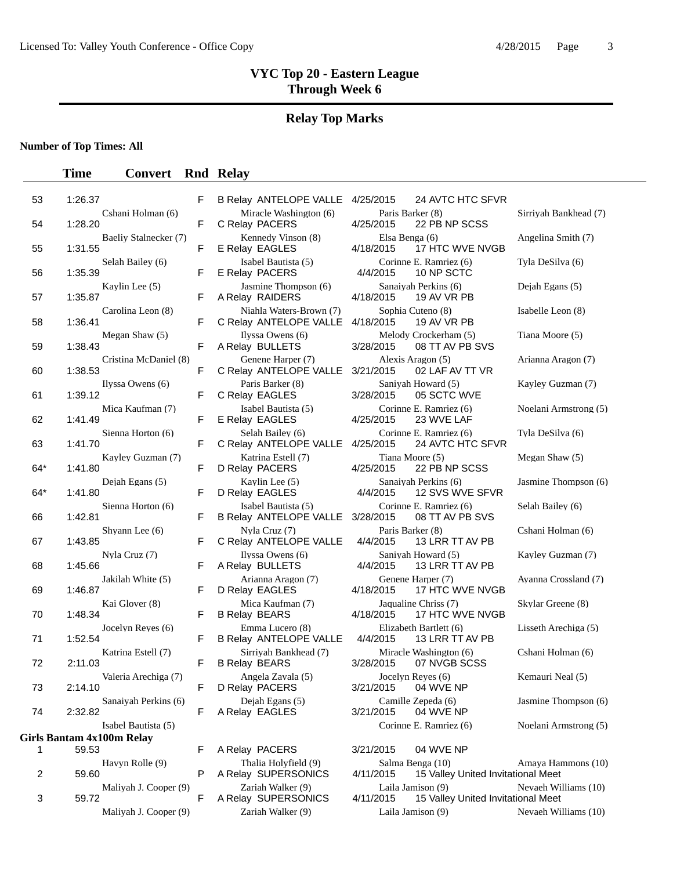#### **Relay Top Marks**

**Number of Top Times: All**

#### **Time Convert Rnd Relay**

| 53  | 1:26.37                            | F |
|-----|------------------------------------|---|
| 54  | Cshani Holman (6)<br>1:28.20       | F |
| 55  | Baeliy Stalnecker (7)<br>1:31.55   | F |
| 56  | Selah Bailey (6)<br>1:35.39        | F |
| 57  | Kaylin Lee (5)<br>1:35.87          | ŀ |
|     | Carolina Leon (8)                  |   |
| 58  | 1:36.41<br>Megan Shaw (5)          | F |
| 59  | 1:38.43<br>Cristina McDaniel (8)   | F |
| 60  | 1:38.53<br>Ilyssa Owens $(6)$      | F |
| 61  | 1:39.12<br>Mica Kaufman (7)        | F |
| 62  | 1:41.49<br>Sienna Horton (6)       | F |
| 63  | 1:41.70                            | ľ |
| 64* | Kayley Guzman (7)<br>1:41.80       | F |
| 64* | Dejah Egans (5)<br>1:41.80         | F |
| 66  | Sienna Horton (6)<br>1:42.81       | F |
| 67  | Shyann Lee (6)<br>1:43.85          | F |
| 68  | Nyla Cruz (7)<br>1:45.66           | F |
| 69  | Jakilah White (5)<br>1:46.87       | F |
| 70  | Kai Glover (8)<br>1:48.34          | ŀ |
| 71  | Jocelyn Reyes (6)<br>1:52.54       | F |
|     | Katrina Estell (7)                 |   |
| 72  | 2:11.03<br>Valeria Arechiga (7)    | ŀ |
| 73  | 2:14.10<br>Sanaiyah Perkins (6)    |   |
| 74  | 2:32.82<br>Isabel Bautista (5)     | F |
| 1   | Girls Bantam 4x100m Relay<br>59.53 | F |
| 2   | Havyn Rolle (9)<br>59.60           | Ī |
| 3   | Maliyah J. Cooper (9)<br>59.72     | F |
|     |                                    |   |

| Maliyah J. Cooper (9 |  |
|----------------------|--|
|                      |  |

| Miracle Washington (6)<br>Paris Barker (8)<br>C Relay PACERS<br>22 PB NP SCSS<br>4/25/2015<br>Kennedy Vinson (8)<br>Elsa Benga (6)<br>17 HTC WVE NVGB<br>E Relay EAGLES<br>4/18/2015<br>Isabel Bautista (5)<br>Corinne E. Ramriez (6)<br>E Relay PACERS<br>10 NP SCTC<br>4/4/2015<br>Jasmine Thompson (6)<br>Sanaiyah Perkins (6)<br>A Relay RAIDERS<br>19 AV VR PB<br>4/18/2015<br>Niahla Waters-Brown (7)<br>Sophia Cuteno (8)<br>C Relay ANTELOPE VALLE<br>19 AV VR PB<br>4/18/2015<br>Ilyssa Owens (6)<br>Melody Crockerham (5)<br>A Relay BULLETS<br>08 TT AV PB SVS<br>3/28/2015<br>Genene Harper (7)<br>Alexis Aragon (5)<br>C Relay ANTELOPE VALLE<br>02 LAF AV TT VR<br>3/21/2015<br>Paris Barker (8)<br>Saniyah Howard (5)<br>C Relay EAGLES<br>05 SCTC WVE<br>3/28/2015<br>Isabel Bautista (5)<br>Corinne E. Ramriez (6)<br>E Relay EAGLES<br>4/25/2015<br>23 WVE LAF<br>Corinne E. Ramriez (6)<br>Selah Bailey (6)<br>C Relay ANTELOPE VALLE<br>24 AVTC HTC SFVR<br>4/25/2015<br>Katrina Estell (7)<br>Tiana Moore (5)<br>4/25/2015<br>22 PB NP SCSS<br>D Relay PACERS<br>Kaylin Lee (5)<br>Sanaiyah Perkins (6)<br>D Relay EAGLES<br>12 SVS WVE SFVR<br>4/4/2015<br>Isabel Bautista (5)<br>Corinne E. Ramriez (6)<br><b>B Relay ANTELOPE VALLE</b><br>08 TT AV PB SVS<br>3/28/2015<br>Nyla Cruz (7)<br>Paris Barker (8)<br>C Relay ANTELOPE VALLE<br>4/4/2015<br>13 LRR TT AV PB<br>Ilyssa Owens (6)<br>Saniyah Howard (5)<br>A Relay BULLETS<br>13 LRR TT AV PB<br>4/4/2015<br>Arianna Aragon (7)<br>Genene Harper (7)<br>17 HTC WVE NVGB<br>D Relay EAGLES<br>4/18/2015<br>Mica Kaufman (7)<br>Jaqualine Chriss (7)<br>17 HTC WVE NVGB<br><b>B Relay BEARS</b><br>4/18/2015<br>Emma Lucero (8)<br>Elizabeth Bartlett (6)<br><b>B Relay ANTELOPE VALLE</b><br>13 LRR TT AV PB<br>4/4/2015<br>Sirriyah Bankhead (7)<br>Miracle Washington (6)<br><b>B Relay BEARS</b><br>07 NVGB SCSS<br>3/28/2015<br>Angela Zavala (5)<br>Jocelyn Reyes (6)<br>D Relay PACERS<br>04 WVE NP<br>3/21/2015<br>Dejah Egans (5)<br>Camille Zepeda (6)<br>04 WVE NP<br>A Relay EAGLES<br>3/21/2015<br>Corinne E. Ramriez (6) | F | <b>B Relay ANTELOPE VALLE</b> | 24 AVTC HTC SFVR<br>4/25/2015 |
|----------------------------------------------------------------------------------------------------------------------------------------------------------------------------------------------------------------------------------------------------------------------------------------------------------------------------------------------------------------------------------------------------------------------------------------------------------------------------------------------------------------------------------------------------------------------------------------------------------------------------------------------------------------------------------------------------------------------------------------------------------------------------------------------------------------------------------------------------------------------------------------------------------------------------------------------------------------------------------------------------------------------------------------------------------------------------------------------------------------------------------------------------------------------------------------------------------------------------------------------------------------------------------------------------------------------------------------------------------------------------------------------------------------------------------------------------------------------------------------------------------------------------------------------------------------------------------------------------------------------------------------------------------------------------------------------------------------------------------------------------------------------------------------------------------------------------------------------------------------------------------------------------------------------------------------------------------------------------------------------------------------------------------------------------------------------------------------------------------------------|---|-------------------------------|-------------------------------|
|                                                                                                                                                                                                                                                                                                                                                                                                                                                                                                                                                                                                                                                                                                                                                                                                                                                                                                                                                                                                                                                                                                                                                                                                                                                                                                                                                                                                                                                                                                                                                                                                                                                                                                                                                                                                                                                                                                                                                                                                                                                                                                                      | F |                               |                               |
|                                                                                                                                                                                                                                                                                                                                                                                                                                                                                                                                                                                                                                                                                                                                                                                                                                                                                                                                                                                                                                                                                                                                                                                                                                                                                                                                                                                                                                                                                                                                                                                                                                                                                                                                                                                                                                                                                                                                                                                                                                                                                                                      | F |                               |                               |
|                                                                                                                                                                                                                                                                                                                                                                                                                                                                                                                                                                                                                                                                                                                                                                                                                                                                                                                                                                                                                                                                                                                                                                                                                                                                                                                                                                                                                                                                                                                                                                                                                                                                                                                                                                                                                                                                                                                                                                                                                                                                                                                      | F |                               |                               |
|                                                                                                                                                                                                                                                                                                                                                                                                                                                                                                                                                                                                                                                                                                                                                                                                                                                                                                                                                                                                                                                                                                                                                                                                                                                                                                                                                                                                                                                                                                                                                                                                                                                                                                                                                                                                                                                                                                                                                                                                                                                                                                                      | F |                               |                               |
|                                                                                                                                                                                                                                                                                                                                                                                                                                                                                                                                                                                                                                                                                                                                                                                                                                                                                                                                                                                                                                                                                                                                                                                                                                                                                                                                                                                                                                                                                                                                                                                                                                                                                                                                                                                                                                                                                                                                                                                                                                                                                                                      | F |                               |                               |
|                                                                                                                                                                                                                                                                                                                                                                                                                                                                                                                                                                                                                                                                                                                                                                                                                                                                                                                                                                                                                                                                                                                                                                                                                                                                                                                                                                                                                                                                                                                                                                                                                                                                                                                                                                                                                                                                                                                                                                                                                                                                                                                      | F |                               |                               |
|                                                                                                                                                                                                                                                                                                                                                                                                                                                                                                                                                                                                                                                                                                                                                                                                                                                                                                                                                                                                                                                                                                                                                                                                                                                                                                                                                                                                                                                                                                                                                                                                                                                                                                                                                                                                                                                                                                                                                                                                                                                                                                                      | F |                               |                               |
|                                                                                                                                                                                                                                                                                                                                                                                                                                                                                                                                                                                                                                                                                                                                                                                                                                                                                                                                                                                                                                                                                                                                                                                                                                                                                                                                                                                                                                                                                                                                                                                                                                                                                                                                                                                                                                                                                                                                                                                                                                                                                                                      | F |                               |                               |
|                                                                                                                                                                                                                                                                                                                                                                                                                                                                                                                                                                                                                                                                                                                                                                                                                                                                                                                                                                                                                                                                                                                                                                                                                                                                                                                                                                                                                                                                                                                                                                                                                                                                                                                                                                                                                                                                                                                                                                                                                                                                                                                      | F |                               |                               |
|                                                                                                                                                                                                                                                                                                                                                                                                                                                                                                                                                                                                                                                                                                                                                                                                                                                                                                                                                                                                                                                                                                                                                                                                                                                                                                                                                                                                                                                                                                                                                                                                                                                                                                                                                                                                                                                                                                                                                                                                                                                                                                                      | F |                               |                               |
|                                                                                                                                                                                                                                                                                                                                                                                                                                                                                                                                                                                                                                                                                                                                                                                                                                                                                                                                                                                                                                                                                                                                                                                                                                                                                                                                                                                                                                                                                                                                                                                                                                                                                                                                                                                                                                                                                                                                                                                                                                                                                                                      | F |                               |                               |
|                                                                                                                                                                                                                                                                                                                                                                                                                                                                                                                                                                                                                                                                                                                                                                                                                                                                                                                                                                                                                                                                                                                                                                                                                                                                                                                                                                                                                                                                                                                                                                                                                                                                                                                                                                                                                                                                                                                                                                                                                                                                                                                      | F |                               |                               |
|                                                                                                                                                                                                                                                                                                                                                                                                                                                                                                                                                                                                                                                                                                                                                                                                                                                                                                                                                                                                                                                                                                                                                                                                                                                                                                                                                                                                                                                                                                                                                                                                                                                                                                                                                                                                                                                                                                                                                                                                                                                                                                                      | F |                               |                               |
|                                                                                                                                                                                                                                                                                                                                                                                                                                                                                                                                                                                                                                                                                                                                                                                                                                                                                                                                                                                                                                                                                                                                                                                                                                                                                                                                                                                                                                                                                                                                                                                                                                                                                                                                                                                                                                                                                                                                                                                                                                                                                                                      | F |                               |                               |
|                                                                                                                                                                                                                                                                                                                                                                                                                                                                                                                                                                                                                                                                                                                                                                                                                                                                                                                                                                                                                                                                                                                                                                                                                                                                                                                                                                                                                                                                                                                                                                                                                                                                                                                                                                                                                                                                                                                                                                                                                                                                                                                      | F |                               |                               |
|                                                                                                                                                                                                                                                                                                                                                                                                                                                                                                                                                                                                                                                                                                                                                                                                                                                                                                                                                                                                                                                                                                                                                                                                                                                                                                                                                                                                                                                                                                                                                                                                                                                                                                                                                                                                                                                                                                                                                                                                                                                                                                                      | F |                               |                               |
|                                                                                                                                                                                                                                                                                                                                                                                                                                                                                                                                                                                                                                                                                                                                                                                                                                                                                                                                                                                                                                                                                                                                                                                                                                                                                                                                                                                                                                                                                                                                                                                                                                                                                                                                                                                                                                                                                                                                                                                                                                                                                                                      | F |                               |                               |
|                                                                                                                                                                                                                                                                                                                                                                                                                                                                                                                                                                                                                                                                                                                                                                                                                                                                                                                                                                                                                                                                                                                                                                                                                                                                                                                                                                                                                                                                                                                                                                                                                                                                                                                                                                                                                                                                                                                                                                                                                                                                                                                      | F |                               |                               |
|                                                                                                                                                                                                                                                                                                                                                                                                                                                                                                                                                                                                                                                                                                                                                                                                                                                                                                                                                                                                                                                                                                                                                                                                                                                                                                                                                                                                                                                                                                                                                                                                                                                                                                                                                                                                                                                                                                                                                                                                                                                                                                                      | F |                               |                               |
|                                                                                                                                                                                                                                                                                                                                                                                                                                                                                                                                                                                                                                                                                                                                                                                                                                                                                                                                                                                                                                                                                                                                                                                                                                                                                                                                                                                                                                                                                                                                                                                                                                                                                                                                                                                                                                                                                                                                                                                                                                                                                                                      | F |                               |                               |
|                                                                                                                                                                                                                                                                                                                                                                                                                                                                                                                                                                                                                                                                                                                                                                                                                                                                                                                                                                                                                                                                                                                                                                                                                                                                                                                                                                                                                                                                                                                                                                                                                                                                                                                                                                                                                                                                                                                                                                                                                                                                                                                      | F |                               |                               |
|                                                                                                                                                                                                                                                                                                                                                                                                                                                                                                                                                                                                                                                                                                                                                                                                                                                                                                                                                                                                                                                                                                                                                                                                                                                                                                                                                                                                                                                                                                                                                                                                                                                                                                                                                                                                                                                                                                                                                                                                                                                                                                                      |   |                               |                               |

P A Relay SUPERSONICS 4/11/2015 15 Valley United Invitational Meet  $\sum_{i=1}^{\infty} \text{Zariah Walker (9)}$  Laila Jamison (9) Nevaeh Williams (10) A Relay SUPERSONICS 4/11/2015 15 Valley United Invitational Meet Maliyah J. Cooper (9) Zariah Walker (9) Laila Jamison (9) Nevaeh Williams (10)

Miracle Washington (6) Paris Barker (8) Sirriyah Bankhead (7)<br>F C Relay PACERS 4/25/2015 22 PB NP SCSS 22 PB NP SCSS Kennedy Vinson (8) Elsa Benga (6) Angelina Smith (7) 1/18/2015 17 HTC WVE NVGB Corinne E. Ramriez (6) Tyla DeSilva (6) 4/4/2015 10 NP SCTC Sanaiyah Perkins (6) Dejah Egans (5) 1/18/2015 19 AV VR PB Sophia Cuteno (8) Isabelle Leon (8) 4/18/2015 19 AV VR PB Melody Crockerham (5) Tiana Moore (5) 3/28/2015 08 TT AV PB SVS Alexis Aragon (5) Arianna Aragon (7) 8/21/2015 02 LAF AV TT VR Saniyah Howard (5) Kayley Guzman (7) 8/28/2015 05 SCTC WVE Corinne E. Ramriez (6) Noelani Armstrong (5) <br>V25/2015 23 WVE LAF 23 WVE LAF Corinne E. Ramriez (6) Tyla DeSilva (6) F C Relay ANTELOPE VALLE 4/25/2015 24 AVTC HTC SFVR Katrina Estell (7) Tiana Moore (5) Megan Shaw (5) 64 D Relay PACERS 4/25/2015 \* 1:41.80 F 22 PB NP SCSS Sanaiyah Perkins (6) Jasmine Thompson (6) 4/4/2015 12 SVS WVE SFVR Corinne E. Ramriez (6) Selah Bailey (6) 8/28/2015 08 TT AV PB SVS Paris Barker (8) Cshani Holman (6) 4/4/2015 13 LRR TT AV PB Saniyah Howard (5) Kayley Guzman (7) F A Relay BULLETS 4/4/2015 13 LRR TT AV PB Arianna Aragon (7) Genene Harper (7) Ayanna Crossland (7)<br>F D Pelay EAGLES 4/18/2015 17 HTC MALE NACR 69 17 HTC WVE NVGB Jaqualine Chriss (7) Skylar Greene (8) 1/18/2015 17 HTC WVE NVGB Elizabeth Bartlett (6) Lisseth Arechiga (5) F B Relay ANTELOPE VALLE 4/4/2015 13 LRR TT AV PB Sirriyah Bankhead (7) Miracle Washington (6) Cshani Holman (6)<br>F B Relay BEARS 3/28/2015 07 NVGB SCSS 07 NVGB SCSS Angela Zavala (5)  $\frac{1}{2}$  Jocelyn Reyes (6) Kemauri Neal (5) 3/21/2015 04 WVE NP Sanaje Dejah Egans (5) Camille Zepeda (6) Jasmine Thompson (6) Dejah Egans (5) Camille Zepeda (6) Jasmine Thompson (6) 8/21/2015 04 WVE NP Corinne E. Ramriez (6) Noelani Armstrong (5) F A Relay PACERS 3/21/2015 04 WVE NP Havyn Rolle (9) Thalia Holyfield (9) Salma Benga (10) Amaya Hammons (10)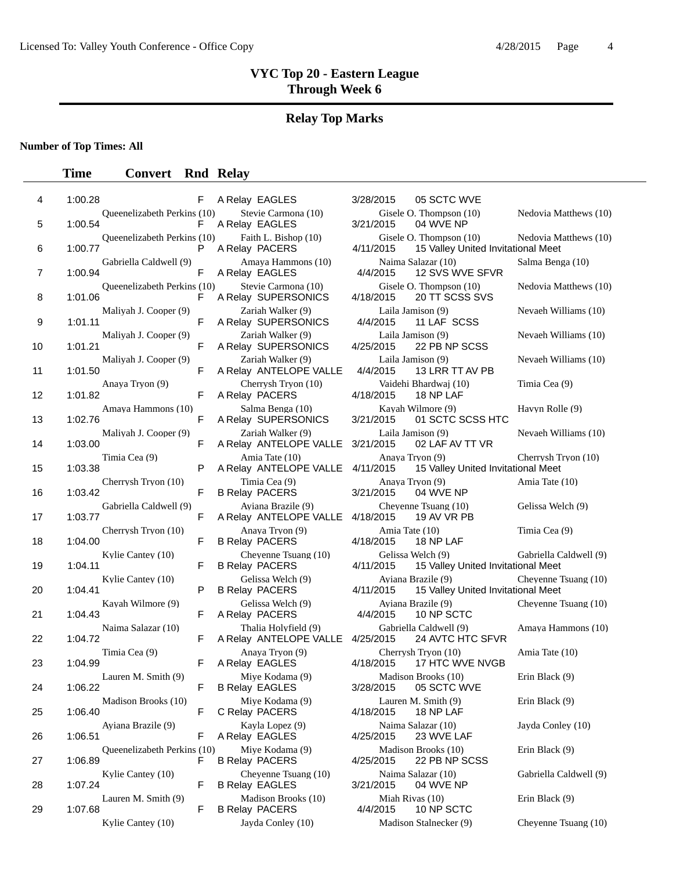# **Relay Top Marks**

### **Number of Top Times: All**

| 4  | 1:00.28                                | F | A Relay EAGLES                                     | 3/28/2015                      | 05 SCTC WVE                                                   |                        |
|----|----------------------------------------|---|----------------------------------------------------|--------------------------------|---------------------------------------------------------------|------------------------|
| 5  | Queenelizabeth Perkins (10)<br>1:00.54 | F | Stevie Carmona (10)<br>A Relay EAGLES              | 3/21/2015                      | Gisele O. Thompson (10)<br>04 WVE NP                          | Nedovia Matthews (10)  |
| 6  | Queenelizabeth Perkins (10)<br>1:00.77 | P | Faith L. Bishop (10)<br>A Relay PACERS             | 4/11/2015                      | Gisele O. Thompson (10)<br>15 Valley United Invitational Meet | Nedovia Matthews (10)  |
| 7  | Gabriella Caldwell (9)<br>1:00.94      | F | Amaya Hammons (10)<br>A Relay EAGLES               | 4/4/2015                       | Naima Salazar (10)<br>12 SVS WVE SFVR                         | Salma Benga (10)       |
| 8  | Queenelizabeth Perkins (10)<br>1:01.06 | F | Stevie Carmona (10)<br>A Relay SUPERSONICS         | 4/18/2015                      | Gisele O. Thompson (10)<br>20 TT SCSS SVS                     | Nedovia Matthews (10)  |
| 9  | Maliyah J. Cooper (9)<br>1:01.11       | F | Zariah Walker (9)<br>A Relay SUPERSONICS           | Laila Jamison (9)<br>4/4/2015  | 11 LAF SCSS                                                   | Nevaeh Williams (10)   |
| 10 | Maliyah J. Cooper (9)<br>1:01.21       | F | Zariah Walker (9)<br>A Relay SUPERSONICS           | Laila Jamison (9)<br>4/25/2015 | 22 PB NP SCSS                                                 | Nevaeh Williams (10)   |
| 11 | Maliyah J. Cooper (9)<br>1:01.50       | F | Zariah Walker (9)<br>A Relay ANTELOPE VALLE        | Laila Jamison (9)<br>4/4/2015  | 13 LRR TT AV PB                                               | Nevaeh Williams (10)   |
| 12 | Anaya Tryon (9)<br>1:01.82             | F | Cherrysh Tryon (10)<br>A Relay PACERS              | 4/18/2015                      | Vaidehi Bhardwaj (10)<br>18 NP LAF                            | Timia Cea (9)          |
| 13 | Amaya Hammons (10)<br>1:02.76          | F | Salma Benga (10)<br>A Relay SUPERSONICS            | 3/21/2015                      | Kayah Wilmore (9)<br>01 SCTC SCSS HTC                         | Havyn Rolle (9)        |
| 14 | Maliyah J. Cooper (9)<br>1:03.00       | F | Zariah Walker (9)<br>A Relay ANTELOPE VALLE        | Laila Jamison (9)<br>3/21/2015 | 02 LAF AV TT VR                                               | Nevaeh Williams (10)   |
| 15 | Timia Cea (9)<br>1:03.38               | P | Amia Tate (10)<br>A Relay ANTELOPE VALLE 4/11/2015 | Anaya Tryon (9)                | 15 Valley United Invitational Meet                            | Cherrysh Tryon (10)    |
| 16 | Cherrysh Tryon (10)<br>1:03.42         | F | Timia Cea (9)<br><b>B Relay PACERS</b>             | Anaya Tryon (9)<br>3/21/2015   | 04 WVE NP                                                     | Amia Tate (10)         |
| 17 | Gabriella Caldwell (9)<br>1:03.77      | F | Aviana Brazile (9)<br>A Relay ANTELOPE VALLE       | 4/18/2015                      | Cheyenne Tsuang (10)<br>19 AV VR PB                           | Gelissa Welch (9)      |
| 18 | Cherrysh Tryon (10)<br>1:04.00         | F | Anaya Tryon (9)<br><b>B Relay PACERS</b>           | Amia Tate (10)<br>4/18/2015    | 18 NP LAF                                                     | Timia Cea (9)          |
| 19 | Kylie Cantey (10)<br>1:04.11           | F | Cheyenne Tsuang (10)<br><b>B Relay PACERS</b>      | Gelissa Welch (9)<br>4/11/2015 | 15 Valley United Invitational Meet                            | Gabriella Caldwell (9) |
| 20 | Kylie Cantey (10)<br>1:04.41           | P | Gelissa Welch (9)<br><b>B Relay PACERS</b>         | 4/11/2015                      | Ayiana Brazile (9)<br>15 Valley United Invitational Meet      | Cheyenne Tsuang (10)   |
| 21 | Kayah Wilmore (9)<br>1:04.43           | F | Gelissa Welch (9)<br>A Relay PACERS                | 4/4/2015                       | Ayiana Brazile (9)<br>10 NP SCTC                              | Cheyenne Tsuang (10)   |
| 22 | Naima Salazar (10)<br>1:04.72          | F | Thalia Holyfield (9)<br>A Relay ANTELOPE VALLE     | 4/25/2015                      | Gabriella Caldwell (9)<br>24 AVTC HTC SFVR                    | Amaya Hammons (10)     |
| 23 | Timia Cea (9)<br>1:04.99               | F | Anava Trvon (9)<br>A Relay EAGLES                  | 4/18/2015                      | Cherrysh Tryon (10)<br>17 HTC WVE NVGB                        | Amia Tate (10)         |
| 24 | Lauren M. Smith (9)<br>1:06.22         | F | Miye Kodama (9)<br><b>B Relay EAGLES</b>           |                                | Madison Brooks (10)<br>3/28/2015   05 SCTC WVE                | Erin Black (9)         |
| 25 | Madison Brooks (10)<br>1:06.40         | F | Miye Kodama (9)<br>C Relay PACERS                  | 4/18/2015                      | Lauren M. Smith (9)<br>18 NP LAF                              | Erin Black (9)         |
| 26 | Ayiana Brazile (9)<br>1:06.51          | F | Kayla Lopez (9)<br>A Relay EAGLES                  | 4/25/2015                      | Naima Salazar (10)<br>23 WVE LAF                              | Jayda Conley (10)      |
| 27 | Queenelizabeth Perkins (10)<br>1:06.89 | F | Miye Kodama (9)<br><b>B Relay PACERS</b>           | 4/25/2015                      | Madison Brooks (10)<br>22 PB NP SCSS                          | Erin Black (9)         |
| 28 | Kylie Cantey (10)<br>1:07.24           | F | Cheyenne Tsuang (10)<br><b>B Relay EAGLES</b>      | 3/21/2015                      | Naima Salazar (10)<br>04 WVE NP                               | Gabriella Caldwell (9) |
| 29 | Lauren M. Smith (9)<br>1:07.68         | F | Madison Brooks (10)<br><b>B Relay PACERS</b>       | Miah Rivas (10)<br>4/4/2015    | 10 NP SCTC                                                    | Erin Black (9)         |
|    | Kylie Cantey (10)                      |   | Jayda Conley (10)                                  |                                | Madison Stalnecker (9)                                        | Cheyenne Tsuang (10)   |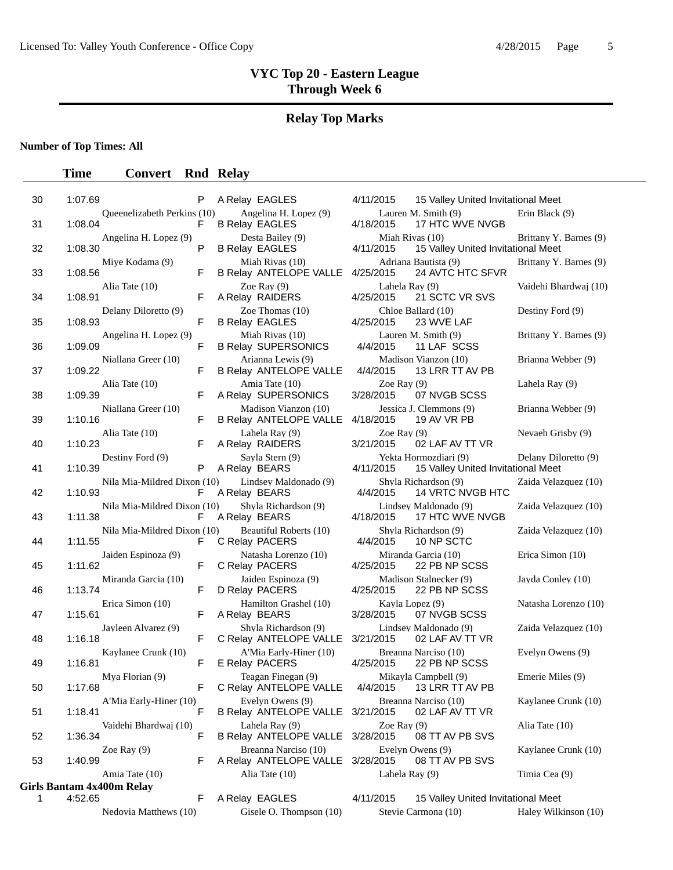# **Relay Top Marks**

**Number of Top Times: All**

| 30 | 1:07.69                                | Ρ  | A Relay EAGLES                                                        | 4/11/2015                    | 15 Valley United Invitational Meet                          |                        |
|----|----------------------------------------|----|-----------------------------------------------------------------------|------------------------------|-------------------------------------------------------------|------------------------|
| 31 | Queenelizabeth Perkins (10)<br>1:08.04 | F  | Angelina H. Lopez (9)<br><b>B Relay EAGLES</b>                        | 4/18/2015                    | Lauren M. Smith (9)<br>17 HTC WVE NVGB                      | Erin Black (9)         |
| 32 | Angelina H. Lopez (9)<br>1:08.30       | P  | Desta Bailey (9)<br><b>B Relay EAGLES</b>                             | Miah Rivas (10)<br>4/11/2015 | 15 Valley United Invitational Meet                          | Brittany Y. Barnes (9) |
| 33 | Miye Kodama (9)<br>1:08.56             | F  | Miah Rivas (10)<br>B Relay ANTELOPE VALLE 4/25/2015                   |                              | Adriana Bautista (9)<br>24 AVTC HTC SFVR                    | Brittany Y. Barnes (9) |
| 34 | Alia Tate (10)<br>1:08.91              | F  | Zoe Ray $(9)$<br>A Relay RAIDERS                                      | Lahela Ray (9)<br>4/25/2015  | 21 SCTC VR SVS                                              | Vaidehi Bhardwaj (10)  |
| 35 | Delany Diloretto (9)<br>1:08.93        | F  | Zoe Thomas $(10)$<br><b>B Relay EAGLES</b>                            | 4/25/2015                    | Chloe Ballard (10)<br>23 WVE LAF                            | Destiny Ford (9)       |
| 36 | Angelina H. Lopez (9)<br>1:09.09       | F  | Miah Rivas (10)<br><b>B Relay SUPERSONICS</b>                         | 4/4/2015                     | Lauren M. Smith (9)<br>11 LAF SCSS                          | Brittany Y. Barnes (9) |
| 37 | Niallana Greer (10)<br>1:09.22         | F  | Arianna Lewis (9)<br><b>B Relay ANTELOPE VALLE</b>                    | 4/4/2015                     | Madison Vianzon (10)<br>13 LRR TT AV PB                     | Brianna Webber (9)     |
| 38 | Alia Tate (10)<br>1:09.39              | F  | Amia Tate (10)<br>A Relay SUPERSONICS                                 | Zoe Ray $(9)$<br>3/28/2015   | 07 NVGB SCSS                                                | Lahela Ray (9)         |
| 39 | Niallana Greer (10)<br>1:10.16         | F  | Madison Vianzon (10)<br>B Relay ANTELOPE VALLE                        | 4/18/2015                    | Jessica J. Clemmons (9)<br>19 AV VR PB                      | Brianna Webber (9)     |
| 40 | Alia Tate (10)<br>1:10.23              | F  | Lahela Ray (9)<br>A Relay RAIDERS                                     | Zoe Ray $(9)$<br>3/21/2015   | 02 LAF AV TT VR                                             | Nevaeh Grisby (9)      |
| 41 | Destiny Ford (9)<br>1:10.39            | P  | Sayla Stern (9)<br>A Relay BEARS                                      | 4/11/2015                    | Yekta Hormozdiari (9)<br>15 Valley United Invitational Meet | Delany Diloretto (9)   |
| 42 | Nila Mia-Mildred Dixon (10)<br>1:10.93 | F  | Lindsey Maldonado (9)<br>A Relay BEARS                                | 4/4/2015                     | Shyla Richardson (9)<br>14 VRTC NVGB HTC                    | Zaida Velazquez (10)   |
| 43 | Nila Mia-Mildred Dixon (10)<br>1:11.38 | F  | Shyla Richardson (9)<br>A Relay BEARS                                 | 4/18/2015                    | Lindsey Maldonado (9)<br>17 HTC WVE NVGB                    | Zaida Velazquez (10)   |
| 44 | Nila Mia-Mildred Dixon (10)<br>1:11.55 | F. | Beautiful Roberts (10)<br>C Relay PACERS                              | 4/4/2015                     | Shyla Richardson (9)<br>10 NP SCTC                          | Zaida Velazquez (10)   |
| 45 | Jaiden Espinoza (9)<br>1:11.62         | F  | Natasha Lorenzo (10)<br>C Relay PACERS                                | 4/25/2015                    | Miranda Garcia (10)<br>22 PB NP SCSS                        | Erica Simon (10)       |
| 46 | Miranda Garcia (10)<br>1:13.74         | F  | Jaiden Espinoza (9)<br>D Relay PACERS                                 | 4/25/2015                    | Madison Stalnecker (9)<br>22 PB NP SCSS                     | Jayda Conley (10)      |
| 47 | Erica Simon (10)<br>1:15.61            | F  | Hamilton Grashel (10)<br>A Relay BEARS                                | Kayla Lopez (9)<br>3/28/2015 | 07 NVGB SCSS                                                | Natasha Lorenzo (10)   |
| 48 | Jayleen Alvarez (9)<br>1:16.18         | F  | Shyla Richardson (9)<br>C Relay ANTELOPE VALLE                        | 3/21/2015                    | Lindsey Maldonado (9)<br>02 LAF AV TT VR                    | Zaida Velazquez (10)   |
| 49 | Kaylanee Crunk (10)<br>1:16.81         | F  | A'Mia Early-Hiner (10)<br>E Relay PACERS                              | 4/25/2015                    | Breanna Narciso (10)<br>22 PB NP SCSS                       | Evelyn Owens (9)       |
| 50 | Mya Florian (9)<br>1:17.68             | F  | Teagan Finegan (9)<br>C Relay ANTELOPE VALLE 4/4/2015 13 LRR TT AV PB |                              | Mikayla Campbell (9)                                        | Emerie Miles (9)       |
| 51 | A'Mia Early-Hiner (10)<br>1:18.41      | F  | Evelyn Owens (9)<br>B Relay ANTELOPE VALLE 3/21/2015                  |                              | Breanna Narciso (10)<br>02 LAF AV TT VR                     | Kaylanee Crunk (10)    |
| 52 | Vaidehi Bhardwaj (10)<br>1:36.34       | F  | Lahela Ray (9)<br>B Relay ANTELOPE VALLE 3/28/2015                    | Zoe Ray $(9)$                | 08 TT AV PB SVS                                             | Alia Tate (10)         |
| 53 | Zoe Ray $(9)$<br>1:40.99               | F  | Breanna Narciso (10)<br>A Relay ANTELOPE VALLE 3/28/2015              |                              | Evelyn Owens (9)<br>08 TT AV PB SVS                         | Kaylanee Crunk (10)    |
|    | Amia Tate (10)                         |    | Alia Tate (10)                                                        | Lahela Ray (9)               |                                                             | Timia Cea (9)          |
|    | <b>Girls Bantam 4x400m Relay</b>       |    |                                                                       |                              |                                                             |                        |
| 1  | 4:52.65                                | F  | A Relay EAGLES                                                        | 4/11/2015                    | 15 Valley United Invitational Meet                          |                        |
|    | Nedovia Matthews (10)                  |    | Gisele O. Thompson (10)                                               |                              | Stevie Carmona (10)                                         | Haley Wilkinson (10)   |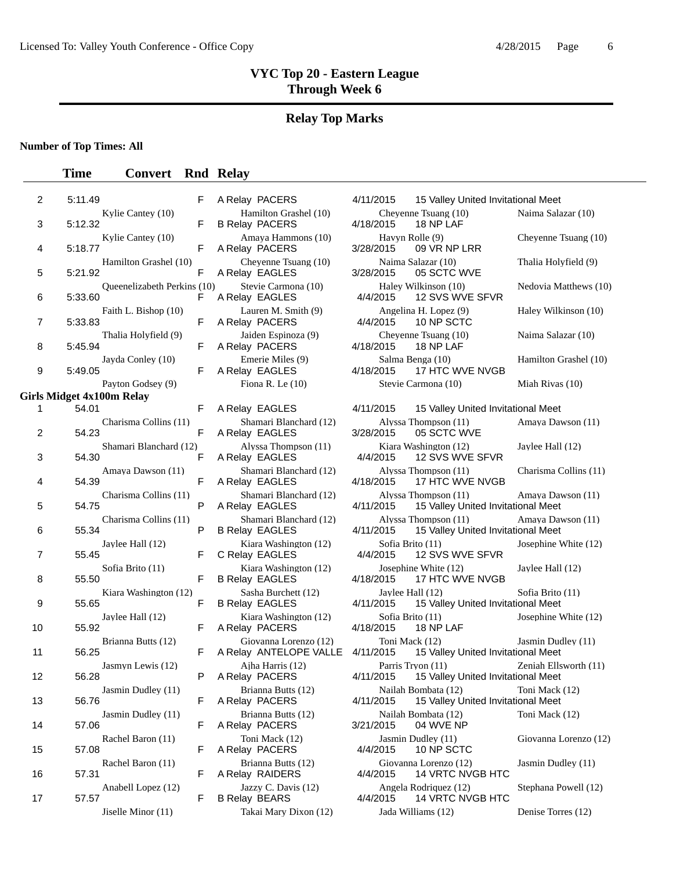#### **Relay Top Marks**

#### **Number of Top Times: All**

#### **Time Convert Rnd Relay**

| 2  | 5:11.49                   |                             | F |  | A Relay PACERS                         |
|----|---------------------------|-----------------------------|---|--|----------------------------------------|
|    |                           | Kylie Cantey (10)           |   |  | <b>Hamilton Gras</b>                   |
| 3  | 5:12.32                   |                             | F |  | <b>B Relay PACERS</b>                  |
| 4  | 5:18.77                   | Kylie Cantey (10)           | F |  | Amaya Hamm<br>A Relay PACERS           |
|    |                           | Hamilton Grashel (10)       |   |  | Cheyenne Tsu                           |
| 5  | 5:21.92                   |                             | F |  | A Relay EAGLES                         |
|    |                           | Queenelizabeth Perkins (10) |   |  | <b>Stevie Carmor</b>                   |
| 6  | 5:33.60                   | Faith L. Bishop (10)        | F |  | A Relay EAGLES<br>Lauren M. Sm         |
| 7  | 5:33.83                   |                             | F |  | A Relay PACERS                         |
|    |                           | Thalia Holyfield (9)        |   |  | Jaiden Espino:                         |
| 8  | 5:45.94                   |                             | F |  | A Relay PACERS                         |
| 9  | 5:49.05                   | Jayda Conley (10)           | F |  | <b>Emerie Miles</b><br>A Relay EAGLES  |
|    |                           | Payton Godsey (9)           |   |  | Fiona R. Le (1                         |
|    | Girls Midget 4x100m Relay |                             |   |  |                                        |
| 1  | 54.01                     |                             | F |  | A Relay EAGLES                         |
|    |                           | Charisma Collins (11)       |   |  | Shamari Bland                          |
| 2  | 54.23                     |                             | F |  | A Relay EAGLES                         |
|    | 54.30                     | Shamari Blanchard (12)      | F |  | Alyssa Thomp<br>A Relay EAGLES         |
| 3  |                           | Amaya Dawson (11)           |   |  | Shamari Bland                          |
| 4  | 54.39                     |                             | F |  | A Relay EAGLES                         |
|    |                           | Charisma Collins (11)       |   |  | Shamari Bland                          |
| 5  | 54.75                     |                             | P |  | A Relay EAGLES                         |
| 6  | 55.34                     | Charisma Collins (11)       | P |  | Shamari Bland<br><b>B Relay EAGLES</b> |
|    |                           | Jaylee Hall (12)            |   |  | Kiara Washing                          |
| 7  | 55.45                     |                             | F |  | C Relay EAGLES                         |
|    |                           | Sofia Brito (11)            |   |  | Kiara Washing                          |
| 8  | 55.50                     |                             | F |  | <b>B Relay EAGLES</b><br>Sasha Burchet |
| 9  | 55.65                     | Kiara Washington (12)       | F |  | <b>B Relay EAGLES</b>                  |
|    |                           | Jaylee Hall (12)            |   |  | Kiara Washing                          |
| 10 | 55.92                     |                             | F |  | A Relay PACERS                         |
|    |                           | Brianna Butts (12)          |   |  | Giovanna Lore                          |
| 11 | 56.25                     |                             | F |  | A Relay ANTELO<br>Ajha Harris (1       |
| 12 | 56.28                     | Jasmyn Lewis (12)           | P |  | A Relay PACERS                         |
|    |                           | Jasmin Dudley (11)          |   |  | Brianna Butts                          |
| 13 | 56.76                     |                             | F |  | A Relay PACERS                         |
| 14 | 57.06                     | Jasmin Dudley (11)          | F |  | Brianna Butts<br>A Relay PACERS        |
|    |                           | Rachel Baron (11)           |   |  | Toni Mack (12                          |
| 15 | 57.08                     |                             | F |  | A Relay PACERS                         |
|    |                           | Rachel Baron (11)           |   |  | <b>Brianna Butts</b>                   |
| 16 | 57.31                     |                             | F |  | A Relay RAIDERS                        |
| 17 |                           | Anabell Lopez (12)          | F |  | Jazzy C. Davi:                         |
|    | 57.57                     |                             |   |  | <b>B Relay BEARS</b>                   |

|                                | F | A Relay PACERS                                  | 4/11/2015                     | 15 Valley United Invitational Meet                         |                       |
|--------------------------------|---|-------------------------------------------------|-------------------------------|------------------------------------------------------------|-----------------------|
| Kylie Cantey (10)              | F | Hamilton Grashel (10)<br><b>B Relay PACERS</b>  | 4/18/2015                     | Cheyenne Tsuang (10)<br>18 NP LAF                          | Naima Salazar (10)    |
| Kylie Cantey (10)              | F | Amaya Hammons (10)<br>A Relay PACERS            | 3/28/2015                     | Havyn Rolle (9)<br>09 VR NP LRR                            | Cheyenne Tsuang (10)  |
| Hamilton Grashel (10)          | F | Cheyenne Tsuang (10)<br>A Relay EAGLES          | 3/28/2015                     | Naima Salazar (10)<br>05 SCTC WVE                          | Thalia Holyfield (9)  |
| Oueenelizabeth Perkins (10)    | F | Stevie Carmona (10)<br>A Relay EAGLES           | 4/4/2015                      | Haley Wilkinson (10)<br>12 SVS WVE SFVR                    | Nedovia Matthews (10) |
| Faith L. Bishop (10)           | F | Lauren M. Smith (9)<br>A Relay PACERS           | 4/4/2015                      | Angelina H. Lopez (9)<br>10 NP SCTC                        | Haley Wilkinson (10)  |
| Thalia Holyfield (9)           | F | Jaiden Espinoza (9)<br>A Relay PACERS           | 4/18/2015                     | Cheyenne Tsuang (10)<br>18 NP LAF                          | Naima Salazar (10)    |
| Jayda Conley (10)              | F | Emerie Miles (9)<br>A Relay EAGLES              | 4/18/2015                     | Salma Benga (10)<br>17 HTC WVE NVGB                        | Hamilton Grashel (10) |
| Payton Godsey (9)<br>00m Relay |   | Fiona R. Le $(10)$                              |                               | Stevie Carmona (10)                                        | Miah Rivas (10)       |
|                                | F | A Relay EAGLES                                  | 4/11/2015                     | 15 Valley United Invitational Meet                         |                       |
| Charisma Collins (11)          | F | Shamari Blanchard (12)<br>A Relay EAGLES        | 3/28/2015                     | Alyssa Thompson (11)<br>05 SCTC WVE                        | Amaya Dawson (11)     |
| Shamari Blanchard (12)         | F | Alyssa Thompson (11)<br>A Relay EAGLES          | 4/4/2015                      | Kiara Washington (12)<br>12 SVS WVE SFVR                   | Jaylee Hall (12)      |
| Amaya Dawson (11)              | F | Shamari Blanchard (12)<br>A Relay EAGLES        | 4/18/2015                     | Alyssa Thompson (11)<br>17 HTC WVE NVGB                    | Charisma Collins (11) |
| Charisma Collins (11)          | P | Shamari Blanchard (12)<br>A Relay EAGLES        | 4/11/2015                     | Alyssa Thompson (11)<br>15 Valley United Invitational Meet | Amaya Dawson (11)     |
| Charisma Collins (11)          | P | Shamari Blanchard (12)<br><b>B Relay EAGLES</b> | 4/11/2015                     | Alyssa Thompson (11)<br>15 Valley United Invitational Meet | Amaya Dawson (11)     |
| Jaylee Hall (12)               | F | Kiara Washington (12)<br>C Relay EAGLES         | Sofia Brito (11)<br>4/4/2015  | 12 SVS WVE SFVR                                            | Josephine White (12)  |
| Sofia Brito (11)               | F | Kiara Washington (12)<br><b>B Relay EAGLES</b>  | 4/18/2015                     | Josephine White (12)<br>17 HTC WVE NVGB                    | Jaylee Hall (12)      |
| Kiara Washington (12)          | F | Sasha Burchett (12)<br><b>B Relay EAGLES</b>    | 4/11/2015                     | Jaylee Hall (12)<br>15 Valley United Invitational Meet     | Sofia Brito (11)      |
| Jaylee Hall (12)               | F | Kiara Washington (12)<br>A Relay PACERS         | Sofia Brito (11)<br>4/18/2015 | 18 NP LAF                                                  | Josephine White (12)  |
| Brianna Butts (12)             | F | Giovanna Lorenzo (12)<br>A Relay ANTELOPE VALLE | Toni Mack (12)<br>4/11/2015   | 15 Valley United Invitational Meet                         | Jasmin Dudley (11)    |
| Jasmyn Lewis (12)              | P | Ajha Harris (12)<br>A Relay PACERS              | 4/11/2015                     | Parris Tryon (11)<br>15 Valley United Invitational Meet    | Zeniah Ellsworth (11) |
| Jasmin Dudley (11)             | F | Brianna Butts (12)<br>A Relay PACERS            | 4/11/2015                     | Nailah Bombata (12)<br>15 Valley United Invitational Meet  | Toni Mack (12)        |
| Jasmin Dudley (11)             | F | Brianna Butts (12)<br>A Relay PACERS            | 3/21/2015                     | Nailah Bombata (12)<br>04 WVE NP                           | Toni Mack (12)        |
| Rachel Baron (11)              | F | Toni Mack (12)<br>A Relay PACERS                | 4/4/2015                      | Jasmin Dudley (11)<br>10 NP SCTC                           | Giovanna Lorenzo (12) |
| Rachel Baron (11)              | F | Brianna Butts (12)<br>A Relay RAIDERS           | 4/4/2015                      | Giovanna Lorenzo (12)<br>14 VRTC NVGB HTC                  | Jasmin Dudley (11)    |
| Anabell Lopez (12)             | F | Jazzy C. Davis (12)<br><b>B Relay BEARS</b>     | 4/4/2015                      | Angela Rodriquez (12)<br>14 VRTC NVGB HTC                  | Stephana Powell (12)  |
| Jiselle Minor (11)             |   | Takai Mary Dixon (12)                           |                               | Jada Williams (12)                                         | Denise Torres (12)    |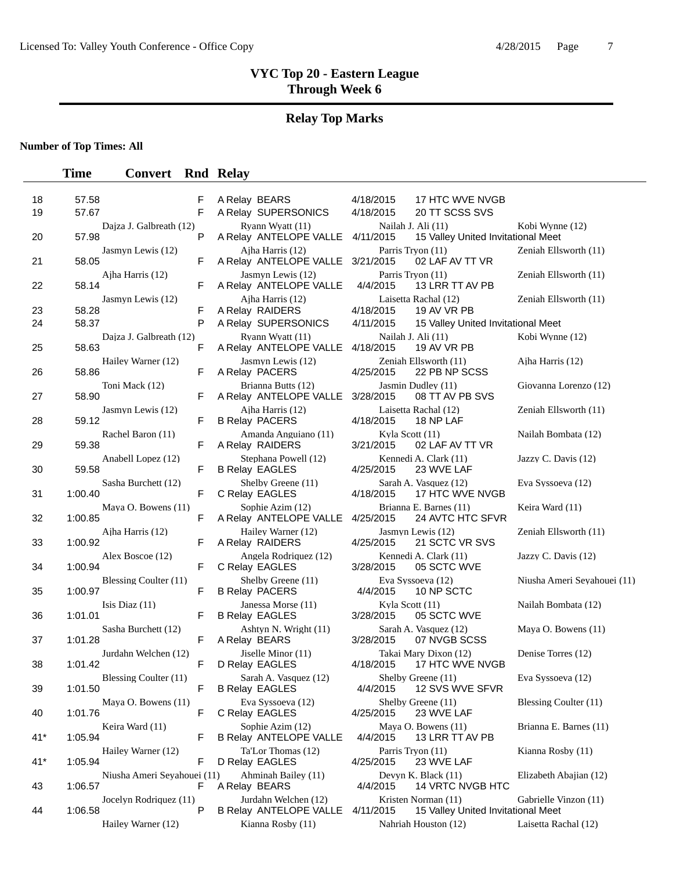# **Relay Top Marks**

**Number of Top Times: All**

| 18       | 57.58                                  | F      | A Relay BEARS                                         | 4/18/2015                    | 17 HTC WVE NVGB                                           |                             |
|----------|----------------------------------------|--------|-------------------------------------------------------|------------------------------|-----------------------------------------------------------|-----------------------------|
| 19       | 57.67                                  | F.     | A Relay SUPERSONICS                                   | 4/18/2015                    | 20 TT SCSS SVS                                            |                             |
| 20       | Dajza J. Galbreath (12)<br>57.98       | P      | Ryann Wyatt (11)<br>A Relay ANTELOPE VALLE 4/11/2015  |                              | Nailah J. Ali (11)<br>15 Valley United Invitational Meet  | Kobi Wynne (12)             |
| 21       | Jasmyn Lewis (12)<br>58.05             | F.     | Ajha Harris (12)<br>A Relay ANTELOPE VALLE 3/21/2015  |                              | Parris Tryon (11)<br>02 LAF AV TT VR                      | Zeniah Ellsworth (11)       |
| 22       | Ajha Harris (12)<br>58.14              | F.     | Jasmyn Lewis (12)<br>A Relay ANTELOPE VALLE           | 4/4/2015                     | Parris Tryon (11)<br>13 LRR TT AV PB                      | Zeniah Ellsworth (11)       |
|          | Jasmyn Lewis (12)                      |        | Ajha Harris (12)                                      |                              | Laisetta Rachal (12)                                      | Zeniah Ellsworth (11)       |
| 23<br>24 | 58.28<br>58.37                         | F<br>P | A Relay RAIDERS<br>A Relay SUPERSONICS                | 4/18/2015<br>4/11/2015       | 19 AV VR PB<br>15 Valley United Invitational Meet         |                             |
| 25       | Dajza J. Galbreath (12)<br>58.63       | F      | Ryann Wyatt (11)<br>A Relay ANTELOPE VALLE            | 4/18/2015                    | Nailah J. Ali (11)<br>19 AV VR PB                         | Kobi Wynne (12)             |
| 26       | Hailey Warner (12)<br>58.86            | F      | Jasmyn Lewis (12)<br>A Relay PACERS                   | 4/25/2015                    | Zeniah Ellsworth (11)<br>22 PB NP SCSS                    | Ajha Harris (12)            |
| 27       | Toni Mack (12)<br>58.90                | F.     | Brianna Butts (12)<br>A Relay ANTELOPE VALLE          | 3/28/2015                    | Jasmin Dudley (11)<br>08 TT AV PB SVS                     | Giovanna Lorenzo (12)       |
| 28       | Jasmyn Lewis (12)<br>59.12             | F.     | Aiha Harris (12)<br><b>B Relay PACERS</b>             | 4/18/2015                    | Laisetta Rachal (12)<br>18 NP LAF                         | Zeniah Ellsworth (11)       |
| 29       | Rachel Baron (11)<br>59.38             | F.     | Amanda Anguiano (11)<br>A Relay RAIDERS               | Kyla Scott (11)<br>3/21/2015 | 02 LAF AV TT VR                                           | Nailah Bombata (12)         |
| 30       | Anabell Lopez (12)<br>59.58            | F.     | Stephana Powell (12)<br><b>B Relay EAGLES</b>         | 4/25/2015                    | Kennedi A. Clark (11)<br>23 WVE LAF                       | Jazzy C. Davis (12)         |
| 31       | Sasha Burchett (12)<br>1:00.40         | F.     | Shelby Greene (11)<br>C Relay EAGLES                  | 4/18/2015                    | Sarah A. Vasquez (12)<br>17 HTC WVE NVGB                  | Eva Syssoeva (12)           |
| 32       | Maya O. Bowens (11)<br>1:00.85         | F.     | Sophie Azim (12)<br>A Relay ANTELOPE VALLE            | 4/25/2015                    | Brianna E. Barnes (11)<br>24 AVTC HTC SFVR                | Keira Ward (11)             |
| 33       | Ajha Harris (12)<br>1:00.92            | F      | Hailey Warner (12)<br>A Relay RAIDERS                 | 4/25/2015                    | Jasmyn Lewis (12)<br>21 SCTC VR SVS                       | Zeniah Ellsworth (11)       |
| 34       | Alex Boscoe (12)<br>1:00.94            | F.     | Angela Rodriquez (12)<br>C Relay EAGLES               | 3/28/2015                    | Kennedi A. Clark (11)<br>05 SCTC WVE                      | Jazzy C. Davis (12)         |
| 35       | Blessing Coulter (11)<br>1:00.97       | F      | Shelby Greene (11)<br><b>B Relay PACERS</b>           | 4/4/2015                     | Eva Syssoeva (12)<br>10 NP SCTC                           | Niusha Ameri Seyahouei (11) |
| 36       | Isis Diaz $(11)$<br>1:01.01            | F      | Janessa Morse (11)<br><b>B Relay EAGLES</b>           | Kyla Scott (11)<br>3/28/2015 | 05 SCTC WVE                                               | Nailah Bombata (12)         |
| 37       | Sasha Burchett (12)<br>1:01.28         | F.     | Ashtyn N. Wright (11)<br>A Relay BEARS                | 3/28/2015                    | Sarah A. Vasquez (12)<br>07 NVGB SCSS                     | Maya O. Bowens (11)         |
| 38       | Jurdahn Welchen (12)<br>1:01.42        | F.     | Jiselle Minor (11)<br>D Relay EAGLES                  | 4/18/2015                    | Takai Mary Dixon (12)<br>17 HTC WVE NVGB                  | Denise Torres (12)          |
| 39       | Blessing Coulter (11)<br>1:01.50       | F      | Sarah A. Vasquez (12)<br><b>B Relay EAGLES</b>        |                              | Shelby Greene (11)<br>4/4/2015 12 SVS WVE SFVR            | Eva Syssoeva (12)           |
| 40       | Maya O. Bowens (11)<br>1:01.76         | F.     | Eva Syssoeva (12)<br>C Relay EAGLES                   | 4/25/2015                    | Shelby Greene (11)<br>23 WVE LAF                          | Blessing Coulter (11)       |
| $41*$    | Keira Ward (11)<br>1:05.94             | F      | Sophie Azim (12)<br><b>B Relay ANTELOPE VALLE</b>     | 4/4/2015                     | Maya O. Bowens (11)<br>13 LRR TT AV PB                    | Brianna E. Barnes (11)      |
| $41*$    | Hailey Warner (12)<br>1:05.94          | F      | Ta'Lor Thomas (12)<br>D Relay EAGLES                  | 4/25/2015                    | Parris Tryon (11)<br>23 WVE LAF                           | Kianna Rosby (11)           |
| 43       | Niusha Ameri Seyahouei (11)<br>1:06.57 | F      | Ahminah Bailey (11)<br>A Relay BEARS                  | 4/4/2015                     | Devyn K. Black (11)<br>14 VRTC NVGB HTC                   | Elizabeth Abajian (12)      |
| 44       | Jocelyn Rodriquez (11)<br>1:06.58      | P      | Jurdahn Welchen (12)<br><b>B Relay ANTELOPE VALLE</b> | 4/11/2015                    | Kristen Norman (11)<br>15 Valley United Invitational Meet | Gabrielle Vinzon (11)       |
|          | Hailey Warner (12)                     |        | Kianna Rosby (11)                                     |                              | Nahriah Houston (12)                                      | Laisetta Rachal (12)        |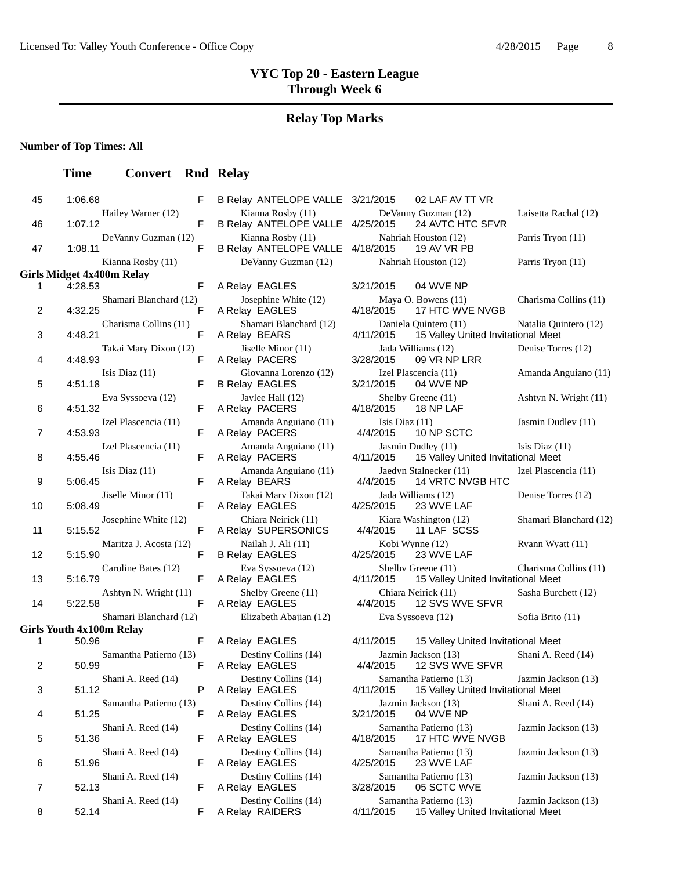### **Relay Top Marks**

**Number of Top Times: All**

#### **Time Convert Rnd Relay**

| 45 | 1:06.68                              | F  | B Relay ANTELOPE VALLE 3/21/2015               | 02 LAF AV TT VR                                               |
|----|--------------------------------------|----|------------------------------------------------|---------------------------------------------------------------|
|    | Hailey Warner (12)                   |    | Kianna Rosby (11)                              | De Vanny Guzman (12)                                          |
| 46 | 1:07.12                              | F  | B Relay ANTELOPE VALLE 4/25/2015               | 24 AVTC HTC SFVR                                              |
|    | DeVanny Guzman (12)                  |    | Kianna Rosby (11)                              | Nahriah Houston (12)                                          |
| 47 | 1:08.11                              | F  | B Relay ANTELOPE VALLE 4/18/2015               | 19 AV VR PB                                                   |
|    | Kianna Rosby (11)                    |    | DeVanny Guzman (12)                            | Nahriah Houston (12)                                          |
| 1  | Girls Midget 4x400m Relay<br>4:28.53 | F  |                                                | 3/21/2015<br>04 WVE NP                                        |
|    | Shamari Blanchard (12)               |    | A Relay EAGLES<br>Josephine White (12)         | Maya O. Bowens (11)                                           |
| 2  | 4:32.25                              | F  | A Relay EAGLES                                 | 4/18/2015<br>17 HTC WVE NVGB                                  |
| 3  | Charisma Collins (11)<br>4:48.21     | F  | Shamari Blanchard (12)<br>A Relay BEARS        | Daniela Quintero (11)<br>4/11/2015<br>15 Valley United Invita |
| 4  | Takai Mary Dixon (12)<br>4:48.93     | F  | Jiselle Minor (11)<br>A Relay PACERS           | Jada Williams (12)<br>3/28/2015<br>09 VR NP LRR               |
| 5  | Isis Diaz $(11)$<br>4:51.18          | F  | Giovanna Lorenzo (12)<br><b>B Relay EAGLES</b> | Izel Plascencia (11)<br>3/21/2015<br>04 WVE NP                |
| 6  | Eva Syssoeva (12)<br>4:51.32         | F  | Jaylee Hall (12)<br>A Relay PACERS             | Shelby Greene (11)<br>4/18/2015<br>18 NP LAF                  |
| 7  | Izel Plascencia (11)<br>4:53.93      | F  | Amanda Anguiano (11)<br>A Relay PACERS         | Isis Diaz $(11)$<br>4/4/2015<br>10 NP SCTC                    |
| 8  | Izel Plascencia (11)<br>4:55.46      | F  | Amanda Anguiano (11)<br>A Relay PACERS         | Jasmin Dudley (11)<br>4/11/2015<br>15 Valley United Invita    |
| 9  | Isis Diaz $(11)$<br>5:06.45          | F  | Amanda Anguiano (11)<br>A Relay BEARS          | Jaedyn Stalnecker (11)<br><b>14 VRTC NVGB HTC</b><br>4/4/2015 |
|    | Jiselle Minor (11)                   |    | Takai Mary Dixon (12)                          | Jada Williams (12)                                            |
| 10 | 5:08.49                              | F. | A Relay EAGLES                                 | 4/25/2015<br>23 WVE LAF                                       |
| 11 | Josephine White (12)<br>5:15.52      | F  | Chiara Neirick (11)<br>A Relay SUPERSONICS     | Kiara Washington (12)<br>4/4/2015<br>11 LAF SCSS              |
|    | Maritza J. Acosta (12)               |    | Nailah J. Ali (11)                             | Kobi Wynne (12)                                               |
| 12 | 5:15.90                              | F  | <b>B Relay EAGLES</b>                          | 4/25/2015<br>23 WVE LAF                                       |
|    | Caroline Bates (12)                  |    | Eva Syssoeva (12)                              | Shelby Greene (11)                                            |
| 13 | 5:16.79                              | F  | A Relay EAGLES                                 | 4/11/2015<br>15 Valley United Invita                          |
| 14 | Ashtyn N. Wright (11)<br>5:22.58     | F  | Shelby Greene (11)<br>A Relay EAGLES           | Chiara Neirick (11)<br>4/4/2015<br>12 SVS WVE SFVR            |
|    | Shamari Blanchard (12)               |    | Elizabeth Abajian (12)                         | Eva Syssoeva (12)                                             |
|    | <b>Girls Youth 4x100m Relay</b>      |    |                                                |                                                               |
| 1  | 50.96                                | F. | A Relay EAGLES                                 | 4/11/2015<br>15 Valley United Invita                          |
| 2  | Samantha Patierno (13)<br>50.99      | F  | Destiny Collins (14)<br>A Relay EAGLES         | Jazmin Jackson (13)<br>4/4/2015<br>12 SVS WVE SFVR            |
| 3  | Shani A. Reed (14)<br>51.12          | P  | Destiny Collins (14)<br>A Relay EAGLES         | Samantha Patierno (13)<br>4/11/2015 15 Valley United Invita   |
| 4  | Samantha Patierno (13)<br>51.25      | F  | Destiny Collins (14)<br>A Relay EAGLES         | Jazmin Jackson (13)<br>3/21/2015<br>04 WVE NP                 |
| 5  | Shani A. Reed (14)<br>51.36          | F  | Destiny Collins (14)<br>A Relay EAGLES         | Samantha Patierno (13)<br>17 HTC WVE NVGB<br>4/18/2015        |
|    | Shani A. Reed (14)                   |    | Destiny Collins (14)                           | Samantha Patierno (13)                                        |
| 6  | 51.96                                | F  | A Relay EAGLES                                 | 4/25/2015<br>23 WVE LAF                                       |
| 7  | Shani A. Reed (14)<br>52.13          | F  | Destiny Collins (14)<br>A Relay EAGLES         | Samantha Patierno (13)<br>3/28/2015<br>05 SCTC WVE            |
|    | $\theta$ honi A $\theta$ ood (14)    |    | Doctiny Colline $(14)$                         | $Samontho$ Dotiorno $(12)$                                    |

|  | <b>B Relay ANTELOPE VALLE</b>           |
|--|-----------------------------------------|
|  | Kianna Rosby (11)                       |
|  | <b>B Relay ANTELOPE VALLE</b>           |
|  | Kianna Rosby (11)                       |
|  | <b>B Relay ANTELOPE VALLE</b>           |
|  | DeVanny Guzman (12)                     |
|  | A Relay EAGLES                          |
|  | Josephine White (12)                    |
|  | A Relay EAGLES                          |
|  | Shamari Blanchard (12)                  |
|  | A Relay BEARS                           |
|  | Jiselle Minor (11)                      |
|  | A Relay PACERS                          |
|  | Giovanna Lorenzo (12)                   |
|  | <b>B Relay EAGLES</b>                   |
|  | Jaylee Hall (12)                        |
|  | A Relay PACERS                          |
|  | Amanda Anguiano (11)                    |
|  | A Relay PACERS                          |
|  | Amanda Anguiano (11)                    |
|  | A Relay PACERS                          |
|  | Amanda Anguiano (11)<br>A Relay BEARS   |
|  |                                         |
|  | Takai Mary Dixon (12)<br>A Relay EAGLES |
|  | Chiara Neirick (11)                     |
|  | A Relay SUPERSONICS                     |
|  | Nailah J. Ali (11)                      |
|  | <b>B Relay EAGLES</b>                   |
|  | Eva Syssoeva (12)                       |
|  | A Relay EAGLES                          |
|  | Shelby Greene (11)                      |
|  | A Relay EAGLES                          |
|  | Elizabeth Abajian (12)                  |
|  |                                         |
|  | A Relay EAGLES                          |
|  | Destiny Collins (14)                    |
|  | A Relay EAGLES                          |
|  | Destiny Collins (14)                    |
|  | A Relay EAGLES                          |
|  | Destiny Collins (14)<br>A Relay EAGLES  |
|  | Destiny Collins (14)                    |
|  | A Relay EAGLES                          |
|  | Destiny Collins (14)                    |
|  | A Relay EAGLES                          |
|  | Destiny Collins (14)                    |
|  | A Relay EAGLES                          |

| 45             | 1:06.68                       | F                           | B Relay ANTELOPE VALLE 3/21/2015                      | 02 LAF AV TT VR                                                           |                        |
|----------------|-------------------------------|-----------------------------|-------------------------------------------------------|---------------------------------------------------------------------------|------------------------|
|                |                               | Hailey Warner (12)          | Kianna Rosby (11)                                     | DeVanny Guzman (12)                                                       | Laisetta Rachal (12)   |
| 46             | 1:07.12                       | F                           | B Relay ANTELOPE VALLE 4/25/2015                      | 24 AVTC HTC SFVR<br>Nahriah Houston (12)                                  |                        |
| 47             | 1:08.11                       | DeVanny Guzman (12)<br>F    | Kianna Rosby (11)<br>B Relay ANTELOPE VALLE 4/18/2015 | 19 AV VR PB                                                               | Parris Tryon (11)      |
|                | Kianna Rosby (11)             |                             | DeVanny Guzman (12)                                   | Nahriah Houston (12)                                                      | Parris Tryon (11)      |
|                | rls Midget 4x400m Relay       |                             |                                                       |                                                                           |                        |
| 1              | 4:28.53                       | F                           | A Relay EAGLES                                        | 3/21/2015<br>04 WVE NP                                                    |                        |
| 2              | 4:32.25                       | Shamari Blanchard (12)<br>F | Josephine White (12)<br>A Relay EAGLES                | Maya O. Bowens (11)<br>4/18/2015<br>17 HTC WVE NVGB                       | Charisma Collins (11)  |
| 3              | 4:48.21                       | Charisma Collins (11)<br>F  | Shamari Blanchard (12)<br>A Relay BEARS               | Daniela Quintero (11)<br>4/11/2015<br>15 Valley United Invitational Meet  | Natalia Quintero (12)  |
| 4              | 4:48.93                       | Takai Mary Dixon (12)<br>F  | Jiselle Minor (11)<br>A Relay PACERS                  | Jada Williams (12)<br>3/28/2015<br>09 VR NP LRR                           | Denise Torres (12)     |
| 5              | Isis Diaz $(11)$<br>4:51.18   | F                           | Giovanna Lorenzo (12)<br><b>B Relay EAGLES</b>        | Izel Plascencia (11)<br>3/21/2015<br>04 WVE NP                            | Amanda Anguiano (11)   |
| 6              | Eva Syssoeva (12)<br>4:51.32  | F                           | Jaylee Hall (12)<br>A Relay PACERS                    | Shelby Greene (11)<br>4/18/2015<br>18 NP LAF                              | Ashtyn N. Wright (11)  |
| 7              | 4:53.93                       | Izel Plascencia (11)<br>F   | Amanda Anguiano (11)<br>A Relay PACERS                | Isis Diaz $(11)$<br>4/4/2015<br>10 NP SCTC                                | Jasmin Dudley (11)     |
| 8              | 4:55.46                       | Izel Plascencia (11)<br>F   | Amanda Anguiano (11)<br>A Relay PACERS                | Jasmin Dudley (11)<br>4/11/2015<br>15 Valley United Invitational Meet     | Isis Diaz $(11)$       |
| 9              | Isis Diaz $(11)$<br>5:06.45   | F                           | Amanda Anguiano (11)<br>A Relay BEARS                 | Jaedyn Stalnecker (11)<br><b>14 VRTC NVGB HTC</b><br>4/4/2015             | Izel Plascencia (11)   |
| 10             | Jiselle Minor (11)<br>5:08.49 | F                           | Takai Mary Dixon (12)<br>A Relay EAGLES               | Jada Williams (12)<br>4/25/2015<br>23 WVE LAF                             | Denise Torres (12)     |
| 11             | 5:15.52                       | Josephine White (12)<br>F   | Chiara Neirick (11)<br>A Relay SUPERSONICS            | Kiara Washington (12)<br>4/4/2015<br>11 LAF SCSS                          | Shamari Blanchard (12) |
| 12             | 5:15.90                       | Maritza J. Acosta (12)<br>F | Nailah J. Ali (11)<br><b>B Relay EAGLES</b>           | Kobi Wynne (12)<br>4/25/2015<br>23 WVE LAF                                | Ryann Wyatt (11)       |
| 13             | 5:16.79                       | Caroline Bates (12)<br>F    | Eva Syssoeva (12)<br>A Relay EAGLES                   | Shelby Greene (11)<br>4/11/2015<br>15 Valley United Invitational Meet     | Charisma Collins (11)  |
| 14             | 5:22.58                       | Ashtyn N. Wright (11)<br>F  | Shelby Greene (11)<br>A Relay EAGLES                  | Chiara Neirick (11)<br>12 SVS WVE SFVR<br>4/4/2015                        | Sasha Burchett (12)    |
|                |                               | Shamari Blanchard (12)      | Elizabeth Abajian (12)                                | Eva Syssoeva (12)                                                         | Sofia Brito (11)       |
|                | rls Youth 4x100m Relay        |                             |                                                       |                                                                           |                        |
| $\mathbf{1}$   | 50.96                         | F                           | A Relay EAGLES                                        | 4/11/2015<br>15 Valley United Invitational Meet                           |                        |
| $\overline{c}$ | 50.99                         | Samantha Patierno (13)<br>F | Destiny Collins (14)<br>A Relay EAGLES                | Jazmin Jackson (13)<br>4/4/2015<br>12 SVS WVE SFVR                        | Shani A. Reed (14)     |
| 3              | Shani A. Reed (14)<br>51.12   | P                           | Destiny Collins (14)<br>A Relay EAGLES                | Samantha Patierno (13)<br>4/11/2015<br>15 Valley United Invitational Meet | Jazmin Jackson (13)    |
| 4              | 51.25                         | Samantha Patierno (13)<br>F | Destiny Collins (14)<br>A Relay EAGLES                | Jazmin Jackson (13)<br>04 WVE NP<br>3/21/2015                             | Shani A. Reed (14)     |
| 5              | Shani A. Reed (14)<br>51.36   | F                           | Destiny Collins (14)<br>A Relay EAGLES                | Samantha Patierno (13)<br>4/18/2015<br>17 HTC WVE NVGB                    | Jazmin Jackson (13)    |
| 6              | Shani A. Reed (14)<br>51.96   | F                           | Destiny Collins (14)<br>A Relay EAGLES                | Samantha Patierno (13)<br>23 WVE LAF<br>4/25/2015                         | Jazmin Jackson (13)    |
| 7              | Shani A. Reed (14)<br>52.13   | F                           | Destiny Collins (14)<br>A Relay EAGLES                | Samantha Patierno (13)<br>3/28/2015<br>05 SCTC WVE                        | Jazmin Jackson (13)    |

05 SCTC WVE Shani A. Reed (14) Destiny Collins (14) Samantha Patierno (13) Jazmin Jackson (13)<br>52.14 F A Relay RAIDERS 4/11/2015 15 Valley United Invitational Meet 8 52.14 **F** A Relay RAIDERS 4/11/2015 15 Valley United Invitational Meet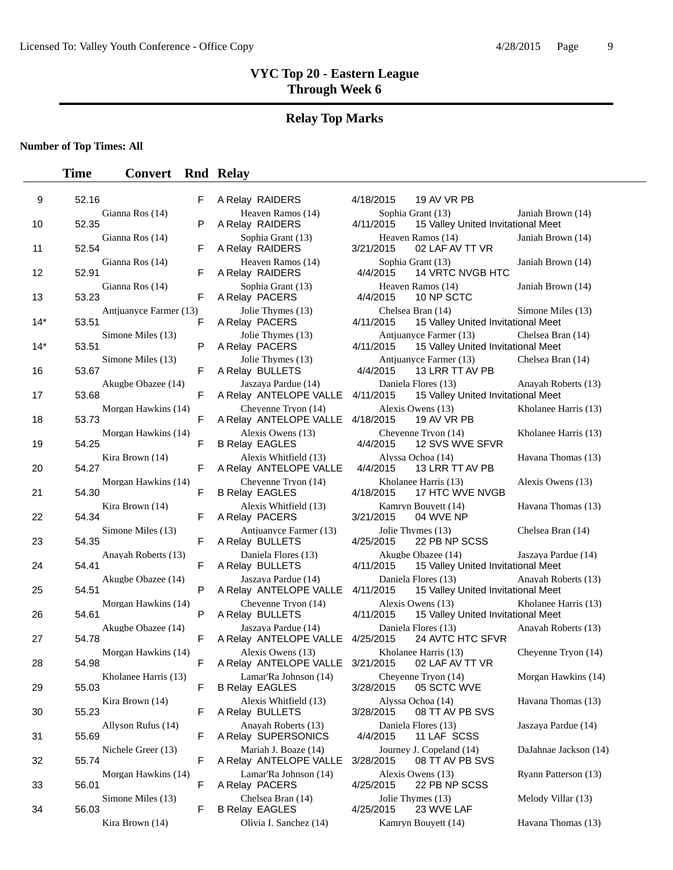# **Relay Top Marks**

### **Number of Top Times: All**

| 9     | 52.16                           | F      | A Relay RAIDERS                                 | 4/18/2015<br>19 AV VR PB                                                  |                       |
|-------|---------------------------------|--------|-------------------------------------------------|---------------------------------------------------------------------------|-----------------------|
| 10    | Gianna Ros (14)<br>52.35        | P      | Heaven Ramos (14)<br>A Relay RAIDERS            | Sophia Grant (13)<br>4/11/2015<br>15 Valley United Invitational Meet      | Janiah Brown (14)     |
| 11    | Gianna Ros (14)<br>52.54        | F      | Sophia Grant (13)<br>A Relay RAIDERS            | Heaven Ramos (14)<br>3/21/2015<br>02 LAF AV TT VR                         | Janiah Brown (14)     |
|       | Gianna Ros (14)                 |        | Heaven Ramos (14)                               | Sophia Grant (13)                                                         | Janiah Brown (14)     |
| 12    | 52.91<br>Gianna Ros (14)        | F      | A Relay RAIDERS<br>Sophia Grant (13)            | 4/4/2015<br>14 VRTC NVGB HTC<br>Heaven Ramos (14)                         | Janiah Brown (14)     |
| 13    | 53.23<br>Antjuanyce Farmer (13) | F<br>F | A Relay PACERS<br>Jolie Thymes (13)             | 4/4/2015<br>10 NP SCTC<br>Chelsea Bran (14)                               | Simone Miles (13)     |
| $14*$ | 53.51<br>Simone Miles (13)      |        | A Relay PACERS<br>Jolie Thymes (13)             | 4/11/2015<br>15 Valley United Invitational Meet<br>Antiuanyce Farmer (13) | Chelsea Bran (14)     |
| $14*$ | 53.51<br>Simone Miles (13)      | P      | A Relay PACERS<br>Jolie Thymes (13)             | 4/11/2015<br>15 Valley United Invitational Meet<br>Antjuanyce Farmer (13) | Chelsea Bran (14)     |
| 16    | 53.67                           | F      | A Relay BULLETS                                 | 13 LRR TT AV PB<br>4/4/2015                                               |                       |
| 17    | Akugbe Obazee (14)<br>53.68     | F      | Jaszaya Pardue (14)<br>A Relay ANTELOPE VALLE   | Daniela Flores (13)<br>4/11/2015<br>15 Valley United Invitational Meet    | Anayah Roberts (13)   |
| 18    | Morgan Hawkins (14)<br>53.73    | F      | Cheyenne Tryon (14)<br>A Relay ANTELOPE VALLE   | Alexis Owens (13)<br>4/18/2015<br>19 AV VR PB                             | Kholanee Harris (13)  |
| 19    | Morgan Hawkins (14)<br>54.25    | F      | Alexis Owens (13)<br><b>B Relay EAGLES</b>      | Cheyenne Tryon (14)<br>12 SVS WVE SFVR<br>4/4/2015                        | Kholanee Harris (13)  |
| 20    | Kira Brown (14)<br>54.27        | F      | Alexis Whitfield (13)<br>A Relay ANTELOPE VALLE | Alyssa Ochoa (14)<br>4/4/2015<br>13 LRR TT AV PB                          | Havana Thomas (13)    |
| 21    | Morgan Hawkins (14)<br>54.30    | F      | Cheyenne Tryon (14)<br><b>B Relay EAGLES</b>    | Kholanee Harris (13)<br>4/18/2015<br>17 HTC WVE NVGB                      | Alexis Owens (13)     |
|       | Kira Brown (14)                 |        | Alexis Whitfield (13)                           | Kamryn Bouyett (14)                                                       | Havana Thomas (13)    |
| 22    | 54.34                           | F      | A Relay PACERS                                  | 3/21/2015<br>04 WVE NP                                                    |                       |
| 23    | Simone Miles (13)<br>54.35      | F      | Antiuanyce Farmer (13)<br>A Relay BULLETS       | Jolie Thymes (13)<br>4/25/2015<br>22 PB NP SCSS                           | Chelsea Bran (14)     |
| 24    | Anayah Roberts (13)<br>54.41    | F      | Daniela Flores (13)<br>A Relay BULLETS          | Akugbe Obazee (14)<br>4/11/2015<br>15 Valley United Invitational Meet     | Jaszaya Pardue (14)   |
| 25    | Akugbe Obazee (14)<br>54.51     | P      | Jaszaya Pardue (14)<br>A Relay ANTELOPE VALLE   | Daniela Flores (13)<br>4/11/2015<br>15 Valley United Invitational Meet    | Anayah Roberts (13)   |
| 26    | Morgan Hawkins (14)<br>54.61    | P      | Cheyenne Tryon (14)<br>A Relay BULLETS          | Alexis Owens (13)<br>4/11/2015<br>15 Valley United Invitational Meet      | Kholanee Harris (13)  |
| 27    | Akugbe Obazee (14)<br>54.78     | F      | Jaszaya Pardue (14)<br>A Relay ANTELOPE VALLE   | Daniela Flores (13)<br>4/25/2015<br>24 AVTC HTC SFVR                      | Anayah Roberts (13)   |
| 28    | Morgan Hawkins (14)<br>54.98    | F      | Alexis Owens (13)<br>A Relay ANTELOPE VALLE     | Kholanee Harris (13)<br>3/21/2015<br>02 LAF AV TT VR                      | Cheyenne Tryon (14)   |
| 29    | Kholanee Harris (13)<br>55.03   | F      | Lamar'Ra Johnson (14)<br><b>B Relay EAGLES</b>  | Cheyenne Tryon (14)<br>3/28/2015<br>05 SCTC WVE                           | Morgan Hawkins (14)   |
| 30    | Kira Brown (14)<br>55.23        | F      | Alexis Whitfield (13)<br>A Relay BULLETS        | Alyssa Ochoa (14)<br>3/28/2015<br>08 TT AV PB SVS                         | Havana Thomas (13)    |
| 31    | Allyson Rufus (14)<br>55.69     | F      | Anayah Roberts (13)<br>A Relay SUPERSONICS      | Daniela Flores (13)<br>4/4/2015<br>11 LAF SCSS                            | Jaszaya Pardue (14)   |
| 32    | Nichele Greer (13)<br>55.74     | F      | Mariah J. Boaze (14)<br>A Relay ANTELOPE VALLE  | Journey J. Copeland (14)<br>3/28/2015<br>08 TT AV PB SVS                  | DaJahnae Jackson (14) |
| 33    | Morgan Hawkins (14)<br>56.01    | F      | Lamar'Ra Johnson (14)<br>A Relay PACERS         | Alexis Owens (13)<br>4/25/2015<br>22 PB NP SCSS                           | Ryann Patterson (13)  |
| 34    | Simone Miles (13)<br>56.03      | F      | Chelsea Bran (14)<br><b>B Relay EAGLES</b>      | Jolie Thymes (13)<br>4/25/2015<br>23 WVE LAF                              | Melody Villar (13)    |
|       | Kira Brown (14)                 |        | Olivia I. Sanchez (14)                          | Kamryn Bouyett (14)                                                       | Havana Thomas (13)    |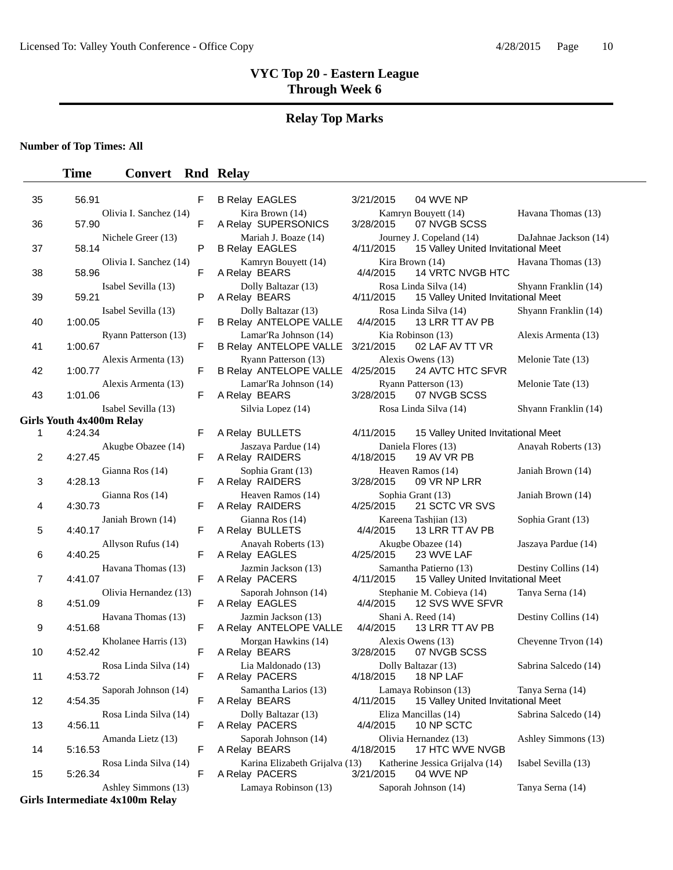# **Relay Top Marks**

**Number of Top Times: All**

## **Time Convert Rnd Relay**

| 35 | 56.91                                      | F | <b>B Relay EAGLES</b>                                | 04 WVE NP<br>3/21/2015                                                                               |
|----|--------------------------------------------|---|------------------------------------------------------|------------------------------------------------------------------------------------------------------|
| 36 | Olivia I. Sanchez (14)<br>57.90            | F | Kira Brown (14)<br>A Relay SUPERSONICS               | Kamryn Bouyett (14)<br>Havana Thomas (13)<br>07 NVGB SCSS<br>3/28/2015                               |
| 37 | Nichele Greer (13)<br>58.14                | P | Mariah J. Boaze (14)<br><b>B Relay EAGLES</b>        | Journey J. Copeland (14)<br>DaJahnae Jackson (14)<br>4/11/2015<br>15 Valley United Invitational Meet |
| 38 | Olivia I. Sanchez (14)<br>58.96            | F | Kamryn Bouyett (14)<br>A Relay BEARS                 | Kira Brown (14)<br>Havana Thomas (13)<br>4/4/2015<br>14 VRTC NVGB HTC                                |
| 39 | Isabel Sevilla (13)<br>59.21               | P | Dolly Baltazar (13)<br>A Relay BEARS                 | Rosa Linda Silva (14)<br>Shyann Franklin (14)<br>4/11/2015<br>15 Valley United Invitational Meet     |
| 40 | Isabel Sevilla (13)<br>1:00.05             | F | Dolly Baltazar (13)<br><b>B Relay ANTELOPE VALLE</b> | Rosa Linda Silva (14)<br>Shyann Franklin (14)<br>4/4/2015<br>13 LRR TT AV PB                         |
| 41 | Ryann Patterson (13)<br>1:00.67            | F | Lamar'Ra Johnson (14)<br>B Relay ANTELOPE VALLE      | Kia Robinson (13)<br>Alexis Armenta (13)<br>3/21/2015<br>02 LAF AV TT VR                             |
| 42 | Alexis Armenta (13)<br>1:00.77             | F | Ryann Patterson (13)<br>B Relay ANTELOPE VALLE       | Alexis Owens (13)<br>Melonie Tate (13)<br>24 AVTC HTC SFVR<br>4/25/2015                              |
| 43 | Alexis Armenta (13)<br>1:01.06             | F | Lamar'Ra Johnson (14)<br>A Relay BEARS               | Ryann Patterson (13)<br>Melonie Tate (13)<br>3/28/2015<br>07 NVGB SCSS                               |
|    | Isabel Sevilla (13)                        |   | Silvia Lopez (14)                                    | Rosa Linda Silva (14)<br>Shyann Franklin (14)                                                        |
| 1  | <b>Girls Youth 4x400m Relay</b><br>4:24.34 | F | A Relay BULLETS                                      | 4/11/2015<br>15 Valley United Invitational Meet                                                      |
| 2  | Akugbe Obazee (14)<br>4:27.45              | F | Jaszaya Pardue (14)<br>A Relay RAIDERS               | Daniela Flores (13)<br>Anayah Roberts (13)<br>4/18/2015<br>19 AV VR PB                               |
| 3  | Gianna Ros (14)<br>4:28.13                 | F | Sophia Grant (13)<br>A Relay RAIDERS                 | Heaven Ramos (14)<br>Janiah Brown (14)<br>3/28/2015<br>09 VR NP LRR                                  |
| 4  | Gianna Ros (14)<br>4:30.73                 | F | Heaven Ramos (14)<br>A Relay RAIDERS                 | Sophia Grant (13)<br>Janiah Brown (14)<br>4/25/2015<br>21 SCTC VR SVS                                |
| 5  | Janiah Brown (14)<br>4:40.17               | F | Gianna Ros (14)<br>A Relay BULLETS                   | Kareena Tashjian (13)<br>Sophia Grant (13)<br>4/4/2015<br>13 LRR TT AV PB                            |
| 6  | Allyson Rufus (14)<br>4:40.25              | F | Anayah Roberts (13)<br>A Relay EAGLES                | Akugbe Obazee (14)<br>Jaszaya Pardue (14)<br>4/25/2015<br>23 WVE LAF                                 |
| 7  | Havana Thomas (13)<br>4:41.07              | F | Jazmin Jackson (13)<br>A Relay PACERS                | Samantha Patierno (13)<br>Destiny Collins (14)<br>15 Valley United Invitational Meet<br>4/11/2015    |
| 8  | Olivia Hernandez (13)<br>4:51.09           | F | Saporah Johnson (14)<br>A Relay EAGLES               | Stephanie M. Cobieya (14)<br>Tanya Serna (14)<br>4/4/2015<br>12 SVS WVE SFVR                         |
| 9  | Havana Thomas (13)<br>4:51.68              | F | Jazmin Jackson (13)<br>A Relay ANTELOPE VALLE        | Shani A. Reed (14)<br>Destiny Collins (14)<br>13 LRR TT AV PB<br>4/4/2015                            |
| 10 | Kholanee Harris (13)<br>4:52.42            | F | Morgan Hawkins (14)<br>A Relay BEARS                 | Cheyenne Tryon (14)<br>Alexis Owens (13)<br>3/28/2015<br>07 NVGB SCSS                                |
| 11 | Rosa Linda Silva (14)<br>4:53.72           | F | Lia Maldonado (13)<br>A Relay PACERS                 | Sabrina Salcedo (14)<br>Dolly Baltazar (13)<br>4/18/2015<br>18 NP LAF                                |
| 12 | Saporah Johnson (14)<br>4:54.35            | F | Samantha Larios (13)<br>A Relay BEARS                | Lamaya Robinson (13)<br>Tanya Serna (14)<br>4/11/2015<br>15 Valley United Invitational Meet          |
| 13 | Rosa Linda Silva (14)<br>4:56.11           | F | Dolly Baltazar (13)<br>A Relay PACERS                | Eliza Mancillas (14)<br>Sabrina Salcedo (14)<br>4/4/2015<br>10 NP SCTC                               |
| 14 | Amanda Lietz (13)<br>5:16.53               | F | Saporah Johnson (14)<br>A Relay BEARS                | Olivia Hernandez (13)<br>Ashley Simmons (13)<br>17 HTC WVE NVGB<br>4/18/2015                         |
| 15 | Rosa Linda Silva (14)<br>5:26.34           | F | Karina Elizabeth Grijalva (13)<br>A Relay PACERS     | Katherine Jessica Grijalva (14)<br>Isabel Sevilla (13)<br>3/21/2015<br>04 WVE NP                     |
|    | Ashley Simmons (13)                        |   | Lamaya Robinson (13)                                 | Saporah Johnson (14)<br>Tanya Serna (14)                                                             |

**Girls Intermediate 4x100m Relay**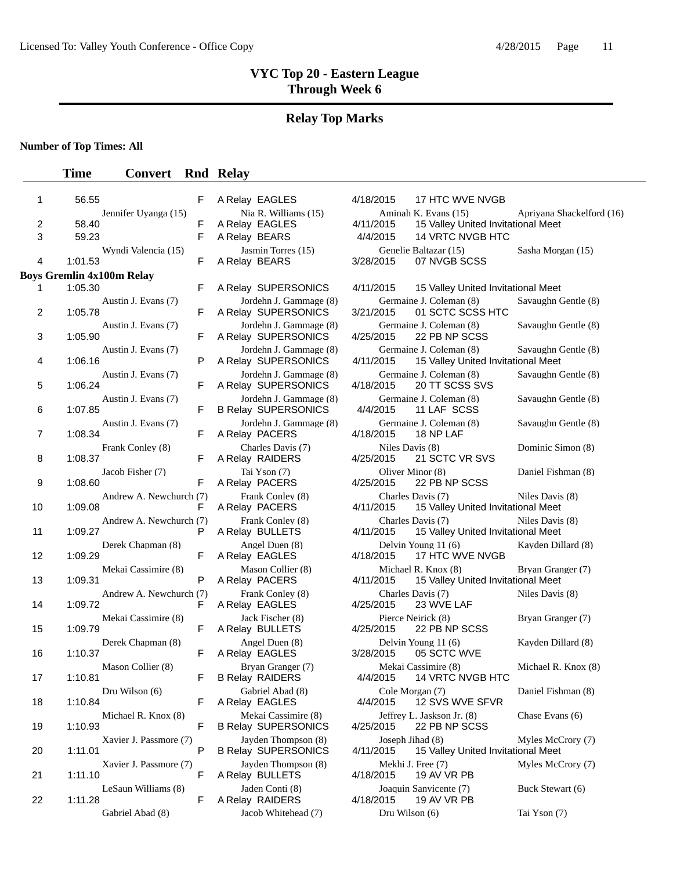# **Relay Top Marks**

**Number of Top Times: All**

| 1  | 56.55                              | F. | A Relay EAGLES                                       | 17 HTC WVE NVGB<br>4/18/2015                                    |
|----|------------------------------------|----|------------------------------------------------------|-----------------------------------------------------------------|
|    | Jennifer Uyanga (15)               |    | Nia R. Williams (15)                                 | Aminah K. Evans (15)                                            |
| 2  | 58.40                              | F  | A Relay EAGLES                                       | 4/11/2015<br>15 Valley United Invita                            |
| 3  | 59.23                              | F  | A Relay BEARS                                        | 14 VRTC NVGB HTC<br>4/4/2015                                    |
| 4  | Wyndi Valencia (15)<br>1:01.53     | F  | Jasmin Torres (15)<br>A Relay BEARS                  | Genelie Baltazar (15)<br>3/28/2015<br>07 NVGB SCSS              |
|    | <b>Boys Gremlin 4x100m Relay</b>   |    |                                                      |                                                                 |
| 1  | 1:05.30                            | F  | A Relay SUPERSONICS                                  | 4/11/2015<br>15 Valley United Invita                            |
| 2  | Austin J. Evans (7)<br>1:05.78     | F  | Jordehn J. Gammage (8)<br>A Relay SUPERSONICS        | Germaine J. Coleman (8)<br>3/21/2015<br>01 SCTC SCSS HTC        |
| 3  | Austin J. Evans (7)<br>1:05.90     | F  | Jordehn J. Gammage (8)<br>A Relay SUPERSONICS        | Germaine J. Coleman (8)<br>22 PB NP SCSS<br>4/25/2015           |
| 4  | Austin J. Evans (7)<br>1:06.16     | P  | Jordehn J. Gammage (8)<br>A Relay SUPERSONICS        | Germaine J. Coleman (8)<br>15 Valley United Invita<br>4/11/2015 |
| 5  | Austin J. Evans (7)<br>1:06.24     | F  | Jordehn J. Gammage (8)<br>A Relay SUPERSONICS        | Germaine J. Coleman (8)<br>20 TT SCSS SVS<br>4/18/2015          |
| 6  | Austin J. Evans (7)<br>1:07.85     | F  | Jordehn J. Gammage (8)<br><b>B Relay SUPERSONICS</b> | Germaine J. Coleman (8)<br>4/4/2015<br>11 LAF SCSS              |
| 7  | Austin J. Evans (7)<br>1:08.34     | F  | Jordehn J. Gammage (8)<br>A Relay PACERS             | Germaine J. Coleman (8)<br>4/18/2015<br>18 NP LAF               |
| 8  | Frank Conley (8)<br>1:08.37        | F  | Charles Davis (7)<br>A Relay RAIDERS                 | Niles Davis (8)<br>21 SCTC VR SVS<br>4/25/2015                  |
| 9  | Jacob Fisher (7)<br>1:08.60        | F  | Tai Yson (7)<br>A Relay PACERS                       | Oliver Minor (8)<br>4/25/2015<br>22 PB NP SCSS                  |
| 10 | Andrew A. Newchurch (7)<br>1:09.08 | F. | Frank Conley (8)<br>A Relay PACERS                   | Charles Davis (7)<br>15 Valley United Invita<br>4/11/2015       |
| 11 | Andrew A. Newchurch (7)<br>1:09.27 | P  | Frank Conley (8)<br>A Relay BULLETS                  | Charles Davis (7)<br>4/11/2015<br>15 Valley United Invita       |
| 12 | Derek Chapman (8)<br>1:09.29       | F. | Angel Duen (8)<br>A Relay EAGLES                     | Delvin Young 11 (6)<br>4/18/2015<br>17 HTC WVE NVGB             |
| 13 | Mekai Cassimire (8)<br>1:09.31     | P  | Mason Collier (8)<br>A Relay PACERS                  | Michael R. Knox (8)<br>4/11/2015<br>15 Valley United Invita     |
| 14 | Andrew A. Newchurch (7)<br>1:09.72 | F  | Frank Conley (8)<br>A Relay EAGLES                   | Charles Davis (7)<br>4/25/2015<br>23 WVE LAF                    |
| 15 | Mekai Cassimire (8)<br>1:09.79     | F  | Jack Fischer (8)<br>A Relay BULLETS                  | Pierce Neirick (8)<br>4/25/2015<br>22 PB NP SCSS                |
| 16 | Derek Chapman (8)<br>1:10.37       | F  | Angel Duen (8)<br>A Relay EAGLES                     | Delvin Young 11 (6)<br>3/28/2015<br>05 SCTC WVE                 |
| 17 | Mason Collier (8)<br>1:10.81       | F  | Bryan Granger (7)<br><b>B Relay RAIDERS</b>          | Mekai Cassimire (8)<br>4/4/2015<br>14 VRTC NVGB HTC             |
| 18 | Dru Wilson (6)<br>1:10.84          | F  | Gabriel Abad (8)<br>A Relay EAGLES                   | Cole Morgan (7)<br>4/4/2015<br>12 SVS WVE SFVR                  |
| 19 | Michael R. Knox (8)<br>1:10.93     | F  | Mekai Cassimire (8)<br><b>B Relay SUPERSONICS</b>    | Jeffrey L. Jaskson Jr. (8)<br>22 PB NP SCSS<br>4/25/2015        |
| 20 | Xavier J. Passmore (7)<br>1:11.01  | P  | Jayden Thompson (8)<br><b>B Relay SUPERSONICS</b>    | Joseph Jihad (8)<br>4/11/2015<br>15 Valley United Invita        |
| 21 | Xavier J. Passmore (7)<br>1:11.10  | F  | Jayden Thompson (8)<br>A Relay BULLETS               | Mekhi J. Free (7)<br>4/18/2015<br>19 AV VR PB                   |
| 22 | LeSaun Williams (8)<br>1:11.28     | F  | Jaden Conti (8)<br>A Relay RAIDERS                   | Joaquin Sanvicente (7)<br>4/18/2015<br>19 AV VR PB              |
|    | Gabriel Abad (8)                   |    | Jacob Whitehead (7)                                  | Dru Wilson (6)                                                  |

| A Relay EAGLES                                      |
|-----------------------------------------------------|
| Nia R. Williams (15)                                |
| A Relay EAGLES                                      |
| A Relay BEARS                                       |
| Jasmin Torres (15)<br>A Relay BEARS                 |
| A Relay SUPERSONICS                                 |
| Jordehn J. Gammage ({<br>A Relay SUPERSONICS        |
| Jordehn J. Gammage (8<br>A Relay SUPERSONICS        |
| Jordehn J. Gammage (8<br>A Relay SUPERSONICS        |
| Jordehn J. Gammage (8<br>A Relay SUPERSONICS        |
| Jordehn J. Gammage (8<br><b>B Relay SUPERSONICS</b> |
| Jordehn J. Gammage (8<br>A Relay PACERS             |
| Charles Davis (7)<br>A Relay RAIDERS                |
| Tai Yson (7)<br>A Relay PACERS                      |
| Frank Conley (8)<br>A Relay PACERS                  |
| Frank Conley (8)<br>A Relay BULLETS                 |
| Angel Duen (8)                                      |
| A Relay EAGLES<br>Mason Collier (8)                 |
| A Relay PACERS                                      |
| Frank Conley (8)<br>A Relay EAGLES                  |
| Jack Fischer (8)<br>A Relay BULLETS                 |
| Angel Duen (8)<br>A Relay EAGLES                    |
| Bryan Granger (7)<br><b>B Relay RAIDERS</b>         |
| Gabriel Abad (8)<br>A Relay EAGLES                  |
| Mekai Cassimire (8)<br><b>B Relay SUPERSONICS</b>   |
| Jayden Thompson (8)<br><b>B Relay SUPERSONICS</b>   |
| Jayden Thompson (8)<br>A Relay BULLETS              |
| Jaden Conti (8)<br>A Relay RAIDERS                  |
| Jacob Whitehead (7)                                 |

| Т. | 56.55                              | ۳ | A REIAY EAGLES                                       | 4/18/2015<br><b>17 HIG WYE NVGB</b>                                                                  |  |
|----|------------------------------------|---|------------------------------------------------------|------------------------------------------------------------------------------------------------------|--|
| 2  | Jennifer Uyanga (15)<br>58.40      | F | Nia R. Williams (15)<br>A Relay EAGLES               | Aminah K. Evans (15)<br>Apriyana Shackelford (16)<br>15 Valley United Invitational Meet<br>4/11/2015 |  |
| 3  | 59.23                              | F | A Relay BEARS                                        | 14 VRTC NVGB HTC<br>4/4/2015                                                                         |  |
| 4  | Wyndi Valencia (15)<br>1:01.53     | F | Jasmin Torres (15)<br>A Relay BEARS                  | Genelie Baltazar (15)<br>Sasha Morgan (15)<br>07 NVGB SCSS<br>3/28/2015                              |  |
|    | ys Gremlin 4x100m Relay            |   |                                                      |                                                                                                      |  |
| 1  | 1:05.30                            | F | A Relay SUPERSONICS                                  | 4/11/2015<br>15 Valley United Invitational Meet                                                      |  |
| 2  | Austin J. Evans (7)<br>1:05.78     | F | Jordehn J. Gammage (8)<br>A Relay SUPERSONICS        | Germaine J. Coleman (8)<br>Savaughn Gentle (8)<br>3/21/2015<br>01 SCTC SCSS HTC                      |  |
| 3  | Austin J. Evans (7)<br>1:05.90     | F | Jordehn J. Gammage (8)<br>A Relay SUPERSONICS        | Germaine J. Coleman (8)<br>Savaughn Gentle (8)<br>4/25/2015<br>22 PB NP SCSS                         |  |
| 4  | Austin J. Evans (7)<br>1:06.16     | P | Jordehn J. Gammage (8)<br>A Relay SUPERSONICS        | Germaine J. Coleman (8)<br>Savaughn Gentle (8)<br>4/11/2015<br>15 Valley United Invitational Meet    |  |
| 5  | Austin J. Evans (7)<br>1:06.24     | F | Jordehn J. Gammage (8)<br>A Relay SUPERSONICS        | Germaine J. Coleman (8)<br>Savaughn Gentle (8)<br>20 TT SCSS SVS<br>4/18/2015                        |  |
| 6  | Austin J. Evans (7)<br>1:07.85     | F | Jordehn J. Gammage (8)<br><b>B Relay SUPERSONICS</b> | Germaine J. Coleman (8)<br>Savaughn Gentle (8)<br>4/4/2015<br>11 LAF SCSS                            |  |
| 7  | Austin J. Evans (7)<br>1:08.34     | F | Jordehn J. Gammage (8)<br>A Relay PACERS             | Germaine J. Coleman (8)<br>Savaughn Gentle (8)<br>4/18/2015<br>18 NP LAF                             |  |
| 8  | Frank Conley (8)<br>1:08.37        | F | Charles Davis (7)<br>A Relay RAIDERS                 | Niles Davis (8)<br>Dominic Simon (8)<br>4/25/2015<br>21 SCTC VR SVS                                  |  |
| 9  | Jacob Fisher (7)<br>1:08.60        | F | Tai Yson (7)<br>A Relay PACERS                       | Oliver Minor (8)<br>Daniel Fishman (8)<br>4/25/2015<br>22 PB NP SCSS                                 |  |
| 10 | Andrew A. Newchurch (7)<br>1:09.08 | F | Frank Conley (8)<br>A Relay PACERS                   | Charles Davis (7)<br>Niles Davis (8)<br>4/11/2015<br>15 Valley United Invitational Meet              |  |
| 11 | Andrew A. Newchurch (7)<br>1:09.27 | P | Frank Conley (8)<br>A Relay BULLETS                  | Charles Davis (7)<br>Niles Davis (8)<br>4/11/2015<br>15 Valley United Invitational Meet              |  |
| 12 | Derek Chapman (8)<br>1:09.29       | F | Angel Duen (8)<br>A Relay EAGLES                     | Kayden Dillard (8)<br>Delvin Young 11 (6)<br>4/18/2015<br>17 HTC WVE NVGB                            |  |
| 13 | Mekai Cassimire (8)<br>1:09.31     | P | Mason Collier (8)<br>A Relay PACERS                  | Michael R. Knox (8)<br>Bryan Granger (7)<br>15 Valley United Invitational Meet<br>4/11/2015          |  |
| 14 | Andrew A. Newchurch (7)<br>1:09.72 | F | Frank Conley (8)<br>A Relay EAGLES                   | Charles Davis (7)<br>Niles Davis (8)<br>23 WVE LAF<br>4/25/2015                                      |  |
| 15 | Mekai Cassimire (8)<br>1:09.79     | F | Jack Fischer (8)<br>A Relay BULLETS                  | Pierce Neirick (8)<br>Bryan Granger (7)<br>22 PB NP SCSS<br>4/25/2015                                |  |
| 16 | Derek Chapman (8)<br>1:10.37       | F | Angel Duen (8)<br>A Relay EAGLES                     | Delvin Young 11 (6)<br>Kayden Dillard (8)<br>3/28/2015<br>05 SCTC WVE                                |  |
| 17 | Mason Collier (8)<br>1:10.81       | F | Bryan Granger (7)<br><b>B Relay RAIDERS</b>          | Mekai Cassimire (8)<br>Michael R. Knox (8)<br>4/4/2015<br>14 VRTC NVGB HTC                           |  |
| 18 | Dru Wilson (6)<br>1:10.84          | F | Gabriel Abad (8)<br>A Relay EAGLES                   | Cole Morgan (7)<br>Daniel Fishman (8)<br>4/4/2015<br>12 SVS WVE SFVR                                 |  |
| 19 | Michael R. Knox (8)<br>1:10.93     | F | Mekai Cassimire (8)<br><b>B Relay SUPERSONICS</b>    | Jeffrey L. Jaskson Jr. (8)<br>Chase Evans (6)<br>4/25/2015<br>22 PB NP SCSS                          |  |
| 20 | Xavier J. Passmore (7)<br>1:11.01  | P | Jayden Thompson (8)<br><b>B Relay SUPERSONICS</b>    | Joseph Jihad (8)<br>Myles McCrory (7)<br>15 Valley United Invitational Meet<br>4/11/2015             |  |
| 21 | Xavier J. Passmore (7)<br>1:11.10  | F | Jayden Thompson (8)<br>A Relay BULLETS               | Mekhi J. Free (7)<br>Myles McCrory (7)<br>19 AV VR PB<br>4/18/2015                                   |  |
| 22 | LeSaun Williams (8)<br>1:11.28     | F | Jaden Conti (8)<br>A Relay RAIDERS                   | Buck Stewart (6)<br>Joaquin Sanvicente (7)<br>4/18/2015<br>19 AV VR PB                               |  |
|    | Gabriel Abad (8)                   |   | Jacob Whitehead (7)                                  | Dru Wilson (6)<br>Tai Yson (7)                                                                       |  |
|    |                                    |   |                                                      |                                                                                                      |  |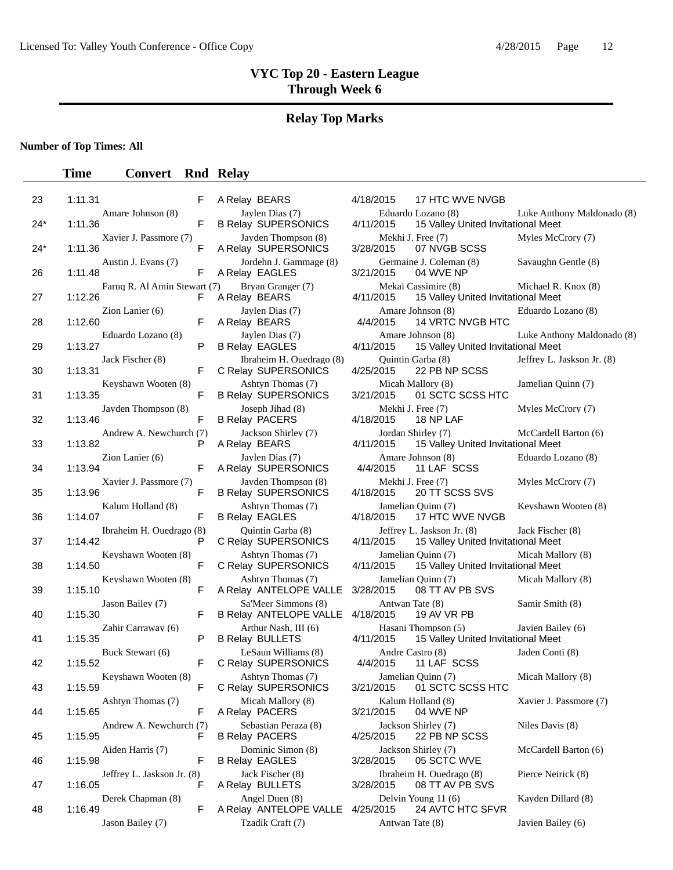# **Relay Top Marks**

**Number of Top Times: All**

| 23  | 1:11.31 |                              | F  | A Relay BEARS                                     | 4/18/2015                    | 17 HTC WVE NVGB                                                  |                            |
|-----|---------|------------------------------|----|---------------------------------------------------|------------------------------|------------------------------------------------------------------|----------------------------|
| 24* | 1:11.36 | Amare Johnson (8)            | F  | Jaylen Dias (7)<br><b>B Relay SUPERSONICS</b>     | 4/11/2015                    | Eduardo Lozano (8)<br>15 Valley United Invitational Meet         | Luke Anthony Maldonado (8) |
| 24* | 1:11.36 | Xavier J. Passmore (7)       | F  | Jayden Thompson (8)<br>A Relay SUPERSONICS        | 3/28/2015                    | Mekhi J. Free (7)<br>07 NVGB SCSS                                | Myles McCrory (7)          |
| 26  | 1:11.48 | Austin J. Evans (7)          | F  | Jordehn J. Gammage (8)<br>A Relay EAGLES          | 3/21/2015                    | Germaine J. Coleman (8)<br>04 WVE NP                             | Savaughn Gentle (8)        |
| 27  | 1:12.26 | Faruq R. Al Amin Stewart (7) | F. | Bryan Granger (7)<br>A Relay BEARS                | 4/11/2015                    | Mekai Cassimire (8)<br>15 Valley United Invitational Meet        | Michael R. Knox (8)        |
| 28  | 1:12.60 | Zion Lanier (6)              | F  | Jaylen Dias (7)<br>A Relay BEARS                  | 4/4/2015                     | Amare Johnson (8)<br><b>14 VRTC NVGB HTC</b>                     | Eduardo Lozano (8)         |
| 29  | 1:13.27 | Eduardo Lozano (8)           | P  | Jaylen Dias (7)<br><b>B Relay EAGLES</b>          | 4/11/2015                    | Amare Johnson (8)<br>15 Valley United Invitational Meet          | Luke Anthony Maldonado (8) |
| 30  | 1:13.31 | Jack Fischer (8)             | F  | Ibraheim H. Ouedrago (8)<br>C Relay SUPERSONICS   | 4/25/2015                    | Quintin Garba (8)<br>22 PB NP SCSS                               | Jeffrey L. Jaskson Jr. (8) |
| 31  | 1:13.35 | Keyshawn Wooten (8)          | F  | Ashtyn Thomas (7)<br><b>B Relay SUPERSONICS</b>   | 3/21/2015                    | Micah Mallory (8)<br>01 SCTC SCSS HTC                            | Jamelian Quinn (7)         |
| 32  | 1:13.46 | Jayden Thompson (8)          | F  | Joseph Jihad (8)<br><b>B Relay PACERS</b>         | 4/18/2015                    | Mekhi J. Free (7)<br>18 NP LAF                                   | Myles McCrory (7)          |
| 33  | 1:13.82 | Andrew A. Newchurch (7)      | P  | Jackson Shirley (7)<br>A Relay BEARS              | 4/11/2015                    | Jordan Shirley (7)<br>15 Valley United Invitational Meet         | McCardell Barton (6)       |
| 34  | 1:13.94 | Zion Lanier (6)              | F  | Jaylen Dias (7)<br>A Relay SUPERSONICS            | 4/4/2015                     | Amare Johnson (8)<br>11 LAF SCSS                                 | Eduardo Lozano (8)         |
| 35  | 1:13.96 | Xavier J. Passmore (7)       | F  | Jayden Thompson (8)<br><b>B Relay SUPERSONICS</b> | 4/18/2015                    | Mekhi J. Free (7)<br>20 TT SCSS SVS                              | Myles McCrory (7)          |
| 36  | 1:14.07 | Kalum Holland (8)            | F  | Ashtyn Thomas (7)<br><b>B Relay EAGLES</b>        | 4/18/2015                    | Jamelian Quinn (7)<br>17 HTC WVE NVGB                            | Keyshawn Wooten (8)        |
| 37  | 1:14.42 | Ibraheim H. Ouedrago (8)     | P  | Quintin Garba (8)<br>C Relay SUPERSONICS          | 4/11/2015                    | Jeffrey L. Jaskson Jr. (8)<br>15 Valley United Invitational Meet | Jack Fischer (8)           |
| 38  | 1:14.50 | Keyshawn Wooten (8)          | F  | Ashtyn Thomas (7)<br>C Relay SUPERSONICS          | 4/11/2015                    | Jamelian Quinn (7)<br>15 Valley United Invitational Meet         | Micah Mallory (8)          |
| 39  | 1:15.10 | Keyshawn Wooten (8)          | F  | Ashtyn Thomas (7)<br>A Relay ANTELOPE VALLE       | 3/28/2015                    | Jamelian Quinn (7)<br>08 TT AV PB SVS                            | Micah Mallory (8)          |
| 40  | 1:15.30 | Jason Bailey (7)             | F  | Sa'Meer Simmons (8)<br>B Relay ANTELOPE VALLE     | Antwan Tate (8)<br>4/18/2015 | 19 AV VR PB                                                      | Samir Smith (8)            |
| 41  | 1:15.35 | Zahir Carraway (6)           | P  | Arthur Nash, III (6)<br><b>B Relay BULLETS</b>    | 4/11/2015                    | Hasani Thompson (5)<br>15 Valley United Invitational Meet        | Javien Bailey (6)          |
| 42  | 1:15.52 | Buck Stewart (6)             | F  | LeSaun Williams (8)<br>C Relay SUPERSONICS        | 4/4/2015                     | Andre Castro (8)<br>11 LAF SCSS                                  | Jaden Conti (8)            |
| 43  | 1:15.59 | Keyshawn Wooten (8)          | F  | Ashtyn Thomas (7)<br>C Relay SUPERSONICS          | 3/21/2015                    | Jamelian Quinn (7)<br>01 SCTC SCSS HTC                           | Micah Mallory (8)          |
| 44  | 1:15.65 | Ashtyn Thomas (7)            | F  | Micah Mallory (8)<br>A Relay PACERS               | 3/21/2015                    | Kalum Holland (8)<br>04 WVE NP                                   | Xavier J. Passmore (7)     |
| 45  | 1:15.95 | Andrew A. Newchurch (7)      | F  | Sebastian Peraza (8)<br><b>B Relay PACERS</b>     | 4/25/2015                    | Jackson Shirley (7)<br>22 PB NP SCSS                             | Niles Davis (8)            |
| 46  | 1:15.98 | Aiden Harris (7)             | F  | Dominic Simon (8)<br><b>B Relay EAGLES</b>        | 3/28/2015                    | Jackson Shirley (7)<br>05 SCTC WVE                               | McCardell Barton (6)       |
| 47  | 1:16.05 | Jeffrey L. Jaskson Jr. (8)   | F  | Jack Fischer (8)<br>A Relay BULLETS               | 3/28/2015                    | Ibraheim H. Ouedrago (8)<br>08 TT AV PB SVS                      | Pierce Neirick (8)         |
| 48  | 1:16.49 | Derek Chapman (8)            | F  | Angel Duen (8)<br>A Relay ANTELOPE VALLE          | 4/25/2015                    | Delvin Young 11 (6)<br>24 AVTC HTC SFVR                          | Kayden Dillard (8)         |
|     |         | Jason Bailey (7)             |    | Tzadik Craft (7)                                  |                              | Antwan Tate (8)                                                  | Javien Bailey (6)          |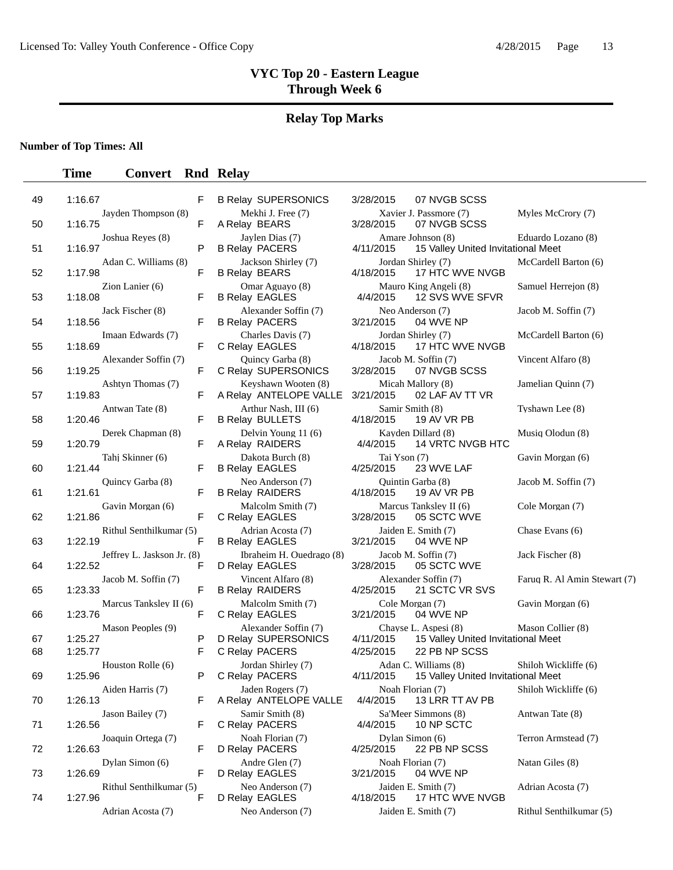#### **Relay Top Marks**

**Number of Top Times: All**

#### **Time Convert Rnd Relay**

| 49       | 1:16.67                                 | F           | <b>B Relay SUPERSONICS</b>                                    | 3/28/2015<br>07 NVGB SCSS                                                                             |                         |
|----------|-----------------------------------------|-------------|---------------------------------------------------------------|-------------------------------------------------------------------------------------------------------|-------------------------|
| 50       | Jayden Thompson (8)<br>1:16.75          | F           | Mekhi J. Free (7)<br>A Relay BEARS                            | Xavier J. Passmore (7)<br>3/28/2015<br>07 NVGB SCSS                                                   | Myles McCrory (7)       |
| 51       | Joshua Reyes (8)<br>1:16.97             | P           | Jaylen Dias (7)<br><b>B Relay PACERS</b>                      | Amare Johnson (8)<br>4/11/2015<br>15 Valley United Invitational Meet                                  | Eduardo Lozano (8)      |
| 52       | Adan C. Williams (8)<br>1:17.98         | F           | Jackson Shirley (7)<br><b>B Relay BEARS</b>                   | Jordan Shirley (7)<br>17 HTC WVE NVGB<br>4/18/2015                                                    | McCardell Barton (6)    |
| 53       | Zion Lanier $(6)$<br>1:18.08            | F           | Omar Aguayo (8)<br><b>B Relay EAGLES</b>                      | Mauro King Angeli (8)<br>4/4/2015<br>12 SVS WVE SFVR                                                  | Samuel Herrejon (8)     |
| 54       | Jack Fischer (8)<br>1:18.56             | F           | Alexander Soffin (7)<br><b>B Relay PACERS</b>                 | Neo Anderson (7)<br>3/21/2015<br>04 WVE NP                                                            | Jacob M. Soffin (7)     |
| 55       | Imaan Edwards (7)<br>1:18.69            | F           | Charles Davis (7)<br>C Relay EAGLES                           | Jordan Shirley (7)<br>4/18/2015<br>17 HTC WVE NVGB                                                    | McCardell Barton (6)    |
| 56       | Alexander Soffin (7)<br>1:19.25         | F           | Quincy Garba (8)<br>C Relay SUPERSONICS                       | Jacob M. Soffin (7)<br>3/28/2015<br>07 NVGB SCSS                                                      | Vincent Alfaro (8)      |
| 57       | Ashtyn Thomas (7)<br>1:19.83            | F           | Keyshawn Wooten (8)<br>A Relay ANTELOPE VALLE                 | Micah Mallory (8)<br>3/21/2015<br>02 LAF AV TT VR                                                     | Jamelian Quinn (7)      |
| 58       | Antwan Tate (8)<br>1:20.46              | F           | Arthur Nash, III (6)<br><b>B Relay BULLETS</b>                | Samir Smith (8)<br>4/18/2015<br>19 AV VR PB                                                           | Tyshawn Lee (8)         |
| 59       | Derek Chapman (8)<br>1:20.79            | F           | Delvin Young 11 (6)<br>A Relay RAIDERS                        | Kayden Dillard (8)<br>4/4/2015<br>14 VRTC NVGB HTC                                                    | Musiq Olodun (8)        |
| 60       | Tahj Skinner (6)<br>1:21.44             | F           | Dakota Burch (8)<br><b>B Relay EAGLES</b>                     | Tai Yson (7)<br>4/25/2015<br>23 WVE LAF                                                               | Gavin Morgan (6)        |
| 61       | Quincy Garba (8)<br>1:21.61             | F           | Neo Anderson (7)<br><b>B Relay RAIDERS</b>                    | Quintin Garba (8)<br>4/18/2015<br>19 AV VR PB                                                         | Jacob M. Soffin (7)     |
| 62       | Gavin Morgan (6)<br>1:21.86             | F           | Malcolm Smith (7)<br>C Relay EAGLES                           | Marcus Tanksley II (6)<br>3/28/2015<br>05 SCTC WVE                                                    | Cole Morgan (7)         |
| 63       | Rithul Senthilkumar (5)<br>1:22.19      | F           | Adrian Acosta (7)<br><b>B Relay EAGLES</b>                    | Jaiden E. Smith (7)<br>3/21/2015<br>04 WVE NP                                                         | Chase Evans (6)         |
| 64       | Jeffrey L. Jaskson Jr. (8)<br>1:22.52   | F           | Ibraheim H. Ouedrago (8)<br>D Relay EAGLES                    | Jacob M. Soffin (7)<br>3/28/2015<br>05 SCTC WVE                                                       | Jack Fischer (8)        |
| 65       | Jacob M. Soffin (7)<br>1:23.33          | $\mathsf F$ | Vincent Alfaro (8)<br><b>B Relay RAIDERS</b>                  | Alexander Soffin (7)<br>4/25/2015<br>21 SCTC VR SVS                                                   | Faruq R. Al Amin Stew   |
| 66       | Marcus Tanksley II (6)<br>1:23.76       | F           | Malcolm Smith (7)<br>C Relay EAGLES                           | Cole Morgan (7)<br>3/21/2015<br>04 WVE NP                                                             | Gavin Morgan (6)        |
| 67<br>68 | Mason Peoples (9)<br>1:25.27<br>1:25.77 | P<br>F      | Alexander Soffin (7)<br>D Relay SUPERSONICS<br>C Relay PACERS | Chayse L. Aspesi (8)<br>4/11/2015<br>15 Valley United Invitational Meet<br>4/25/2015<br>22 PB NP SCSS | Mason Collier (8)       |
| 69       | Houston Rolle (6)<br>1:25.96            | P           | Jordan Shirley (7)<br>C Relay PACERS                          | Adan C. Williams (8)<br>4/11/2015<br>15 Valley United Invitational Meet                               | Shiloh Wickliffe (6)    |
| 70       | Aiden Harris (7)<br>1:26.13             | F           | Jaden Rogers (7)<br>A Relay ANTELOPE VALLE                    | Noah Florian (7)<br>13 LRR TT AV PB<br>4/4/2015                                                       | Shiloh Wickliffe (6)    |
| 71       | Jason Bailey (7)<br>1:26.56             | F           | Samir Smith (8)<br>C Relay PACERS                             | Sa'Meer Simmons (8)<br>10 NP SCTC<br>4/4/2015                                                         | Antwan Tate (8)         |
| 72       | Joaquin Ortega (7)<br>1:26.63           | F           | Noah Florian (7)<br>D Relay PACERS                            | Dylan Simon (6)<br>4/25/2015<br>22 PB NP SCSS                                                         | Terron Armstead (7)     |
| 73       | Dylan Simon (6)<br>1:26.69              | F           | Andre Glen (7)<br>D Relay EAGLES                              | Noah Florian (7)<br>3/21/2015<br>04 WVE NP                                                            | Natan Giles (8)         |
| 74       | Rithul Senthilkumar (5)<br>1:27.96      | F           | Neo Anderson (7)<br>D Relay EAGLES                            | Jaiden E. Smith (7)<br>4/18/2015<br>17 HTC WVE NVGB                                                   | Adrian Acosta (7)       |
|          | Adrian Acosta (7)                       |             | Neo Anderson (7)                                              | Jaiden E. Smith (7)                                                                                   | Rithul Senthilkumar (5) |

| Mekhi J. Free (7)<br>A Relay BEARS                |
|---------------------------------------------------|
| Jaylen Dias (7)<br><b>B Relay PACERS</b>          |
| Jackson Shirley (7)<br><b>B Relay BEARS</b>       |
| Omar Aguayo (8)<br><b>B Relay EAGLES</b>          |
| Alexander Soffin (7)<br><b>B Relay PACERS</b>     |
| Charles Davis (7)<br>C Relay EAGLES               |
| Quincy Garba (8)<br>C Relay SUPERSONICS           |
| Keyshawn Wooten (8)<br>A Relay ANTELOPE VALLE     |
| Arthur Nash, III (6)                              |
| <b>B Relay BULLETS</b><br>Delvin Young 11 (6)     |
| A Relay RAIDERS<br>Dakota Burch (8)               |
| <b>B Relay EAGLES</b><br>Neo Anderson (7)         |
| <b>B Relay RAIDERS</b><br>Malcolm Smith (7)       |
| C Relay EAGLES<br>Adrian Acosta (7)               |
| <b>B Relay EAGLES</b><br>Ibraheim H. Ouedrago (8) |
| D Relay EAGLES<br>Vincent Alfaro (8)              |
| <b>B Relay RAIDERS</b><br>Malcolm Smith (7)       |
| C Relay EAGLES                                    |
| Alexander Soffin (7)<br>D Relay SUPERSONICS       |
| C Relay PACERS<br>Jordan Shirley (7)              |
| C Relay PACERS<br>Jaden Rogers (7)                |
| A Relay ANTELOPE VALLE<br>Samir Smith (8)         |
| C Relay PACERS<br>Noah Florian (7)                |
| D Relay PACERS<br>Andre Glen (7)                  |
| D Relay EAGLES<br>Neo Anderson (7)                |
| $\mathbf{u}$ FACLES                               |

Relay SUPERSONICS 3/28/2015 07 NVGB SCSS Xavier J. Passmore (7) Myles McCrory (7) 3/28/2015 07 NVGB SCSS 07 NVGB SCSS Amare Johnson (8) Eduardo Lozano (8) 4/11/2015 15 Valley United Invitational Meet Jordan Shirley (7) McCardell Barton (6) 4/18/2015 17 HTC WVE NVGB Mauro King Angeli (8) Samuel Herrejon (8) <br>4/4/2015 12 SVS WVE SFVR 12 SVS WVE SFVR Neo Anderson (7) Jacob M. Soffin (7) 3/21/2015 04 WVE NP Iordan Shirley (7) McCardell Barton (6) 4/18/2015 17 HTC WVE NVGB Jacob M. Soffin (7) Vincent Alfaro (8) 3/28/2015 07 NVGB SCSS Micah Mallory (8) Jamelian Quinn (7) 3/21/2015 02 LAF AV TT VR Samir Smith (8) Tyshawn Lee (8) 4/18/2015 19 AV VR PB 19 AV VR PB Kayden Dillard (8) Musiq Olodun (8) 4/4/2015 14 VRTC NVGB HTC Tai Yson (7) Gavin Morgan (6) 4/25/2015 23 WVE LAF Quintin Garba (8) Jacob M. Soffin (7) 4/18/2015 19 AV VR PB Marcus Tanksley II (6) Cole Morgan (7) Cole Morgan (7) Marcus Tanksley II (6) 05 SCTC WVE Jaiden E. Smith (7) Chase Evans (6) 3/21/2015 04 WVE NP Jacob M. Soffin (7) Jack Fischer (8) 3/28/2015 05 SCTC WVE Alexander Soffin (7) Faruq R. Al Amin Stewart (7) 4/25/2015 21 SCTC VR SVS Cole Morgan (7) Gavin Morgan (6) 3/21/2015 04 WVE NP Chayse L. Aspesi (8) Mason Collier (8) 4/11/2015 15 Valley United Invitational Meet 4/25/2015 22 PB NP SCSS Adan C. Williams (8) Shiloh Wickliffe (6) 4/11/2015 15 Valley United Invitational Meet Noah Florian (7) Shiloh Wickliffe (6)<br>4/4/2015 13 LRR TT AV PB 13 LRR TT AV PB Sa'Meer Simmons (8) Antwan Tate (8) 4/4/2015 10 NP SCTC Dylan Simon (6) Terron Armstead (7) 4/25/2015 22 PB NP SCSS Noah Florian (7) Natan Giles (8) 3/21/2015 04 WVE NP Jaiden E. Smith (7) Adrian Acosta (7) Relay EAGLES 4/18/2015 17 HTC WVE NVGB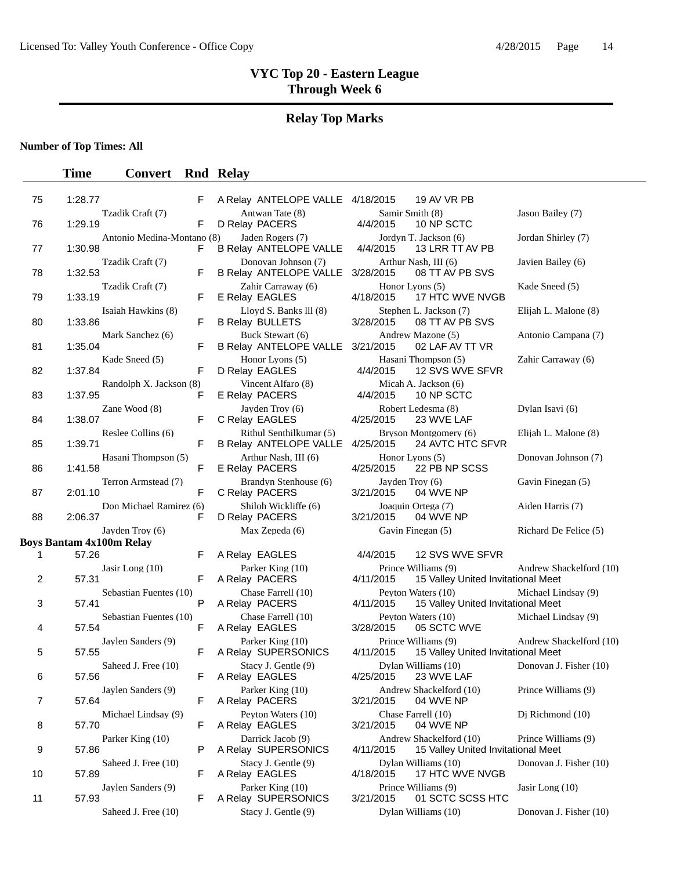# **Relay Top Marks**

### **Number of Top Times: All**

| 75 | 1:28.77 |                                 | F  | A Relay ANTELOPE VALLE 4/18/2015                         |                              | 19 AV VR PB                                                   |                         |
|----|---------|---------------------------------|----|----------------------------------------------------------|------------------------------|---------------------------------------------------------------|-------------------------|
| 76 | 1:29.19 | Tzadik Craft (7)                | F  | Antwan Tate (8)<br>D Relay PACERS                        | 4/4/2015                     | Samir Smith (8)<br>10 NP SCTC                                 | Jason Bailey (7)        |
| 77 | 1:30.98 | Antonio Medina-Montano (8)      | F  | Jaden Rogers (7)<br><b>B Relay ANTELOPE VALLE</b>        | 4/4/2015                     | Jordyn T. Jackson (6)<br>13 LRR TT AV PB                      | Jordan Shirley (7)      |
| 78 | 1:32.53 | Tzadik Craft (7)                | F  | Donovan Johnson (7)<br><b>B Relay ANTELOPE VALLE</b>     | 3/28/2015                    | Arthur Nash, III (6)<br>08 TT AV PB SVS                       | Javien Bailey (6)       |
| 79 | 1:33.19 | Tzadik Craft (7)                | F  | Zahir Carraway (6)<br>E Relay EAGLES                     | 4/18/2015                    | Honor Lyons (5)<br>17 HTC WVE NVGB                            | Kade Sneed (5)          |
| 80 | 1:33.86 | Isaiah Hawkins (8)              | F  | Lloyd S. Banks III (8)<br><b>B Relay BULLETS</b>         | 3/28/2015                    | Stephen L. Jackson (7)<br>08 TT AV PB SVS                     | Elijah L. Malone (8)    |
| 81 | 1:35.04 | Mark Sanchez (6)                | F  | Buck Stewart (6)<br><b>B Relay ANTELOPE VALLE</b>        | 3/21/2015                    | Andrew Mazone (5)<br>02 LAF AV TT VR                          | Antonio Campana (7)     |
| 82 | 1:37.84 | Kade Sneed (5)                  | F  | Honor Lyons (5)<br>D Relay EAGLES                        | 4/4/2015                     | Hasani Thompson (5)<br>12 SVS WVE SFVR                        | Zahir Carraway (6)      |
| 83 | 1:37.95 | Randolph X. Jackson (8)         | F  | Vincent Alfaro (8)<br>E Relay PACERS                     | 4/4/2015                     | Micah A. Jackson (6)<br>10 NP SCTC                            |                         |
| 84 | 1:38.07 | Zane Wood (8)                   | F  | Jayden Troy (6)<br>C Relay EAGLES                        | 4/25/2015                    | Robert Ledesma (8)<br>23 WVE LAF                              | Dylan Isavi (6)         |
| 85 | 1:39.71 | Reslee Collins (6)              | F  | Rithul Senthilkumar (5)<br><b>B Relay ANTELOPE VALLE</b> | 4/25/2015                    | Bryson Montgomery (6)<br>24 AVTC HTC SFVR                     | Elijah L. Malone (8)    |
| 86 | 1:41.58 | Hasani Thompson (5)             | F  | Arthur Nash, III (6)<br>E Relay PACERS                   | 4/25/2015                    | Honor Lyons (5)<br>22 PB NP SCSS                              | Donovan Johnson (7)     |
| 87 | 2:01.10 | Terron Armstead (7)             | F  | Brandyn Stenhouse (6)<br>C Relay PACERS                  | Jayden Troy (6)<br>3/21/2015 | 04 WVE NP                                                     | Gavin Finegan (5)       |
| 88 | 2:06.37 | Don Michael Ramirez (6)         | F  | Shiloh Wickliffe (6)<br>D Relay PACERS                   | 3/21/2015                    | Joaquin Ortega (7)<br>04 WVE NP                               | Aiden Harris (7)        |
|    |         | Jayden Troy (6)                 |    | Max Zepeda (6)                                           |                              | Gavin Finegan (5)                                             | Richard De Felice (5)   |
| 1  | 57.26   | <b>Boys Bantam 4x100m Relay</b> | F  | A Relay EAGLES                                           | 4/4/2015                     | 12 SVS WVE SFVR                                               |                         |
|    |         | Jasir Long (10)                 |    | Parker King (10)                                         |                              | Prince Williams (9)                                           | Andrew Shackelford (10) |
| 2  | 57.31   |                                 | F  | A Relay PACERS                                           | 4/11/2015                    | 15 Valley United Invitational Meet                            |                         |
| 3  | 57.41   | Sebastian Fuentes (10)          | P  | Chase Farrell (10)<br>A Relay PACERS                     | 4/11/2015                    | Peyton Waters (10)<br>15 Valley United Invitational Meet      | Michael Lindsay (9)     |
| 4  | 57.54   | Sebastian Fuentes (10)          | F  | Chase Farrell (10)<br>A Relay EAGLES                     | 3/28/2015                    | Peyton Waters (10)<br>05 SCTC WVE                             | Michael Lindsay (9)     |
| 5  | 57.55   | Jaylen Sanders (9)              | F. | Parker King (10)<br>A Relay SUPERSONICS                  | 4/11/2015                    | Prince Williams (9)<br>15 Valley United Invitational Meet     | Andrew Shackelford (10) |
| 6  | 57.56   | Saheed J. Free (10)             | F. | Stacy J. Gentle (9)<br>A Relay EAGLES                    | 4/25/2015                    | Dylan Williams (10)<br>23 WVE LAF                             | Donovan J. Fisher (10)  |
| 7  | 57.64   | Jaylen Sanders (9)              | F. | Parker King (10)<br>A Relay PACERS                       | 3/21/2015                    | Andrew Shackelford (10)<br>04 WVE NP                          | Prince Williams (9)     |
| 8  | 57.70   | Michael Lindsay (9)             | F  | Peyton Waters (10)<br>A Relay EAGLES                     | 3/21/2015                    | Chase Farrell (10)<br>04 WVE NP                               | Dj Richmond (10)        |
| 9  | 57.86   | Parker King (10)                | P  | Darrick Jacob (9)<br>A Relay SUPERSONICS                 | 4/11/2015                    | Andrew Shackelford (10)<br>15 Valley United Invitational Meet | Prince Williams (9)     |
| 10 | 57.89   | Saheed J. Free (10)             | F. | Stacy J. Gentle (9)<br>A Relay EAGLES                    | 4/18/2015                    | Dylan Williams (10)<br>17 HTC WVE NVGB                        | Donovan J. Fisher (10)  |
| 11 | 57.93   | Jaylen Sanders (9)              | F. | Parker King (10)<br>A Relay SUPERSONICS                  | 3/21/2015                    | Prince Williams (9)<br>01 SCTC SCSS HTC                       | Jasir Long (10)         |
|    |         | Saheed J. Free (10)             |    | Stacy J. Gentle (9)                                      |                              | Dylan Williams (10)                                           | Donovan J. Fisher (10)  |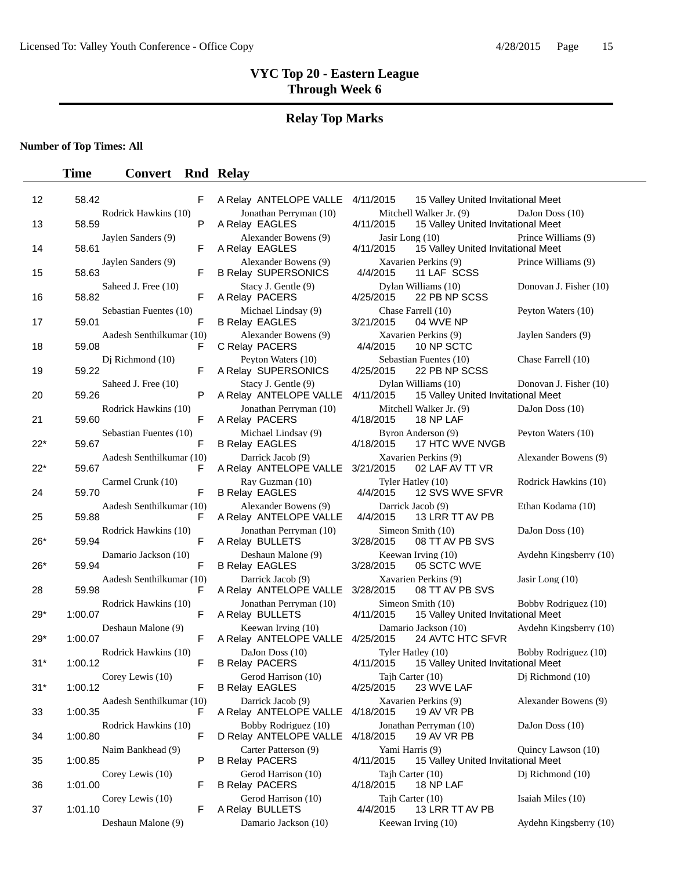### **Relay Top Marks**

**Number of Top Times: All**

| 12     | F<br>58.42                               | A Relay ANTELOPE VALLE 4/11/2015                   | 15 Valley United Invitational Meet                                         |                        |
|--------|------------------------------------------|----------------------------------------------------|----------------------------------------------------------------------------|------------------------|
| 13     | Rodrick Hawkins (10)<br>P<br>58.59       | Jonathan Perryman (10)<br>A Relay EAGLES           | Mitchell Walker Jr. (9)<br>4/11/2015<br>15 Valley United Invitational Meet | DaJon Doss (10)        |
| 14     | Jaylen Sanders (9)<br>F<br>58.61         | Alexander Bowens (9)<br>A Relay EAGLES             | Jasir Long (10)<br>15 Valley United Invitational Meet<br>4/11/2015         | Prince Williams (9)    |
| 15     | Jaylen Sanders (9)<br>F<br>58.63         | Alexander Bowens (9)<br><b>B Relay SUPERSONICS</b> | Xavarien Perkins (9)<br>4/4/2015<br>11 LAF SCSS                            | Prince Williams (9)    |
| 16     | Saheed J. Free (10)<br>F<br>58.82        | Stacy J. Gentle (9)<br>A Relay PACERS              | Dylan Williams (10)<br>22 PB NP SCSS<br>4/25/2015                          | Donovan J. Fisher (10) |
| 17     | Sebastian Fuentes (10)<br>59.01<br>F     | Michael Lindsay (9)<br><b>B Relay EAGLES</b>       | Chase Farrell (10)<br>3/21/2015<br>04 WVE NP                               | Peyton Waters (10)     |
| 18     | Aadesh Senthilkumar (10)<br>59.08<br>F   | Alexander Bowens (9)<br>C Relay PACERS             | Xavarien Perkins (9)<br>4/4/2015<br>10 NP SCTC                             | Jaylen Sanders (9)     |
| 19     | Dj Richmond (10)<br>59.22<br>F           | Peyton Waters (10)<br>A Relay SUPERSONICS          | Sebastian Fuentes (10)<br>4/25/2015<br>22 PB NP SCSS                       | Chase Farrell (10)     |
| 20     | Saheed J. Free (10)<br>P<br>59.26        | Stacy J. Gentle (9)<br>A Relay ANTELOPE VALLE      | Dylan Williams (10)<br>4/11/2015<br>15 Valley United Invitational Meet     | Donovan J. Fisher (10) |
| 21     | Rodrick Hawkins (10)<br>59.60<br>F       | Jonathan Perryman (10)<br>A Relay PACERS           | Mitchell Walker Jr. (9)<br>4/18/2015<br>18 NP LAF                          | DaJon Doss (10)        |
| $22^*$ | Sebastian Fuentes (10)<br>F<br>59.67     | Michael Lindsay (9)<br><b>B Relay EAGLES</b>       | Byron Anderson (9)<br>4/18/2015<br>17 HTC WVE NVGB                         | Peyton Waters (10)     |
| $22*$  | Aadesh Senthilkumar (10)<br>59.67<br>F   | Darrick Jacob (9)<br>A Relay ANTELOPE VALLE        | Xavarien Perkins (9)<br>3/21/2015<br>02 LAF AV TT VR                       | Alexander Bowens (9)   |
| 24     | Carmel Crunk (10)<br>59.70<br>F          | Ray Guzman (10)<br><b>B Relay EAGLES</b>           | Tyler Hatley (10)<br>4/4/2015<br>12 SVS WVE SFVR                           | Rodrick Hawkins (10)   |
| 25     | Aadesh Senthilkumar (10)<br>59.88<br>F   | Alexander Bowens (9)<br>A Relay ANTELOPE VALLE     | Darrick Jacob (9)<br>4/4/2015<br>13 LRR TT AV PB                           | Ethan Kodama (10)      |
| $26*$  | Rodrick Hawkins (10)<br>59.94<br>F       | Jonathan Perryman (10)<br>A Relay BULLETS          | Simeon Smith (10)<br>3/28/2015<br>08 TT AV PB SVS                          | DaJon Doss (10)        |
| $26*$  | Damario Jackson (10)<br>59.94<br>F       | Deshaun Malone (9)<br><b>B Relay EAGLES</b>        | Keewan Irving (10)<br>3/28/2015<br>05 SCTC WVE                             | Aydehn Kingsberry (10) |
| 28     | Aadesh Senthilkumar (10)<br>59.98<br>F   | Darrick Jacob (9)<br>A Relay ANTELOPE VALLE        | Xavarien Perkins (9)<br>3/28/2015<br>08 TT AV PB SVS                       | Jasir Long $(10)$      |
| $29*$  | Rodrick Hawkins (10)<br>1:00.07<br>F     | Jonathan Perryman (10)<br>A Relay BULLETS          | Simeon Smith (10)<br>4/11/2015<br>15 Valley United Invitational Meet       | Bobby Rodriguez (10)   |
| $29*$  | Deshaun Malone (9)<br>F<br>1:00.07       | Keewan Irving (10)<br>A Relay ANTELOPE VALLE       | Damario Jackson (10)<br>4/25/2015<br>24 AVTC HTC SFVR                      | Aydehn Kingsberry (10) |
| $31*$  | Rodrick Hawkins (10)<br>1:00.12<br>F     | DaJon Doss (10)<br><b>B Relay PACERS</b>           | Tyler Hatley (10)<br>4/11/2015<br>15 Valley United Invitational Meet       | Bobby Rodriguez (10)   |
| $31*$  | Corey Lewis (10)<br>1:00.12<br>F         | Gerod Harrison (10)<br><b>B Relay EAGLES</b>       | Tajh Carter (10)<br>4/25/2015<br>23 WVE LAF                                | $Di$ Richmond $(10)$   |
| 33     | Aadesh Senthilkumar (10)<br>1:00.35<br>F | Darrick Jacob (9)<br>A Relay ANTELOPE VALLE        | Xavarien Perkins (9)<br>4/18/2015<br>19 AV VR PB                           | Alexander Bowens (9)   |
| 34     | Rodrick Hawkins (10)<br>1:00.80<br>F     | Bobby Rodriguez (10)<br>D Relay ANTELOPE VALLE     | Jonathan Perryman (10)<br>4/18/2015<br>19 AV VR PB                         | DaJon Doss (10)        |
| 35     | Naim Bankhead (9)<br>1:00.85<br>P        | Carter Patterson (9)<br><b>B Relay PACERS</b>      | Yami Harris (9)<br>4/11/2015<br>15 Valley United Invitational Meet         | Quincy Lawson (10)     |
| 36     | Corey Lewis (10)<br>1:01.00<br>F.        | Gerod Harrison (10)<br><b>B Relay PACERS</b>       | Tajh Carter (10)<br>4/18/2015<br>18 NP LAF                                 | Di Richmond (10)       |
| 37     | Corey Lewis (10)<br>1:01.10<br>F         | Gerod Harrison (10)<br>A Relay BULLETS             | Tajh Carter (10)<br>4/4/2015<br>13 LRR TT AV PB                            | Isaiah Miles (10)      |
|        | Deshaun Malone (9)                       | Damario Jackson (10)                               | Keewan Irving (10)                                                         | Aydehn Kingsberry (10) |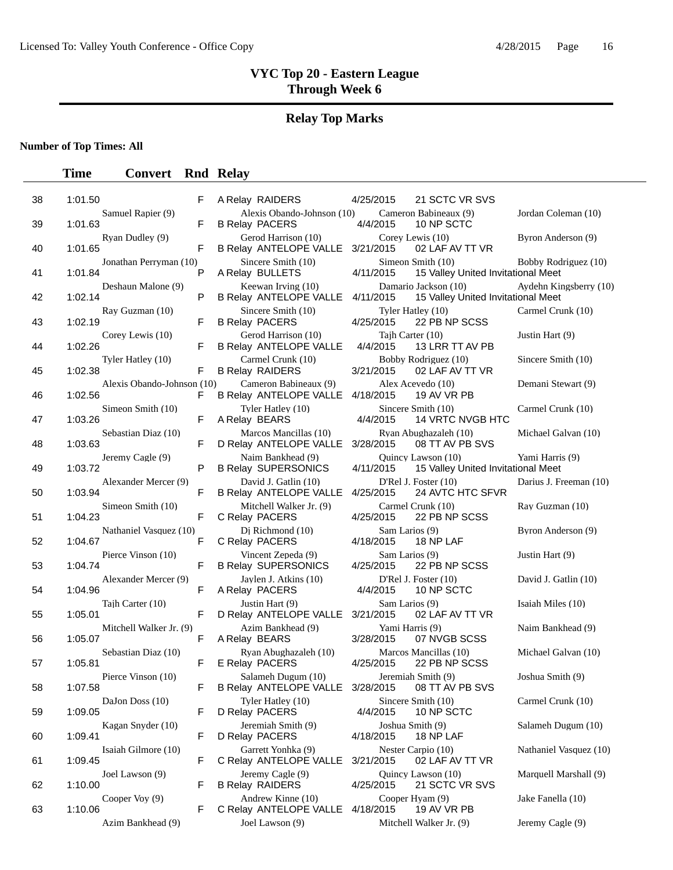#### **Relay Top Marks**

**Number of Top Times: All**

#### **Time Convert Rnd Relay**

38 1:01.50 F A Relay RAIDERS 4/25/2015 21 SCTC VR SVS Samuel Rapier (9) Alexis Obando-Johnson (10) Cameron Babineaux (9) Jordan Coleman (10)<br>
F B Relay PACERS 4/4/2015 10 NP SCTC 39 1:01.63 F B Relay PACERS Ryan Dudley (9) Gerod Harrison (10) Corey Lewis (10) Byron Anderson (9)<br>
F B Relay ANTELOPE VALLE 3/21/2015 02 LAF AV TT VR 40 1:01.65 F B Relay ANTELOPE VALLE 3/21/2015 02 LAF AV TT VR Jonathan Perryman (10) Sincere Smith (10) Simeon Smith (10) Bobby Rodriguez (10)<br>P A Relay BULLETS 4/11/2015 15 Valley United Invitational Meet 41 1:01.84 P A Relay BULLETS 4/11/2015 15 Valley United Invitational Meet Deshaun Malone (9) Keewan Irving (10) Damario Jackson (10) Aydehn Kingsberry (10)<br>P B Relay ANTELOPE VALLE 4/11/2015 15 Valley United Invitational Meet 42 1:02.14 P B Relay ANTELOPE VALLE 4/11/2015 15 Valley United Invitational Meet Ray Guzman (10) Sincere Smith (10) Tyler Hatley (10) Carmel Crunk (10) 43 1:02.19 F B Relay PACERS 4/25/2015 22 PB NP SCSS Corey Lewis (10) Gerod Harrison (10) Tajh Carter (10) Justin Hart (9) 44 1:02.26 F B Relay ANTELOPE VALLE 4/4/2015 13 LRR TT AV PB Tyler Hatley (10) Carmel Crunk (10) Bobby Rodriguez (10) Sincere Smith (10)<br>
F B Relay RAIDERS 3/21/2015 02 LAF AV TT VR 45 1:02.38 F B Relay RAIDERS 3/21/2015 02 LAF AV TT VR Alexis Obando-Johnson (10) Cameron Babineaux (9) Alex Acevedo (10) Demani Stewart (9) 46 1:02.56 F B Relay ANTELOPE VALLE 4/18/2015 19 AV VR PB Simeon Smith (10) Tyler Hatley (10) Sincere Smith (10) Carmel Crunk (10)<br>
F A Relay BEARS 4/4/2015 14 VRTC NVGB HTC 47 1:03.26 F A Relay BEARS 4/4/2015 14 VRTC NVGB HTC Sebastian Diaz (10) Marcos Mancillas (10) Ryan Abughazaleh (10) Michael Galvan (10) 48 1:03.63 F D Relay ANTELOPE VALLE 3/28/2015 08 TT AV PB SVS Jeremy Cagle (9) Naim Bankhead (9) Quincy Lawson (10) Yami Harris (9)<br>P B Relay SUPERSONICS 4/11/2015 15 Valley United Invitational Meet 49 1:03.72 **P** B Relay SUPERSONICS 4/11/2015 15 Valley United Invitational Meet Alexander Mercer (9) David J. Gatlin (10) D'Rel J. Foster (10) Darius J. Freeman (10)<br>F B Relay ANTELOPE VALLE 4/25/2015 24 AVTC HTC SFVR 50 1:03.94 **F B Relay ANTELOPE VALLE 4/25/2015** 24 AVTC HTC SFVR Simeon Smith (10) Mitchell Walker Jr. (9) Carmel Crunk (10) Ray Guzman (10) 51 1:04.23 F C Relay PACERS 4/25/2015 22 PB NP SCSS Nathaniel Vasquez (10) Dj Richmond (10) Sam Larios (9) Byron Anderson (9)<br>
F C Relay PACERS 4/18/2015 18 NP LAF 52 1:04.67 F C Relay PACERS 4/18/2015 18 NP LAF Pierce Vinson (10) Vincent Zepeda (9) Sam Larios (9) Justin Hart (9) 53 1:04.74 F B Relay SUPERSONICS 4/25/2015 22 PB NP SCSS Alexander Mercer (9) Jaylen J. Atkins (10) D'Rel J. Foster (10) David J. Gatlin (10) 54 1:04.96 F A Relay PACERS 4/4/2015 10 NP SCTC Tajh Carter (10) *Justin Hart (9)* Sam Larios (9) Isaiah Miles (10)<br>
F D Relay ANTELOPE VALLE 3/21/2015 02 LAF AV TT VR 55 1:05.01 F D Relay ANTELOPE VALLE 3/21/2015 02 LAF AV TT VR Mitchell Walker Jr. (9) Azim Bankhead (9) Yami Harris (9) Naim Bankhead (9) F A Relay BEARS 3/28/2015 07 NVGB SCSS 56 1:05.07 F A Relay BEARS 3/28/2015 07 NVGB SCSS Sebastian Diaz (10) Ryan Abughazaleh (10) Marcos Mancillas (10) Michael Galvan (10)<br>
F E Relay PACERS 4/25/2015 22 PB NP SCSS 57 1:05.81 F E Relay PACERS 4/25/2015 22 PB NP SCSS Pierce Vinson (10) Salameh Dugum (10) Jeremiah Smith (9) Joshua Smith (9)<br>
F B Relay ANTELOPE VALLE 3/28/2015 08 TT AV PB SVS 58 1:07.58 F B Relay ANTELOPE VALLE 3/28/2015 08 TT AV PB SVS DaJon Doss (10) Tyler Hatley (10) Sincere Smith (10) Carmel Crunk (10)<br>
F D Relay PACERS 4/4/2015 10 NP SCTC 59 1:09.05 F D Relay PACERS 4/4/2015 10 NP SCTC Kagan Snyder (10) *Jeremiah Smith (9)* Joshua Smith (9) Salameh Dugum (10)<br>
F D Relay PACERS 4/18/2015 18 NP LAF 60 1:09.41 F D Relay PACERS 4/18/2015 18 NP LAF Isaiah Gilmore (10) Garrett Yonhka (9) Nester Carpio (10) Nathaniel Vasquez (10)<br>
F C Relay ANTELOPE VALLE 3/21/2015 02 LAF AV TT VR 61 1:09.45 F C Relay ANTELOPE VALLE 3/21/2015 02 LAF AV TT VR Joel Lawson (9) *Jeremy Cagle (9)* Ouincy Lawson (10) Marquell Marshall (9)<br>
F B Relay RAIDERS 4/25/2015 21 SCTC VR SVS 62 1:10.00 F B Relay RAIDERS Cooper Voy (9) Andrew Kinne (10) Cooper Hyam (9) Jake Fanella (10) 63 1:10.06 F C Relay ANTELOPE VALLE 4/18/2015 19 AV VR PB

Azim Bankhead (9) Joel Lawson (9) Mitchell Walker Jr. (9) Jeremy Cagle (9)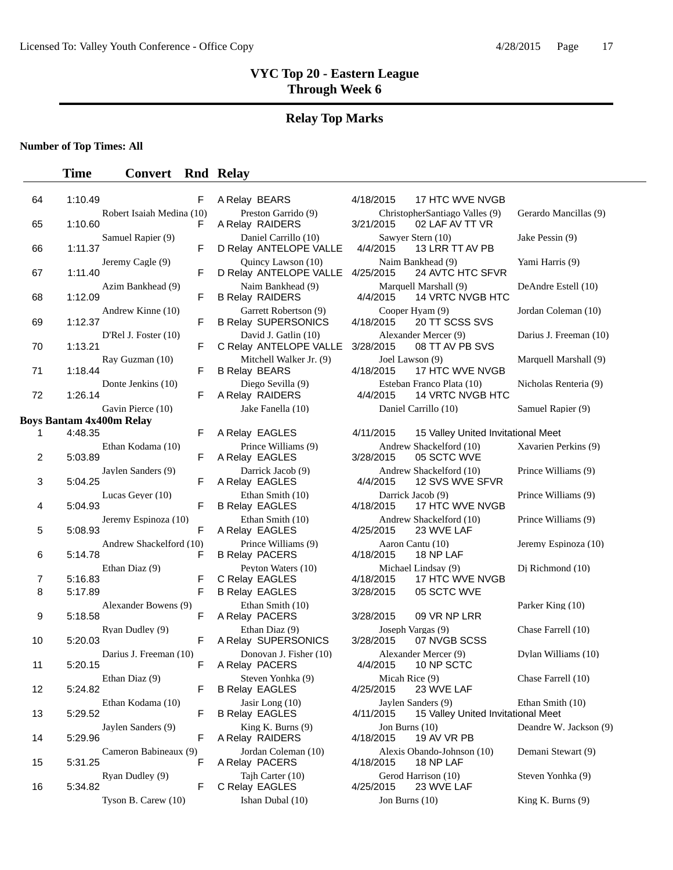#### **Relay Top Marks**

**Number of Top Times: All**

#### **Time Convert Rnd Relay**

64 1:10.49 F A Relay BEARS 4/18/2015 17 HTC WVE NVGB 65 1:10.60 F A Relay RAIDERS 3/21/2015 02 LAF AV TT VR 66 1:11.37 F D Relay ANTELOPE VALLE 4/4/2015 13 LRR TT AV PB 67 1:11.40 F D Relay ANTELOPE VALLE 4/25/2015 24 AVTC HTC SFVR 68 1:12.09 F B Relay RAIDERS 4/4/2015 14 VRTC NVGB HTC 69 1:12.37 F B Relay SUPERSONICS 4/18/2015 20 TT SCSS SVS 70 1:13.21 **F** C Relay ANTELOPE VALLE 3/28/2015 08 TT AV PB SVS 71 1:18.44 F B Relay BEARS 4/18/2015 17 HTC WVE NVGB 72 1:26.14 F A Relay RAIDERS 4/4/2015 14 VRTC NVGB HTC **Boys Bantam 4x400m Relay**  2 5:03.89 F A Relay EAGLES 3/28/2015 05 SCTC WVE 3 5:04.25 **F** A Relay EAGLES 4/4/2015 12 SVS WVE SFVR 4 5:04.93 **F B Relay EAGLES** 4/18/2015 17 HTC WVE NVGB 5 5:08.93 F A Relay EAGLES 4/25/2015 23 WVE LAF 6 5:14.78 F B Relay PACERS 4/18/2015 18 NP LAF 7 5:16.83 F C Relay EAGLES 4/18/2015 17 HTC WVE NVGB 8 5:17.89 F B Relay EAGLES 3/28/2015 05 SCTC WVE 9 5:18.58 F A Relay PACERS 3/28/2015 09 VR NP LRR 10 5:20.03 **F A Relay SUPERSONICS** 3/28/2015 07 NVGB SCSS 11 5:20.15 **F A Relay PACERS** 4/4/2015 10 NP SCTC 12 5:24.82 F B Relay EAGLES 4/25/2015 23 WVE LAF 14 5:29.96 F A Relay RAIDERS 4/18/2015 19 AV VR PB 15 5:31.25 F A Relay PACERS 4/18/2015 18 NP LAF 16 5:34.82 **F** C Relay EAGLES 4/25/2015

|  | A Relay BEARS                                   |
|--|-------------------------------------------------|
|  | Preston Garrido (9)<br>A Relay RAIDERS          |
|  | Daniel Carrillo (10)<br>D Relay ANTELOPE VALLE  |
|  | Quincy Lawson (10)                              |
|  | D Relay ANTELOPE VALLE<br>Naim Bankhead (9)     |
|  | <b>B Relay RAIDERS</b><br>Garrett Robertson (9) |
|  | <b>B Relay SUPERSONICS</b>                      |
|  | David J. Gatlin (10)<br>C Relay ANTELOPE VALLE  |
|  | Mitchell Walker Jr. (9)<br><b>B Relay BEARS</b> |
|  | Diego Sevilla (9)<br>A Relay RAIDERS            |
|  | Jake Fanella (10)                               |
|  | A Relay EAGLES                                  |
|  | Prince Williams (9)<br>A Relay EAGLES           |
|  | Darrick Jacob (9)<br>A Relay EAGLES             |
|  | Ethan Smith (10)                                |
|  | <b>B Relay EAGLES</b><br>Ethan Smith (10)       |
|  | A Relay EAGLES<br>Prince Williams (9)           |
|  | <b>B Relay PACERS</b>                           |
|  | Peyton Waters (10)<br>C Relay EAGLES            |
|  | B Relay EAGLES<br>Ethan Smith (10)              |
|  | A Relay PACERS                                  |
|  | Ethan Diaz (9)<br>A Relay SUPERSONICS           |
|  | Donovan J. Fisher (10)<br>A Relay PACERS        |
|  | Steven Yonhka (9)<br><b>B Relay EAGLES</b>      |
|  | Jasir Long (10)<br><b>B Relay EAGLES</b>        |
|  | King K. Burns (9)                               |
|  | A Relay RAIDERS<br>Jordan Coleman (10)          |
|  | A Relay PACERS<br>Tajh Carter (10)              |

Robert Isaiah Medina (10) Preston Garrido (9) ChristopherSantiago Valles (9) Gerardo Mancillas (9) Samuel Rapier (9) Daniel Carrillo (10) Sawyer Stern (10) Jake Pessin (9)<br>
F D Relay ANTELOPE VALLE 4/4/2015 13 LRR TT AV PB Jeremy Cagle (9) <br>
F D Relay ANTELOPE VALLE 4/25/2015 24 AVTC HTC SFVR <br>
F D Relay ANTELOPE VALLE 4/25/2015 24 AVTC HTC SFVR Azim Bankhead (9) Naim Bankhead (9) Marquell Marshall (9) DeAndre Estell (10)<br>F B Relay RAIDERS 4/4/2015 14 VRTC NVGB HTC Andrew Kinne (10) Garrett Robertson (9) Cooper Hyam (9) Jordan Coleman (10) D'Rel J. Foster (10) David J. Gatlin (10) Alexander Mercer (9) Darius J. Freeman (10)<br>F C Relay ANTELOPE VALLE 3/28/2015 08 TT AV PB SVS Ray Guzman (10) Mitchell Walker Jr. (9) Joel Lawson (9) Marquell Marshall (9)<br>F B Relay BEARS 4/18/2015 17 HTC WVE NVGB Donte Jenkins (10) Diego Sevilla (9) Bisteban Franco Plata (10) Nicholas Renteria (9)<br>
F A Relay RAIDERS 4/4/2015 14 VRTC NVGB HTC Gavin Pierce (10) **Samuel Rapier (9)** Jake Fanella (10) **Daniel Carrillo (10)** Samuel Rapier (9) 1 A Relay EAGLES 4/11/2015 4:48.35 F 15 Valley United Invitational Meet Ethan Kodama (10) Prince Williams (9) Andrew Shackelford (10) Xavarien Perkins (9) Jaylen Sanders (9) Darrick Jacob (9) Andrew Shackelford (10) Prince Williams (9) Lucas Geyer (10) Ethan Smith (10) Darrick Jacob (9) Prince Williams (9)<br>F B Relav EAGLES 4/18/2015 17 HTC WVE NVGB Jeremy Espinoza (10) Ethan Smith (10) Andrew Shackelford (10) Prince Williams (9) Andrew Shackelford (10) Prince Williams (9) Aaron Cantu (10) Jeremy Espinoza (10) Ethan Diaz (9) Peyton Waters (10) Michael Lindsay (9) Dj Richmond (10)<br>F C Relay FAGLES 4/18/2015 17 HTC WVF NVGB Alexander Bowens (9) Ethan Smith (10) <br>
F A Relay PACERS 3/28/2015 09 VR NP LRR Parker King (10) Ryan Dudley (9) Ethan Diaz (9) Joseph Vargas (9) Chase Farrell (10)<br>
F A Relay SUPERSONICS 3/28/2015 07 NVGB SCSS Darius J. Freeman (10) Donovan J. Fisher (10) Alexander Mercer (9) Dylan Williams (10)<br>
F A Relay PACERS 4/4/2015 10 NP SCTC Ethan Diaz (9) Steven Yonhka (9) Micah Rice (9) Chase Farrell (10)<br>
F B Relay EAGLES 4/25/2015 23 WVE LAF Ethan Kodama (10) *Jasir Long (10) Jaylen Sanders (9)* Ethan Smith (10)<br>F B Relay EAGLES 4/11/2015 15 Valley United Invitational Meet 13 B Relay EAGLES 4/11/2015 5:29.52 F 15 Valley United Invitational Meet Jaylen Sanders (9) King K. Burns (9) Jon Burns (10) Deandre W. Jackson (9) F A Relay RAIDERS 4/18/2015 19 AV VR PB Cameron Babineaux (9) Jordan Coleman (10) Alexis Obando-Johnson (10) Demani Stewart (9) Ryan Dudley (9) Tajh Carter (10) Gerod Harrison (10) Steven Yonhka (9)<br>F C Relay EAGLES 4/25/2015 23 WVE LAF Tyson B. Carew (10) Ishan Dubal (10) Jon Burns (10) King K. Burns (9)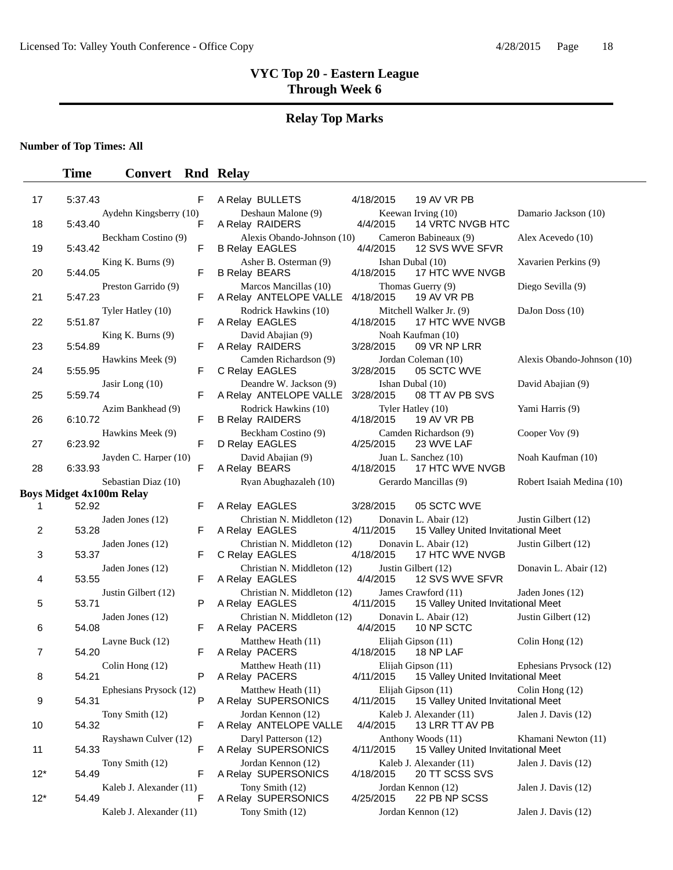# **Relay Top Marks**

**Number of Top Times: All**

| 17             | F<br>5:37.43                           | A Relay BULLETS                                     | 19 AV VR PB<br>4/18/2015                                                 |                            |
|----------------|----------------------------------------|-----------------------------------------------------|--------------------------------------------------------------------------|----------------------------|
| 18             | Aydehn Kingsberry (10)<br>F<br>5:43.40 | Deshaun Malone (9)<br>A Relay RAIDERS               | Keewan Irving (10)<br>4/4/2015<br>14 VRTC NVGB HTC                       | Damario Jackson (10)       |
| 19             | Beckham Costino (9)<br>F<br>5:43.42    | Alexis Obando-Johnson (10)<br><b>B Relay EAGLES</b> | Cameron Babineaux (9)<br>4/4/2015<br>12 SVS WVE SFVR                     | Alex Acevedo (10)          |
| 20             | King K. Burns $(9)$<br>5:44.05<br>F.   | Asher B. Osterman (9)<br><b>B Relay BEARS</b>       | Ishan Dubal (10)<br>17 HTC WVE NVGB<br>4/18/2015                         | Xavarien Perkins (9)       |
| 21             | Preston Garrido (9)<br>5:47.23<br>F    | Marcos Mancillas (10)<br>A Relay ANTELOPE VALLE     | Thomas Guerry (9)<br>4/18/2015<br>19 AV VR PB                            | Diego Sevilla (9)          |
| 22             | Tyler Hatley (10)<br>5:51.87<br>F      | Rodrick Hawkins (10)<br>A Relay EAGLES              | Mitchell Walker Jr. (9)<br>4/18/2015<br>17 HTC WVE NVGB                  | DaJon Doss (10)            |
| 23             | King K. Burns $(9)$<br>5:54.89<br>F    | David Abajian (9)<br>A Relay RAIDERS                | Noah Kaufman (10)<br>09 VR NP LRR<br>3/28/2015                           |                            |
| 24             | Hawkins Meek (9)<br>5:55.95<br>F       | Camden Richardson (9)<br>C Relay EAGLES             | Jordan Coleman (10)<br>3/28/2015<br>05 SCTC WVE                          | Alexis Obando-Johnson (10) |
| 25             | Jasir Long $(10)$<br>5:59.74<br>F      | Deandre W. Jackson (9)<br>A Relay ANTELOPE VALLE    | Ishan Dubal (10)<br>3/28/2015<br>08 TT AV PB SVS                         | David Abajian (9)          |
| 26             | Azim Bankhead (9)<br>6:10.72<br>F      | Rodrick Hawkins (10)<br><b>B Relay RAIDERS</b>      | Tyler Hatley (10)<br>4/18/2015<br>19 AV VR PB                            | Yami Harris (9)            |
| 27             | Hawkins Meek (9)<br>6:23.92<br>F       | Beckham Costino (9)<br>D Relay EAGLES               | Camden Richardson (9)<br>4/25/2015<br>23 WVE LAF                         | Cooper Voy (9)             |
| 28             | Jayden C. Harper (10)<br>F<br>6:33.93  | David Abajian (9)<br>A Relay BEARS                  | Juan L. Sanchez (10)<br>4/18/2015<br>17 HTC WVE NVGB                     | Noah Kaufman (10)          |
|                | Sebastian Diaz (10)                    | Ryan Abughazaleh (10)                               | Gerardo Mancillas (9)                                                    | Robert Isaiah Medina (10)  |
|                | <b>Boys Midget 4x100m Relay</b>        |                                                     |                                                                          |                            |
| 1              | 52.92<br>F.                            | A Relay EAGLES                                      | 3/28/2015<br>05 SCTC WVE                                                 |                            |
| 2              | Jaden Jones (12)<br>53.28<br>F         | Christian N. Middleton (12)<br>A Relay EAGLES       | Donavin L. Abair (12)<br>4/11/2015<br>15 Valley United Invitational Meet | Justin Gilbert (12)        |
| 3              | Jaden Jones (12)<br>53.37<br>F         | Christian N. Middleton (12)<br>C Relay EAGLES       | Donavin L. Abair (12)<br>4/18/2015<br>17 HTC WVE NVGB                    | Justin Gilbert (12)        |
| 4              | Jaden Jones (12)<br>53.55<br>F         | Christian N. Middleton (12)<br>A Relay EAGLES       | Justin Gilbert (12)<br>4/4/2015<br>12 SVS WVE SFVR                       | Donavin L. Abair (12)      |
| 5              | Justin Gilbert (12)<br>53.71<br>P      | Christian N. Middleton (12)<br>A Relay EAGLES       | James Crawford (11)<br>15 Valley United Invitational Meet<br>4/11/2015   | Jaden Jones (12)           |
| 6              | Jaden Jones (12)<br>54.08<br>F         | Christian N. Middleton (12)<br>A Relay PACERS       | Donavin L. Abair (12)<br>4/4/2015<br>10 NP SCTC                          | Justin Gilbert (12)        |
| $\overline{7}$ | Layne Buck (12)<br>54.20<br>F          | Matthew Heath (11)<br>A Relay PACERS                | Elijah Gipson (11)<br>4/18/2015<br>18 NP LAF                             | Colin Hong (12)            |
| 8              | Colin Hong $(12)$<br>54.21<br>P        | Matthew Heath (11)<br>A Relay PACERS                | Elijah Gipson (11)<br>4/11/2015<br>15 Valley United Invitational Meet    | Ephesians Prysock (12)     |
| 9              | Ephesians Prysock (12)<br>P<br>54.31   | Matthew Heath (11)<br>A Relay SUPERSONICS           | Elijah Gipson (11)<br>4/11/2015<br>15 Valley United Invitational Meet    | Colin Hong (12)            |
| 10             | Tony Smith (12)<br>F<br>54.32          | Jordan Kennon (12)<br>A Relay ANTELOPE VALLE        | Kaleb J. Alexander (11)<br>4/4/2015<br>13 LRR TT AV PB                   | Jalen J. Davis (12)        |
| 11             | Rayshawn Culver (12)<br>54.33<br>F     | Daryl Patterson (12)<br>A Relay SUPERSONICS         | Anthony Woods (11)<br>15 Valley United Invitational Meet<br>4/11/2015    | Khamani Newton (11)        |
|                | Tony Smith (12)                        | Jordan Kennon (12)                                  | Kaleb J. Alexander (11)                                                  | Jalen J. Davis (12)        |
| $12*$          | 54.49<br>F                             | A Relay SUPERSONICS                                 | 4/18/2015<br>20 TT SCSS SVS                                              |                            |
| $12*$          | Kaleb J. Alexander (11)<br>54.49<br>F  | Tony Smith (12)<br>A Relay SUPERSONICS              | Jordan Kennon (12)<br>22 PB NP SCSS<br>4/25/2015                         | Jalen J. Davis (12)        |
|                | Kaleb J. Alexander (11)                | Tony Smith (12)                                     | Jordan Kennon (12)                                                       | Jalen J. Davis (12)        |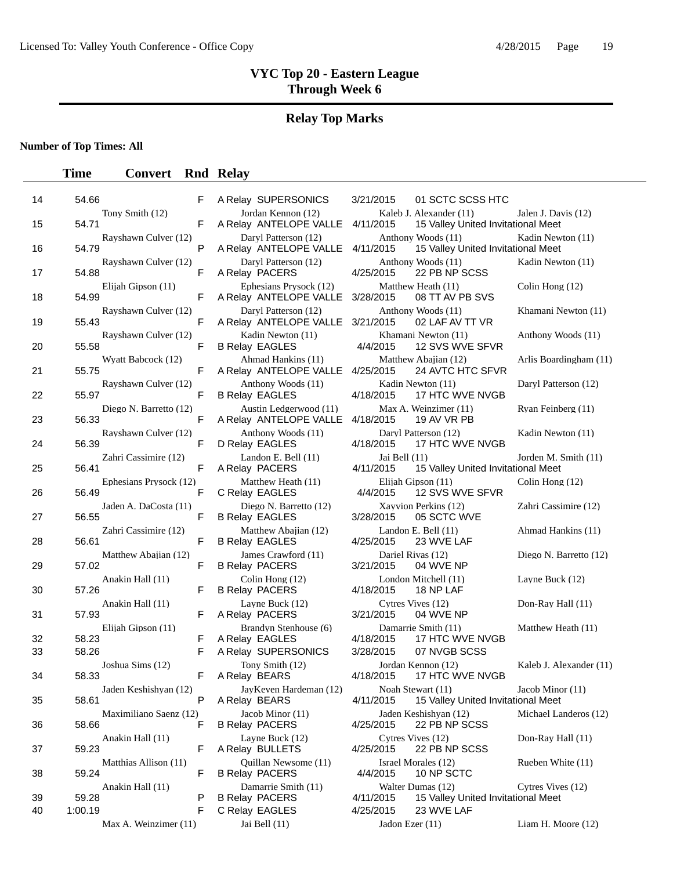# **Relay Top Marks**

**Number of Top Times: All**

| 14 | 54.66                           | F | A Relay SUPERSONICS                                        | 3/21/2015<br>01 SCTC SCSS HTC                                              |                         |
|----|---------------------------------|---|------------------------------------------------------------|----------------------------------------------------------------------------|-------------------------|
| 15 | Tony Smith (12)<br>54.71        | F | Jordan Kennon (12)<br>A Relay ANTELOPE VALLE               | Kaleb J. Alexander (11)<br>4/11/2015<br>15 Valley United Invitational Meet | Jalen J. Davis (12)     |
| 16 | Rayshawn Culver (12)<br>54.79   | P | Daryl Patterson (12)<br>A Relay ANTELOPE VALLE             | Anthony Woods (11)<br>15 Valley United Invitational Meet<br>4/11/2015      | Kadin Newton (11)       |
| 17 | Rayshawn Culver (12)<br>54.88   | F | Daryl Patterson (12)<br>A Relay PACERS                     | Anthony Woods (11)<br>4/25/2015<br>22 PB NP SCSS                           | Kadin Newton (11)       |
| 18 | Elijah Gipson (11)<br>54.99     | F | Ephesians Prysock (12)<br>A Relay ANTELOPE VALLE 3/28/2015 | Matthew Heath (11)<br>08 TT AV PB SVS                                      | Colin Hong (12)         |
| 19 | Rayshawn Culver (12)<br>55.43   | F | Daryl Patterson (12)<br>A Relay ANTELOPE VALLE 3/21/2015   | Anthony Woods (11)<br>02 LAF AV TT VR                                      | Khamani Newton (11)     |
| 20 | Rayshawn Culver (12)<br>55.58   | F | Kadin Newton (11)<br><b>B Relay EAGLES</b>                 | Khamani Newton (11)<br>12 SVS WVE SFVR<br>4/4/2015                         | Anthony Woods (11)      |
| 21 | Wyatt Babcock (12)<br>55.75     | F | Ahmad Hankins (11)<br>A Relay ANTELOPE VALLE 4/25/2015     | Matthew Abajian (12)<br>24 AVTC HTC SFVR                                   | Arlis Boardingham (11)  |
| 22 | Rayshawn Culver (12)<br>55.97   | F | Anthony Woods (11)<br><b>B Relay EAGLES</b>                | Kadin Newton (11)<br>4/18/2015<br>17 HTC WVE NVGB                          | Daryl Patterson (12)    |
| 23 | Diego N. Barretto (12)<br>56.33 | F | Austin Ledgerwood (11)<br>A Relay ANTELOPE VALLE           | Max A. Weinzimer (11)<br>4/18/2015<br>19 AV VR PB                          | Ryan Feinberg (11)      |
| 24 | Rayshawn Culver (12)<br>56.39   | F | Anthony Woods (11)<br>D Relay EAGLES                       | Daryl Patterson (12)<br>17 HTC WVE NVGB<br>4/18/2015                       | Kadin Newton (11)       |
| 25 | Zahri Cassimire (12)<br>56.41   | F | Landon E. Bell (11)<br>A Relay PACERS                      | Jai Bell (11)<br>4/11/2015<br>15 Valley United Invitational Meet           | Jorden M. Smith (11)    |
| 26 | Ephesians Prysock (12)<br>56.49 | F | Matthew Heath (11)<br>C Relay EAGLES                       | Elijah Gipson (11)<br>12 SVS WVE SFVR<br>4/4/2015                          | Colin Hong (12)         |
| 27 | Jaden A. DaCosta (11)<br>56.55  | F | Diego N. Barretto (12)<br><b>B Relay EAGLES</b>            | Xayvion Perkins (12)<br>3/28/2015<br>05 SCTC WVE                           | Zahri Cassimire (12)    |
| 28 | Zahri Cassimire (12)<br>56.61   | F | Matthew Abajian (12)<br><b>B Relay EAGLES</b>              | Landon E. Bell $(11)$<br>4/25/2015<br>23 WVE LAF                           | Ahmad Hankins (11)      |
| 29 | Matthew Abajian (12)<br>57.02   | F | James Crawford (11)<br><b>B Relay PACERS</b>               | Dariel Rivas (12)<br>3/21/2015<br>04 WVE NP                                | Diego N. Barretto (12)  |
| 30 | Anakin Hall (11)<br>57.26       | F | Colin Hong (12)<br><b>B Relay PACERS</b>                   | London Mitchell (11)<br>4/18/2015<br>18 NP LAF                             | Layne Buck (12)         |
| 31 | Anakin Hall (11)<br>57.93       | F | Layne Buck (12)<br>A Relay PACERS                          | Cytres Vives (12)<br>3/21/2015<br>04 WVE NP                                | Don-Ray Hall (11)       |
| 32 | Elijah Gipson (11)<br>58.23     | F | Brandyn Stenhouse (6)<br>A Relay EAGLES                    | Damarrie Smith (11)<br>4/18/2015<br>17 HTC WVE NVGB                        | Matthew Heath (11)      |
| 33 | 58.26                           | F | A Relay SUPERSONICS                                        | 3/28/2015<br>07 NVGB SCSS                                                  |                         |
| 34 | Joshua Sims (12)<br>58.33       | F | Tony Smith (12)<br>A Relay BEARS                           | Jordan Kennon (12)<br>17 HTC WVE NVGB<br>4/18/2015                         | Kaleb J. Alexander (11) |
| 35 | Jaden Keshishyan (12)<br>58.61  | P | JayKeven Hardeman (12)<br>A Relay BEARS                    | Noah Stewart (11)<br>4/11/2015<br>15 Valley United Invitational Meet       | Jacob Minor (11)        |
| 36 | Maximiliano Saenz (12)<br>58.66 | F | Jacob Minor (11)<br><b>B Relay PACERS</b>                  | Jaden Keshishyan (12)<br>22 PB NP SCSS<br>4/25/2015                        | Michael Landeros (12)   |
| 37 | Anakin Hall (11)<br>59.23       | F | Layne Buck (12)<br>A Relay BULLETS                         | Cytres Vives (12)<br>4/25/2015<br>22 PB NP SCSS                            | Don-Ray Hall (11)       |
| 38 | Matthias Allison (11)<br>59.24  | F | Quillan Newsome (11)<br><b>B Relay PACERS</b>              | Israel Morales (12)<br>4/4/2015<br>10 NP SCTC                              | Rueben White (11)       |
|    | Anakin Hall (11)                |   | Damarrie Smith (11)                                        | Walter Dumas (12)                                                          | Cytres Vives (12)       |
| 39 | 59.28                           | P | <b>B Relay PACERS</b>                                      | 4/11/2015<br>15 Valley United Invitational Meet                            |                         |
| 40 | 1:00.19                         | F | C Relay EAGLES                                             | 4/25/2015<br>23 WVE LAF                                                    |                         |
|    | Max A. Weinzimer (11)           |   | Jai Bell (11)                                              | Jadon Ezer (11)                                                            | Liam H. Moore (12)      |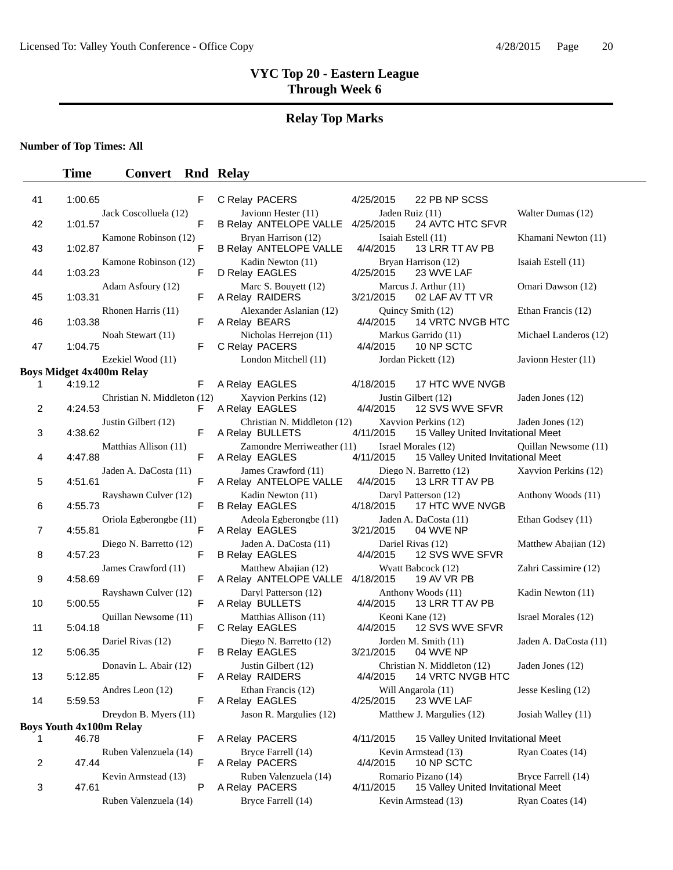# **Relay Top Marks**

**Number of Top Times: All**

| 41             | 1:00.65 |                                 | F  | C Relay PACERS                                       | 4/25/2015                      | 22 PB NP SCSS                                              |                       |
|----------------|---------|---------------------------------|----|------------------------------------------------------|--------------------------------|------------------------------------------------------------|-----------------------|
| 42             | 1:01.57 | Jack Coscolluela (12)           | F  | Javionn Hester (11)<br>B Relay ANTELOPE VALLE        | Jaden Ruiz (11)<br>4/25/2015   | 24 AVTC HTC SFVR                                           | Walter Dumas (12)     |
| 43             | 1:02.87 | Kamone Robinson (12)            | F  | Bryan Harrison (12)<br><b>B Relay ANTELOPE VALLE</b> | Isaiah Estell (11)<br>4/4/2015 | 13 LRR TT AV PB                                            | Khamani Newton (11)   |
| 44             | 1:03.23 | Kamone Robinson (12)            | F  | Kadin Newton (11)<br>D Relay EAGLES                  | 4/25/2015                      | Bryan Harrison (12)<br>23 WVE LAF                          | Isaiah Estell (11)    |
| 45             | 1:03.31 | Adam Asfoury (12)               | F  | Marc S. Bouyett (12)<br>A Relay RAIDERS              | 3/21/2015                      | Marcus J. Arthur (11)<br>02 LAF AV TT VR                   | Omari Dawson (12)     |
| 46             | 1:03.38 | Rhonen Harris (11)              | F  | Alexander Aslanian (12)<br>A Relay BEARS             | 4/4/2015                       | Quincy Smith (12)<br>14 VRTC NVGB HTC                      | Ethan Francis (12)    |
| 47             | 1:04.75 | Noah Stewart (11)               | F  | Nicholas Herrejon (11)<br>C Relay PACERS             | 4/4/2015                       | Markus Garrido (11)<br>10 NP SCTC                          | Michael Landeros (12) |
|                |         | Ezekiel Wood (11)               |    | London Mitchell (11)                                 |                                | Jordan Pickett (12)                                        | Javionn Hester (11)   |
|                |         | <b>Boys Midget 4x400m Relay</b> |    |                                                      |                                |                                                            |                       |
| 1              | 4:19.12 |                                 | F  | A Relay EAGLES                                       | 4/18/2015                      | 17 HTC WVE NVGB                                            |                       |
| 2              | 4:24.53 | Christian N. Middleton (12)     | F. | Xayvion Perkins (12)<br>A Relay EAGLES               | 4/4/2015                       | Justin Gilbert (12)<br>12 SVS WVE SFVR                     | Jaden Jones (12)      |
| 3              | 4:38.62 | Justin Gilbert (12)             | F  | Christian N. Middleton (12)<br>A Relay BULLETS       | 4/11/2015                      | Xayvion Perkins (12)<br>15 Valley United Invitational Meet | Jaden Jones (12)      |
| 4              | 4:47.88 | Matthias Allison (11)           | F  | Zamondre Merriweather (11)<br>A Relay EAGLES         | 4/11/2015                      | Israel Morales (12)<br>15 Valley United Invitational Meet  | Quillan Newsome (11)  |
| 5              | 4:51.61 | Jaden A. DaCosta (11)           | F  | James Crawford (11)<br>A Relay ANTELOPE VALLE        | 4/4/2015                       | Diego N. Barretto (12)<br>13 LRR TT AV PB                  | Xayvion Perkins (12)  |
| 6              | 4:55.73 | Rayshawn Culver (12)            | F  | Kadin Newton (11)<br><b>B Relay EAGLES</b>           | 4/18/2015                      | Daryl Patterson (12)<br>17 HTC WVE NVGB                    | Anthony Woods (11)    |
| $\overline{7}$ | 4:55.81 | Oriola Egberongbe (11)          | F  | Adeola Egberongbe (11)<br>A Relay EAGLES             | 3/21/2015                      | Jaden A. DaCosta (11)<br>04 WVE NP                         | Ethan Godsey (11)     |
| 8              | 4:57.23 | Diego N. Barretto (12)          | F  | Jaden A. DaCosta (11)<br><b>B Relay EAGLES</b>       | 4/4/2015                       | Dariel Rivas (12)<br>12 SVS WVE SFVR                       | Matthew Abajian (12)  |
| 9              | 4:58.69 | James Crawford (11)             | F  | Matthew Abajian (12)<br>A Relay ANTELOPE VALLE       | 4/18/2015                      | Wyatt Babcock (12)<br>19 AV VR PB                          | Zahri Cassimire (12)  |
| 10             | 5:00.55 | Rayshawn Culver (12)            | F  | Daryl Patterson (12)<br>A Relay BULLETS              | 4/4/2015                       | Anthony Woods (11)<br>13 LRR TT AV PB                      | Kadin Newton (11)     |
| 11             | 5:04.18 | Quillan Newsome (11)            | F  | Matthias Allison (11)<br>C Relay EAGLES              | Keoni Kane (12)<br>4/4/2015    | 12 SVS WVE SFVR                                            | Israel Morales (12)   |
| 12             | 5:06.35 | Dariel Rivas (12)               | F  | Diego N. Barretto (12)<br><b>B Relay EAGLES</b>      | 3/21/2015                      | Jorden M. Smith (11)<br>04 WVE NP                          | Jaden A. DaCosta (11) |
| 13             | 5:12.85 | Donavin L. Abair (12)           | F  | Justin Gilbert (12)<br>A Relay RAIDERS               | 4/4/2015                       | Christian N. Middleton (12)<br>14 VRTC NVGB HTC            | Jaden Jones (12)      |
| 14             | 5:59.53 | Andres Leon (12)                | F  | Ethan Francis (12)<br>A Relay EAGLES                 | 4/25/2015                      | Will Angarola (11)<br>23 WVE LAF                           | Jesse Kesling (12)    |
|                |         | Dreydon B. Myers (11)           |    | Jason R. Margulies (12)                              |                                | Matthew J. Margulies (12)                                  | Josiah Walley (11)    |
|                | 46.78   | <b>Boys Youth 4x100m Relay</b>  |    |                                                      |                                |                                                            |                       |
| 1              |         |                                 | F. | A Relay PACERS                                       | 4/11/2015                      | 15 Valley United Invitational Meet                         |                       |
| 2              | 47.44   | Ruben Valenzuela (14)           | F  | Bryce Farrell (14)<br>A Relay PACERS                 | 4/4/2015                       | Kevin Armstead (13)<br>10 NP SCTC                          | Ryan Coates (14)      |
| 3              | 47.61   | Kevin Armstead (13)             | Р  | Ruben Valenzuela (14)<br>A Relay PACERS              | 4/11/2015                      | Romario Pizano (14)<br>15 Valley United Invitational Meet  | Bryce Farrell (14)    |
|                |         | Ruben Valenzuela (14)           |    | Bryce Farrell (14)                                   |                                | Kevin Armstead (13)                                        | Ryan Coates (14)      |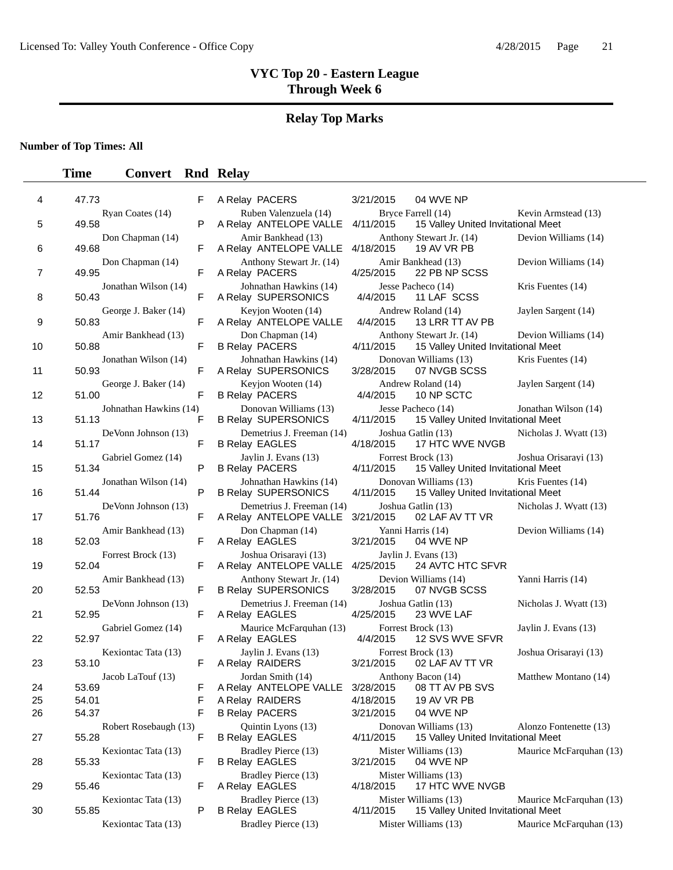# **Relay Top Marks**

**Number of Top Times: All**

| 4  | 47.73                           | F | A Relay PACERS                                         | 3/21/2015<br>04 WVE NP                                          |
|----|---------------------------------|---|--------------------------------------------------------|-----------------------------------------------------------------|
|    | Ryan Coates (14)                |   | Ruben Valenzuela (14)                                  | Bryce Farrell (14)                                              |
| 5  | 49.58                           | P | A Relay ANTELOPE VALLE                                 | 4/11/2015<br>15 Valley United Invit                             |
| 6  | Don Chapman (14)<br>49.68       | F | Amir Bankhead (13)<br>A Relay ANTELOPE VALLE           | Anthony Stewart Jr. (14)<br>4/18/2015<br>19 AV VR PB            |
| 7  | Don Chapman (14)<br>49.95       | F | Anthony Stewart Jr. (14)<br>A Relay PACERS             | Amir Bankhead (13)<br>4/25/2015<br>22 PB NP SCSS                |
| 8  | Jonathan Wilson (14)<br>50.43   | F | Johnathan Hawkins (14)<br>A Relay SUPERSONICS          | Jesse Pacheco (14)<br>11 LAF SCSS<br>4/4/2015                   |
| 9  | George J. Baker (14)<br>50.83   | F | Keyjon Wooten (14)<br>A Relay ANTELOPE VALLE           | Andrew Roland (14)<br>13 LRR TT AV PB<br>4/4/2015               |
| 10 | Amir Bankhead (13)<br>50.88     | F | Don Chapman (14)<br><b>B Relay PACERS</b>              | Anthony Stewart Jr. (14)<br>4/11/2015<br>15 Valley United Invit |
| 11 | Jonathan Wilson (14)<br>50.93   | F | Johnathan Hawkins (14)<br>A Relay SUPERSONICS          | Donovan Williams (13)<br>3/28/2015<br>07 NVGB SCSS              |
| 12 | George J. Baker (14)<br>51.00   | F | Keyjon Wooten (14)<br><b>B Relay PACERS</b>            | Andrew Roland (14)<br>4/4/2015<br>10 NP SCTC                    |
| 13 | Johnathan Hawkins (14)<br>51.13 | F | Donovan Williams (13)<br><b>B Relay SUPERSONICS</b>    | Jesse Pacheco (14)<br>4/11/2015<br>15 Valley United Invit       |
| 14 | DeVonn Johnson (13)<br>51.17    | F | Demetrius J. Freeman (14)<br><b>B Relay EAGLES</b>     | Joshua Gatlin (13)<br>17 HTC WVE NVGB<br>4/18/2015              |
| 15 | Gabriel Gomez (14)<br>51.34     | P | Jaylin J. Evans (13)<br><b>B Relay PACERS</b>          | Forrest Brock (13)<br>15 Valley United Invit<br>4/11/2015       |
| 16 | Jonathan Wilson (14)<br>51.44   | P | Johnathan Hawkins (14)<br><b>B Relay SUPERSONICS</b>   | Donovan Williams (13)<br>4/11/2015<br>15 Valley United Invit    |
| 17 | DeVonn Johnson (13)<br>51.76    | F | Demetrius J. Freeman (14)<br>A Relay ANTELOPE VALLE    | Joshua Gatlin (13)<br>02 LAF AV TT VR<br>3/21/2015              |
| 18 | Amir Bankhead (13)<br>52.03     | F | Don Chapman (14)<br>A Relay EAGLES                     | Yanni Harris (14)<br>3/21/2015<br>04 WVE NP                     |
| 19 | Forrest Brock (13)<br>52.04     | F | Joshua Orisarayi (13)<br>A Relay ANTELOPE VALLE        | Jaylin J. Evans (13)<br>4/25/2015<br>24 AVTC HTC SFVR           |
| 20 | Amir Bankhead (13)<br>52.53     | F | Anthony Stewart Jr. (14)<br><b>B Relay SUPERSONICS</b> | Devion Williams (14)<br>3/28/2015<br>07 NVGB SCSS               |
| 21 | DeVonn Johnson (13)<br>52.95    | F | Demetrius J. Freeman (14)<br>A Relay EAGLES            | Joshua Gatlin (13)<br>23 WVE LAF<br>4/25/2015                   |
| 22 | Gabriel Gomez (14)<br>52.97     | F | Maurice McFarquhan (13)<br>A Relay EAGLES              | Forrest Brock (13)<br>4/4/2015<br>12 SVS WVE SFVR               |
| 23 | Kexiontac Tata (13)<br>53.10    | F | Jaylin J. Evans (13)<br>A Relay RAIDERS                | Forrest Brock (13)<br>3/21/2015<br>02 LAF AV TT VR              |
|    | Jacob LaTouf (13)               |   | Jordan Smith (14)                                      | Anthony Bacon (14)                                              |
| 24 | 53.69                           | F | A Relay ANTELOPE VALLE                                 | 3/28/2015<br>08 TT AV PB SVS                                    |
| 25 | 54.01                           | F | A Relay RAIDERS                                        | 4/18/2015<br>19 AV VR PB                                        |
| 26 | 54.37                           | F | <b>B Relay PACERS</b>                                  | 3/21/2015<br>04 WVE NP                                          |
| 27 | Robert Rosebaugh (13)<br>55.28  | F | Quintin Lyons (13)<br><b>B Relay EAGLES</b>            | Donovan Williams (13)<br>4/11/2015<br>15 Valley United Invit    |
| 28 | Kexiontac Tata (13)<br>55.33    | F | Bradley Pierce (13)<br><b>B Relay EAGLES</b>           | Mister Williams (13)<br>3/21/2015<br>04 WVE NP                  |
| 29 | Kexiontac Tata (13)<br>55.46    | F | Bradley Pierce (13)<br>A Relay EAGLES                  | Mister Williams (13)<br>17 HTC WVE NVGB<br>4/18/2015            |
| 30 | Kexiontac Tata (13)<br>55.85    | P | Bradley Pierce (13)<br><b>B Relay EAGLES</b>           | Mister Williams (13)<br>4/11/2015<br>15 Valley United Invit     |

|                        | ٣ | A REIAY PACERS                                         | 3/21/2015 | 04 WVL N                               |
|------------------------|---|--------------------------------------------------------|-----------|----------------------------------------|
| Ryan Coates (14)       | P | Ruben Valenzuela (14)<br>A Relay ANTELOPE VALLE        | 4/11/2015 | Bryce Farrell (14)<br>15 Valley L      |
| Don Chapman (14)       | F | Amir Bankhead (13)<br>A Relay ANTELOPE VALLE           | 4/18/2015 | Anthony Stewart Jr.<br><b>19 AV VR</b> |
| Don Chapman (14)       | F | Anthony Stewart Jr. (14)<br>A Relay PACERS             | 4/25/2015 | Amir Bankhead (13)<br>22 PB NP         |
| Jonathan Wilson (14)   | F | Johnathan Hawkins (14)<br>A Relay SUPERSONICS          | 4/4/2015  | Jesse Pacheco (14)<br>11 LAF SO        |
| George J. Baker (14)   | F | Keyjon Wooten (14)<br>A Relay ANTELOPE VALLE           | 4/4/2015  | Andrew Roland (14)<br><b>13 LRR TT</b> |
| Amir Bankhead (13)     | F | Don Chapman (14)<br><b>B Relay PACERS</b>              | 4/11/2015 | Anthony Stewart Jr.<br>15 Valley L     |
| Jonathan Wilson (14)   | F | Johnathan Hawkins (14)<br>A Relay SUPERSONICS          | 3/28/2015 | Donovan Williams (1<br>07 NVGB \$      |
| George J. Baker (14)   | F | Keyjon Wooten (14)<br><b>B Relay PACERS</b>            | 4/4/2015  | Andrew Roland (14)<br>10 NP SCT        |
| Johnathan Hawkins (14) | F | Donovan Williams (13)<br><b>B Relay SUPERSONICS</b>    | 4/11/2015 | Jesse Pacheco (14)<br>15 Valley L      |
| DeVonn Johnson (13)    | F | Demetrius J. Freeman (14)<br><b>B Relay EAGLES</b>     | 4/18/2015 | Joshua Gatlin (13)<br>17 HTC W         |
| Gabriel Gomez (14)     | P | Jaylin J. Evans (13)<br><b>B Relay PACERS</b>          | 4/11/2015 | Forrest Brock (13)<br>15 Valley L      |
| Jonathan Wilson (14)   | P | Johnathan Hawkins (14)<br><b>B Relay SUPERSONICS</b>   | 4/11/2015 | Donovan Williams (1<br>15 Valley L     |
| DeVonn Johnson (13)    | F | Demetrius J. Freeman (14)<br>A Relay ANTELOPE VALLE    | 3/21/2015 | Joshua Gatlin (13)<br>02 LAF AV        |
| Amir Bankhead (13)     | F | Don Chapman (14)<br>A Relay EAGLES                     | 3/21/2015 | Yanni Harris (14)<br>04 WVE N          |
| Forrest Brock (13)     | F | Joshua Orisarayi (13)<br>A Relay ANTELOPE VALLE        | 4/25/2015 | Jaylin J. Evans (13)<br>24 AVTC H      |
| Amir Bankhead (13)     | F | Anthony Stewart Jr. (14)<br><b>B Relay SUPERSONICS</b> | 3/28/2015 | Devion Williams (14<br>07 NVGB \$      |
| DeVonn Johnson (13)    | F | Demetrius J. Freeman (14)<br>A Relay EAGLES            | 4/25/2015 | Joshua Gatlin (13)<br>23 WVE L         |
| Gabriel Gomez (14)     | F | Maurice McFarquhan (13)<br>A Relay EAGLES              | 4/4/2015  | Forrest Brock (13)<br><b>12 SVS W</b>  |
| Kexiontac Tata (13)    | F | Jaylin J. Evans (13)<br>A Relay RAIDERS                | 3/21/2015 | Forrest Brock (13)<br>02 LAF AV        |
| Jacob LaTouf (13)      | F | Jordan Smith (14)<br>A Relay ANTELOPE VALLE            | 3/28/2015 | Anthony Bacon (14)<br>08 TT AV F       |
|                        | F | A Relay RAIDERS                                        | 4/18/2015 | <b>19 AV VR</b>                        |
|                        | F | <b>B Relay PACERS</b>                                  | 3/21/2015 | 04 WVE N                               |
| Robert Rosebaugh (13)  | F | Quintin Lyons (13)<br><b>B Relay EAGLES</b>            | 4/11/2015 | Donovan Williams (1<br>15 Valley L     |
| Kexiontac Tata (13)    | F | Bradley Pierce (13)<br><b>B Relay EAGLES</b>           | 3/21/2015 | Mister Williams (13)<br>04 WVE N       |
| Kexiontac Tata (13)    | F | Bradley Pierce (13)<br>A Relay EAGLES                  | 4/18/2015 | Mister Williams (13)<br>17 HTC W       |
| Kexiontac Tata (13)    | P | Bradley Pierce (13)<br><b>B Relay EAGLES</b>           | 4/11/2015 | Mister Williams (13)<br>15 Valley L    |
|                        |   |                                                        |           |                                        |

| 5  | 49.58<br>49.68 | Ryan Coates (14)<br>Don Chapman (14) | P | Ruben Valenzuela (14)<br>A Relay ANTELOPE VALLE                       |           | Brvce Farrell (14)                                             | Kevin Armstead (13)     |
|----|----------------|--------------------------------------|---|-----------------------------------------------------------------------|-----------|----------------------------------------------------------------|-------------------------|
|    |                |                                      |   |                                                                       | 4/11/2015 | 15 Valley United Invitational Meet                             |                         |
| 6  |                |                                      | F | Amir Bankhead (13)<br>A Relay ANTELOPE VALLE                          | 4/18/2015 | Anthony Stewart Jr. (14)<br>19 AV VR PB                        | Devion Williams (14)    |
| 7  | 49.95          | Don Chapman (14)                     | F | Anthony Stewart Jr. (14)<br>A Relay PACERS                            | 4/25/2015 | Amir Bankhead (13)<br>22 PB NP SCSS                            | Devion Williams (14)    |
| 8  | 50.43          | Jonathan Wilson (14)                 | F | Johnathan Hawkins (14)<br>A Relay SUPERSONICS                         | 4/4/2015  | Jesse Pacheco (14)<br>11 LAF SCSS                              | Kris Fuentes (14)       |
| 9  | 50.83          | George J. Baker (14)                 | F | Keyjon Wooten (14)<br>A Relay ANTELOPE VALLE                          | 4/4/2015  | Andrew Roland (14)<br>13 LRR TT AV PB                          | Jaylen Sargent (14)     |
| 10 | 50.88          | Amir Bankhead (13)                   | F | Don Chapman (14)<br><b>B Relay PACERS</b>                             | 4/11/2015 | Anthony Stewart Jr. (14)<br>15 Valley United Invitational Meet | Devion Williams (14)    |
| 11 | 50.93          | Jonathan Wilson (14)                 | F | Johnathan Hawkins (14)<br>A Relay SUPERSONICS                         | 3/28/2015 | Donovan Williams (13)<br>07 NVGB SCSS                          | Kris Fuentes (14)       |
| 12 | 51.00          | George J. Baker (14)                 | F | Keyjon Wooten (14)<br><b>B Relay PACERS</b>                           | 4/4/2015  | Andrew Roland (14)<br>10 NP SCTC                               | Jaylen Sargent (14)     |
| 13 | 51.13          | Johnathan Hawkins (14)               | F | Donovan Williams (13)<br><b>B Relay SUPERSONICS</b>                   | 4/11/2015 | Jesse Pacheco (14)<br>15 Valley United Invitational Meet       | Jonathan Wilson (14)    |
| 14 | 51.17          | DeVonn Johnson (13)                  | F | Demetrius J. Freeman (14)<br><b>B Relay EAGLES</b>                    | 4/18/2015 | Joshua Gatlin (13)<br>17 HTC WVE NVGB                          | Nicholas J. Wyatt (13)  |
| 15 | 51.34          | Gabriel Gomez (14)                   | P | Jaylin J. Evans (13)<br><b>B Relay PACERS</b>                         | 4/11/2015 | Forrest Brock (13)<br>15 Valley United Invitational Meet       | Joshua Orisarayi (13)   |
| 16 | 51.44          | Jonathan Wilson (14)                 | P | Johnathan Hawkins (14)<br><b>B Relay SUPERSONICS</b>                  | 4/11/2015 | Donovan Williams (13)<br>15 Valley United Invitational Meet    | Kris Fuentes (14)       |
| 17 | 51.76          | DeVonn Johnson (13)                  | F | Demetrius J. Freeman (14)<br>A Relay ANTELOPE VALLE                   | 3/21/2015 | Joshua Gatlin (13)<br>02 LAF AV TT VR                          | Nicholas J. Wyatt (13)  |
| 18 | 52.03          | Amir Bankhead (13)                   | F | Don Chapman (14)<br>A Relay EAGLES                                    | 3/21/2015 | Yanni Harris (14)<br>04 WVE NP                                 | Devion Williams (14)    |
| 19 | 52.04          | Forrest Brock (13)                   | F | Joshua Orisarayi (13)<br>A Relay ANTELOPE VALLE                       | 4/25/2015 | Jaylin J. Evans (13)<br>24 AVTC HTC SFVR                       |                         |
| 20 | 52.53          | Amir Bankhead (13)                   | F | Anthony Stewart Jr. (14)<br><b>B Relay SUPERSONICS</b>                | 3/28/2015 | Devion Williams (14)<br>07 NVGB SCSS                           | Yanni Harris (14)       |
| 21 | 52.95          | DeVonn Johnson (13)                  | F | Demetrius J. Freeman (14)<br>A Relay EAGLES                           | 4/25/2015 | Joshua Gatlin (13)<br>23 WVE LAF                               | Nicholas J. Wyatt (13)  |
| 22 | 52.97          | Gabriel Gomez (14)                   | F | Maurice McFarquhan (13)<br>A Relay EAGLES                             | 4/4/2015  | Forrest Brock (13)<br>12 SVS WVE SFVR                          | Jaylin J. Evans (13)    |
| 23 | 53.10          | Kexiontac Tata (13)                  | F | Jaylin J. Evans (13)<br>A Relay RAIDERS                               | 3/21/2015 | Forrest Brock (13)<br>02 LAF AV TT VR                          | Joshua Orisarayi (13)   |
| 24 | 53.69          | Jacob LaTouf (13)                    | F | Jordan Smith (14)<br>A Relay ANTELOPE VALLE 3/28/2015 08 TT AV PB SVS |           | Anthony Bacon (14)                                             | Matthew Montano (14)    |
| 25 | 54.01          |                                      | F | A Relay RAIDERS                                                       | 4/18/2015 | 19 AV VR PB                                                    |                         |
| 26 | 54.37          |                                      | F | <b>B Relay PACERS</b>                                                 | 3/21/2015 | 04 WVE NP                                                      |                         |
| 27 | 55.28          | Robert Rosebaugh (13)                | F | Quintin Lyons (13)<br><b>B Relay EAGLES</b>                           | 4/11/2015 | Donovan Williams (13)<br>15 Valley United Invitational Meet    | Alonzo Fontenette (13)  |
| 28 | 55.33          | Kexiontac Tata (13)                  | F | Bradley Pierce (13)<br><b>B Relay EAGLES</b>                          | 3/21/2015 | Mister Williams (13)<br>04 WVE NP                              | Maurice McFarquhan (13) |
| 29 | 55.46          | Kexiontac Tata (13)                  | F | Bradley Pierce (13)<br>A Relay EAGLES                                 | 4/18/2015 | Mister Williams (13)<br>17 HTC WVE NVGB                        |                         |
| 30 | 55.85          | Kexiontac Tata (13)                  | P | Bradley Pierce (13)<br><b>B Relay EAGLES</b>                          | 4/11/2015 | Mister Williams (13)<br>15 Valley United Invitational Meet     | Maurice McFarquhan (13) |
|    |                | Kexiontac Tata (13)                  |   | Bradley Pierce (13)                                                   |           | Mister Williams (13)                                           | Maurice McFarquhan (13) |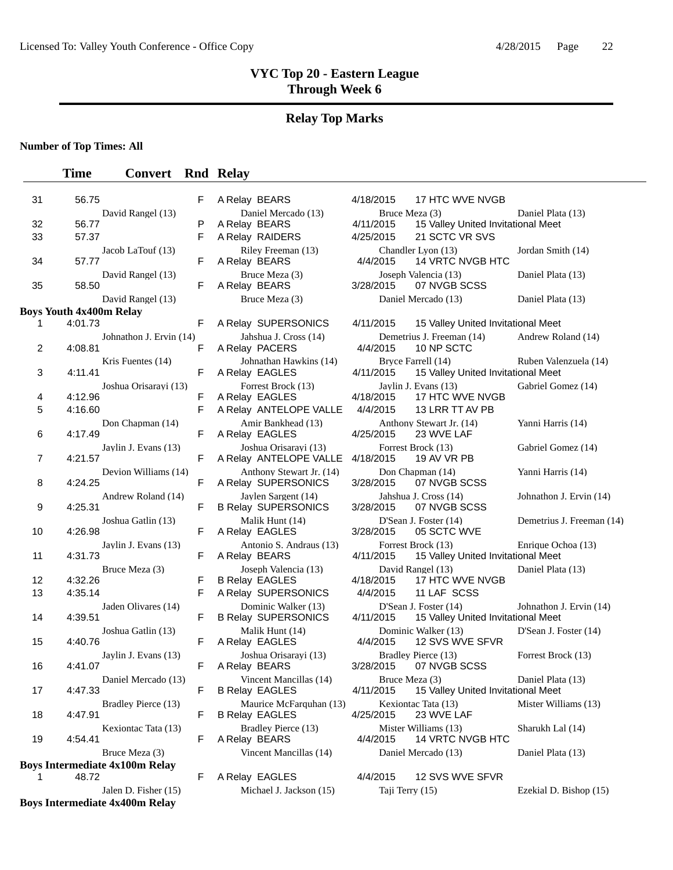# **Relay Top Marks**

**Number of Top Times: All**

# **Time Convert Rnd Relay**

| 31 | 56.75                                 | F | A Relay BEARS                                     | 17 HTC WVE NVGB<br>4/18/2015                                             |                           |
|----|---------------------------------------|---|---------------------------------------------------|--------------------------------------------------------------------------|---------------------------|
|    | David Rangel (13)                     |   | Daniel Mercado (13)                               | Bruce Meza (3)                                                           | Daniel Plata (13)         |
| 32 | 56.77                                 | Ρ | A Relay BEARS                                     | 4/11/2015<br>15 Valley United Invitational Meet                          |                           |
| 33 | 57.37                                 | F | A Relay RAIDERS                                   | 4/25/2015<br>21 SCTC VR SVS                                              |                           |
| 34 | Jacob LaTouf (13)<br>57.77            | F | Riley Freeman (13)<br>A Relay BEARS               | Chandler Lyon (13)<br><b>14 VRTC NVGB HTC</b><br>4/4/2015                | Jordan Smith (14)         |
| 35 | David Rangel (13)<br>58.50            | F | Bruce Meza (3)<br>A Relay BEARS                   | Joseph Valencia (13)<br>07 NVGB SCSS<br>3/28/2015                        | Daniel Plata (13)         |
|    | David Rangel (13)                     |   | Bruce Meza (3)                                    | Daniel Mercado (13)                                                      | Daniel Plata (13)         |
|    | <b>Boys Youth 4x400m Relay</b>        |   |                                                   |                                                                          |                           |
| 1  | 4:01.73                               | F | A Relay SUPERSONICS                               | 4/11/2015<br>15 Valley United Invitational Meet                          |                           |
| 2  | Johnathon J. Ervin (14)<br>4:08.81    | F | Jahshua J. Cross (14)<br>A Relay PACERS           | Demetrius J. Freeman (14)<br>4/4/2015<br>10 NP SCTC                      | Andrew Roland (14)        |
| 3  | Kris Fuentes (14)<br>4:11.41          | F | Johnathan Hawkins (14)<br>A Relay EAGLES          | Bryce Farrell (14)<br>4/11/2015<br>15 Valley United Invitational Meet    | Ruben Valenzuela (14)     |
|    | Joshua Orisarayi (13)                 |   | Forrest Brock (13)                                | Jaylin J. Evans (13)                                                     | Gabriel Gomez (14)        |
| 4  | 4:12.96                               | F | A Relay EAGLES                                    | 17 HTC WVE NVGB<br>4/18/2015                                             |                           |
| 5  | 4:16.60                               | F | A Relay ANTELOPE VALLE                            | 4/4/2015<br>13 LRR TT AV PB                                              |                           |
| 6  | Don Chapman (14)<br>4:17.49           | F | Amir Bankhead (13)<br>A Relay EAGLES              | Anthony Stewart Jr. (14)<br>23 WVE LAF<br>4/25/2015                      | Yanni Harris (14)         |
| 7  | Jaylin J. Evans (13)<br>4:21.57       | F | Joshua Orisaravi (13)<br>A Relay ANTELOPE VALLE   | Forrest Brock (13)<br>4/18/2015<br>19 AV VR PB                           | Gabriel Gomez (14)        |
| 8  | Devion Williams (14)<br>4:24.25       | F | Anthony Stewart Jr. (14)<br>A Relay SUPERSONICS   | Don Chapman (14)<br>07 NVGB SCSS<br>3/28/2015                            | Yanni Harris (14)         |
| 9  | Andrew Roland (14)<br>4:25.31         | F | Jaylen Sargent (14)<br><b>B Relay SUPERSONICS</b> | Jahshua J. Cross (14)<br>3/28/2015<br>07 NVGB SCSS                       | Johnathon J. Ervin (14)   |
| 10 | Joshua Gatlin (13)<br>4:26.98         | F | Malik Hunt (14)<br>A Relay EAGLES                 | D'Sean J. Foster (14)<br>3/28/2015<br>05 SCTC WVE                        | Demetrius J. Freeman (14) |
| 11 | Jaylin J. Evans (13)<br>4:31.73       | F | Antonio S. Andraus (13)<br>A Relay BEARS          | Forrest Brock (13)<br>4/11/2015<br>15 Valley United Invitational Meet    | Enrique Ochoa (13)        |
|    | Bruce Meza (3)                        |   | Joseph Valencia (13)                              | David Rangel (13)                                                        | Daniel Plata (13)         |
| 12 | 4:32.26                               | F | <b>B Relay EAGLES</b>                             | 17 HTC WVE NVGB<br>4/18/2015                                             |                           |
| 13 | 4:35.14                               | F | A Relay SUPERSONICS                               | 4/4/2015<br>11 LAF SCSS                                                  |                           |
| 14 | Jaden Olivares (14)<br>4:39.51        | F | Dominic Walker (13)<br><b>B Relay SUPERSONICS</b> | D'Sean J. Foster (14)<br>4/11/2015<br>15 Valley United Invitational Meet | Johnathon J. Ervin (14)   |
| 15 | Joshua Gatlin (13)<br>4:40.76         | F | Malik Hunt (14)<br>A Relay EAGLES                 | Dominic Walker (13)<br>4/4/2015<br>12 SVS WVE SFVR                       | D'Sean J. Foster (14)     |
| 16 | Jaylin J. Evans (13)<br>4:41.07       | F | Joshua Orisarayi (13)<br>A Relay BEARS            | Bradley Pierce (13)<br>3/28/2015<br>07 NVGB SCSS                         | Forrest Brock (13)        |
| 17 | Daniel Mercado (13)<br>4:47.33        | F | Vincent Mancillas (14)<br><b>B Relay EAGLES</b>   | Bruce Meza (3)<br>4/11/2015<br>15 Valley United Invitational Meet        | Daniel Plata (13)         |
| 18 | Bradley Pierce (13)<br>4:47.91        | F | Maurice McFarquhan (13)<br><b>B Relay EAGLES</b>  | Kexiontac Tata (13)<br>23 WVE LAF<br>4/25/2015                           | Mister Williams (13)      |
| 19 | Kexiontac Tata (13)<br>4:54.41        | F | Bradley Pierce (13)<br>A Relay BEARS              | Mister Williams (13)<br>4/4/2015<br><b>14 VRTC NVGB HTC</b>              | Sharukh Lal (14)          |
|    | Bruce Meza (3)                        |   | Vincent Mancillas (14)                            | Daniel Mercado (13)                                                      | Daniel Plata (13)         |
|    | <b>Boys Intermediate 4x100m Relay</b> |   |                                                   |                                                                          |                           |
| 1  | 48.72                                 | F | A Relay EAGLES                                    | 4/4/2015<br>12 SVS WVE SFVR                                              |                           |
|    | Jalen D. Fisher (15)                  |   | Michael J. Jackson (15)                           | Taji Terry (15)                                                          | Ezekial D. Bishop (15)    |

**Boys Intermediate 4x400m Relay**